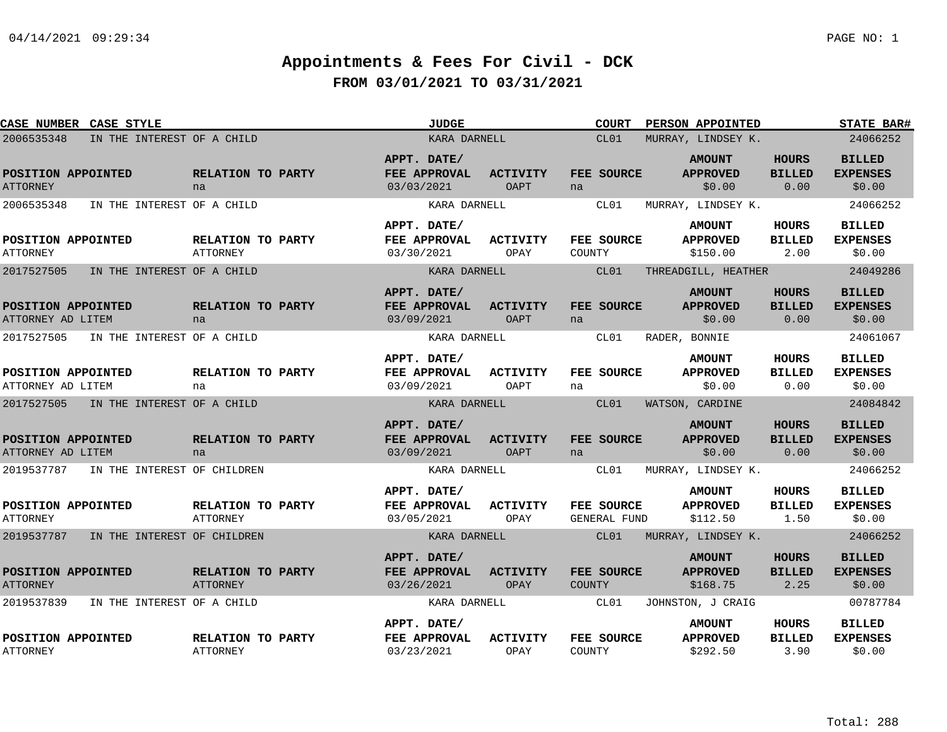| CASE NUMBER CASE STYLE                    |                                      | <b>JUDGE</b>                              |                                | <b>COURT</b>                      | PERSON APPOINTED                             |                                       | <b>STATE BAR#</b>                          |
|-------------------------------------------|--------------------------------------|-------------------------------------------|--------------------------------|-----------------------------------|----------------------------------------------|---------------------------------------|--------------------------------------------|
| 2006535348<br>IN THE INTEREST OF A CHILD  |                                      | KARA DARNELL                              |                                | CL01                              | MURRAY, LINDSEY K.                           |                                       | 24066252                                   |
| POSITION APPOINTED<br><b>ATTORNEY</b>     | RELATION TO PARTY<br>na              | APPT. DATE/<br>FEE APPROVAL<br>03/03/2021 | <b>ACTIVITY</b><br>OAPT        | FEE SOURCE<br>na                  | <b>AMOUNT</b><br><b>APPROVED</b><br>\$0.00   | <b>HOURS</b><br><b>BILLED</b><br>0.00 | <b>BILLED</b><br><b>EXPENSES</b><br>\$0.00 |
| 2006535348<br>IN THE INTEREST OF A CHILD  |                                      | KARA DARNELL                              |                                | CL01                              | MURRAY, LINDSEY K.                           |                                       | 24066252                                   |
| POSITION APPOINTED<br><b>ATTORNEY</b>     | RELATION TO PARTY<br>ATTORNEY        | APPT. DATE/<br>FEE APPROVAL<br>03/30/2021 | ACTIVITY<br>OPAY               | FEE SOURCE<br>COUNTY              | <b>AMOUNT</b><br><b>APPROVED</b><br>\$150.00 | <b>HOURS</b><br><b>BILLED</b><br>2.00 | <b>BILLED</b><br><b>EXPENSES</b><br>\$0.00 |
| 2017527505<br>IN THE INTEREST OF A CHILD  |                                      | KARA DARNELL                              |                                | CL01                              | THREADGILL, HEATHER                          |                                       | 24049286                                   |
| POSITION APPOINTED<br>ATTORNEY AD LITEM   | RELATION TO PARTY<br>na              | APPT. DATE/<br>FEE APPROVAL<br>03/09/2021 | <b>ACTIVITY</b><br>OAPT        | FEE SOURCE<br>na                  | <b>AMOUNT</b><br><b>APPROVED</b><br>\$0.00   | <b>HOURS</b><br><b>BILLED</b><br>0.00 | <b>BILLED</b><br><b>EXPENSES</b><br>\$0.00 |
| 2017527505<br>IN THE INTEREST OF A CHILD  |                                      | KARA DARNELL                              |                                | CL01                              | RADER, BONNIE                                |                                       | 24061067                                   |
| POSITION APPOINTED<br>ATTORNEY AD LITEM   | RELATION TO PARTY<br>na              | APPT. DATE/<br>FEE APPROVAL<br>03/09/2021 | <b>ACTIVITY</b><br>OAPT        | FEE SOURCE<br>na                  | <b>AMOUNT</b><br><b>APPROVED</b><br>\$0.00   | <b>HOURS</b><br><b>BILLED</b><br>0.00 | <b>BILLED</b><br><b>EXPENSES</b><br>\$0.00 |
| 2017527505<br>IN THE INTEREST OF A CHILD  |                                      | KARA DARNELL                              |                                | CL01                              | WATSON, CARDINE                              |                                       | 24084842                                   |
| POSITION APPOINTED<br>ATTORNEY AD LITEM   | RELATION TO PARTY<br>na              | APPT. DATE/<br>FEE APPROVAL<br>03/09/2021 | <b>ACTIVITY</b><br><b>OAPT</b> | FEE SOURCE<br>na                  | <b>AMOUNT</b><br><b>APPROVED</b><br>\$0.00   | <b>HOURS</b><br><b>BILLED</b><br>0.00 | <b>BILLED</b><br><b>EXPENSES</b><br>\$0.00 |
| 2019537787<br>IN THE INTEREST OF CHILDREN |                                      | KARA DARNELL                              |                                | CL01                              | MURRAY, LINDSEY K.                           |                                       | 24066252                                   |
| POSITION APPOINTED<br><b>ATTORNEY</b>     | RELATION TO PARTY<br>ATTORNEY        | APPT. DATE/<br>FEE APPROVAL<br>03/05/2021 | <b>ACTIVITY</b><br>OPAY        | FEE SOURCE<br><b>GENERAL FUND</b> | <b>AMOUNT</b><br><b>APPROVED</b><br>\$112.50 | <b>HOURS</b><br><b>BILLED</b><br>1.50 | <b>BILLED</b><br><b>EXPENSES</b><br>\$0.00 |
| 2019537787 IN THE INTEREST OF CHILDREN    |                                      | KARA DARNELL                              |                                | CL01                              | MURRAY, LINDSEY K.                           |                                       | 24066252                                   |
| POSITION APPOINTED<br><b>ATTORNEY</b>     | RELATION TO PARTY<br><b>ATTORNEY</b> | APPT. DATE/<br>FEE APPROVAL<br>03/26/2021 | <b>ACTIVITY</b><br>OPAY        | FEE SOURCE<br>COUNTY              | <b>AMOUNT</b><br><b>APPROVED</b><br>\$168.75 | <b>HOURS</b><br><b>BILLED</b><br>2.25 | <b>BILLED</b><br><b>EXPENSES</b><br>\$0.00 |
| 2019537839<br>IN THE INTEREST OF A CHILD  |                                      | KARA DARNELL                              |                                | CL01                              | JOHNSTON, J CRAIG                            |                                       | 00787784                                   |
| POSITION APPOINTED<br><b>ATTORNEY</b>     | RELATION TO PARTY<br><b>ATTORNEY</b> | APPT. DATE/<br>FEE APPROVAL<br>03/23/2021 | <b>ACTIVITY</b><br>OPAY        | FEE SOURCE<br>COUNTY              | <b>AMOUNT</b><br><b>APPROVED</b><br>\$292.50 | HOURS<br><b>BILLED</b><br>3.90        | <b>BILLED</b><br><b>EXPENSES</b><br>\$0.00 |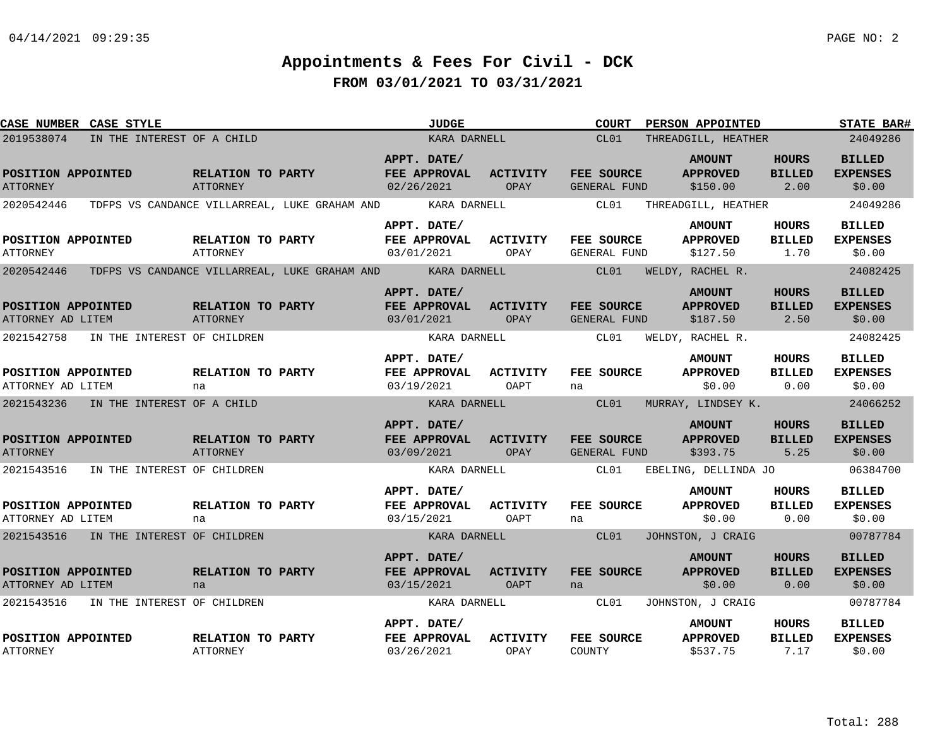| <b>CASE NUMBER CASE STYLE</b>           |                                        |                                      |                                                                  | <b>JUDGE</b>                                       |                         | COURT                             | <b>PERSON APPOINTED</b>                      |                                                    | <b>STATE BAR#</b>                          |
|-----------------------------------------|----------------------------------------|--------------------------------------|------------------------------------------------------------------|----------------------------------------------------|-------------------------|-----------------------------------|----------------------------------------------|----------------------------------------------------|--------------------------------------------|
| 2019538074                              | IN THE INTEREST OF A CHILD             |                                      |                                                                  | KARA DARNELL                                       |                         | CL01                              | THREADGILL, HEATHER                          |                                                    | 24049286                                   |
| POSITION APPOINTED<br><b>ATTORNEY</b>   |                                        | RELATION TO PARTY<br>ATTORNEY        |                                                                  | APPT. DATE/<br>FEE APPROVAL ACTIVITY<br>02/26/2021 | OPAY                    | FEE SOURCE<br>GENERAL FUND        | <b>AMOUNT</b><br><b>APPROVED</b><br>\$150.00 | <b>HOURS</b><br><b>BILLED</b><br>2.00              | <b>BILLED</b><br><b>EXPENSES</b><br>\$0.00 |
| 2020542446                              |                                        |                                      | TDFPS VS CANDANCE VILLARREAL, LUKE GRAHAM AND                    | KARA DARNELL                                       |                         | <b>CLO1</b>                       | THREADGILL, HEATHER                          |                                                    | 24049286                                   |
| POSITION APPOINTED<br><b>ATTORNEY</b>   |                                        | RELATION TO PARTY<br>ATTORNEY        |                                                                  | APPT. DATE/<br><b>FEE APPROVAL</b><br>03/01/2021   | <b>ACTIVITY</b><br>OPAY | FEE SOURCE<br>GENERAL FUND        | <b>AMOUNT</b><br><b>APPROVED</b><br>\$127.50 | HOURS<br><b>BILLED</b><br>1.70                     | <b>BILLED</b><br><b>EXPENSES</b><br>\$0.00 |
| 2020542446                              |                                        |                                      | TDFPS VS CANDANCE VILLARREAL, LUKE GRAHAM AND       KARA DARNELL |                                                    |                         | CL01                              | WELDY, RACHEL R.                             |                                                    | 24082425                                   |
| POSITION APPOINTED<br>ATTORNEY AD LITEM |                                        | RELATION TO PARTY<br>ATTORNEY        |                                                                  | APPT. DATE/<br>FEE APPROVAL ACTIVITY<br>03/01/2021 | OPAY                    | FEE SOURCE<br><b>GENERAL FUND</b> | <b>AMOUNT</b><br><b>APPROVED</b><br>\$187.50 | <b>HOURS</b><br><b>BILLED</b><br>$\overline{2.50}$ | <b>BILLED</b><br><b>EXPENSES</b><br>\$0.00 |
|                                         | 2021542758 IN THE INTEREST OF CHILDREN |                                      |                                                                  | KARA DARNELL                                       |                         | CL01                              | WELDY, RACHEL R.                             |                                                    | 24082425                                   |
| POSITION APPOINTED<br>ATTORNEY AD LITEM |                                        | RELATION TO PARTY<br>na              |                                                                  | APPT. DATE/<br><b>FEE APPROVAL</b><br>03/19/2021   | <b>ACTIVITY</b><br>OAPT | FEE SOURCE<br>na                  | <b>AMOUNT</b><br><b>APPROVED</b><br>\$0.00   | HOURS<br><b>BILLED</b><br>0.00                     | <b>BILLED</b><br><b>EXPENSES</b><br>\$0.00 |
|                                         | 2021543236 IN THE INTEREST OF A CHILD  |                                      |                                                                  | KARA DARNELL                                       |                         | <b>CLOI</b>                       | MURRAY, LINDSEY K.                           |                                                    | 24066252                                   |
| POSITION APPOINTED<br><b>ATTORNEY</b>   |                                        | RELATION TO PARTY<br><b>ATTORNEY</b> |                                                                  | APPT. DATE/<br>FEE APPROVAL ACTIVITY<br>03/09/2021 | OPAY                    | FEE SOURCE<br>GENERAL FUND        | <b>AMOUNT</b><br><b>APPROVED</b><br>\$393.75 | <b>HOURS</b><br><b>BILLED</b><br>5.25              | <b>BILLED</b><br><b>EXPENSES</b><br>\$0.00 |
|                                         | 2021543516 IN THE INTEREST OF CHILDREN |                                      |                                                                  | KARA DARNELL                                       |                         | CLO1                              | EBELING, DELLINDA JO                         |                                                    | 06384700                                   |
| POSITION APPOINTED<br>ATTORNEY AD LITEM |                                        | RELATION TO PARTY<br>na              |                                                                  | APPT. DATE/<br><b>FEE APPROVAL</b><br>03/15/2021   | <b>ACTIVITY</b><br>OAPT | FEE SOURCE<br>na                  | <b>AMOUNT</b><br><b>APPROVED</b><br>\$0.00   | HOURS<br><b>BILLED</b><br>0.00                     | <b>BILLED</b><br><b>EXPENSES</b><br>\$0.00 |
|                                         | 2021543516 IN THE INTEREST OF CHILDREN |                                      |                                                                  | KARA DARNELL                                       |                         | CL01                              | JOHNSTON, J CRAIG                            |                                                    | 00787784                                   |
| POSITION APPOINTED<br>ATTORNEY AD LITEM |                                        | RELATION TO PARTY<br>na              |                                                                  | APPT. DATE/<br>FEE APPROVAL<br>03/15/2021          | <b>ACTIVITY</b><br>OAPT | FEE SOURCE<br>na                  | <b>AMOUNT</b><br><b>APPROVED</b><br>\$0.00   | <b>HOURS</b><br><b>BILLED</b><br>0.00              | <b>BILLED</b><br><b>EXPENSES</b><br>\$0.00 |
|                                         | 2021543516 IN THE INTEREST OF CHILDREN |                                      |                                                                  |                                                    | KARA DARNELL CL01       |                                   | JOHNSTON, J CRAIG                            |                                                    | 00787784                                   |
| POSITION APPOINTED<br><b>ATTORNEY</b>   |                                        | RELATION TO PARTY<br>ATTORNEY        |                                                                  | APPT. DATE/<br>FEE APPROVAL ACTIVITY<br>03/26/2021 | OPAY                    | <b>FEE SOURCE</b><br>COUNTY       | <b>AMOUNT</b><br><b>APPROVED</b><br>\$537.75 | HOURS<br><b>BILLED</b><br>7.17                     | <b>BILLED</b><br><b>EXPENSES</b><br>\$0.00 |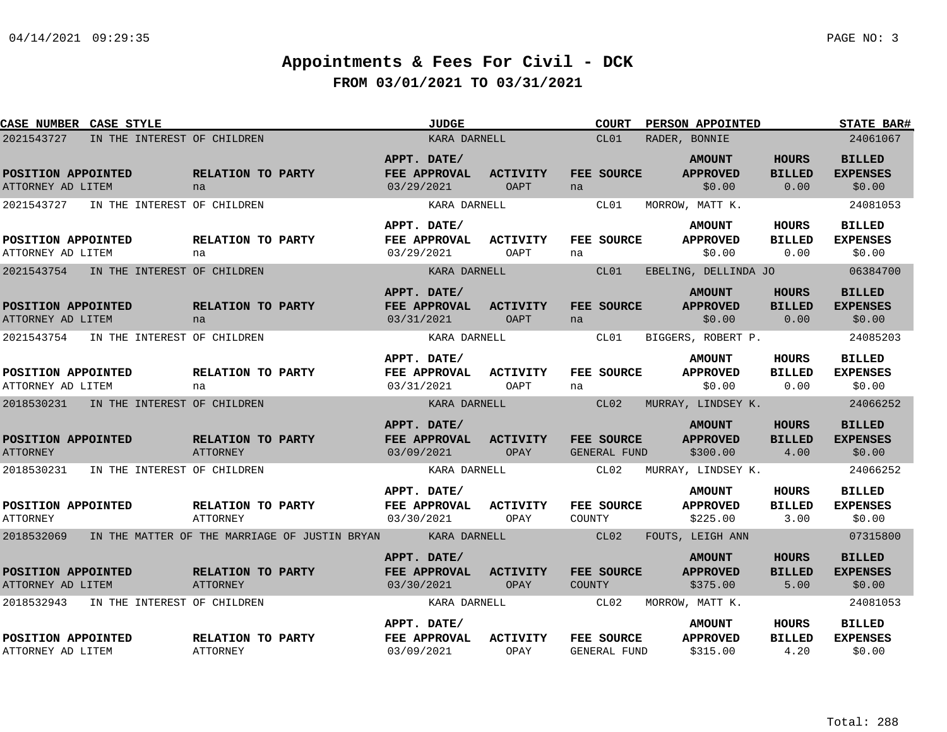| CASE NUMBER CASE STYLE                    |                                               | <b>JUDGE</b>                                     |                         | <b>COURT</b>                | PERSON APPOINTED                             |                                       | <b>STATE BAR#</b>                          |
|-------------------------------------------|-----------------------------------------------|--------------------------------------------------|-------------------------|-----------------------------|----------------------------------------------|---------------------------------------|--------------------------------------------|
| 2021543727<br>IN THE INTEREST OF CHILDREN |                                               | KARA DARNELL                                     |                         | CL01                        | RADER, BONNIE                                |                                       | 24061067                                   |
| POSITION APPOINTED<br>ATTORNEY AD LITEM   | <b>RELATION TO PARTY</b><br>na                | APPT. DATE/<br>FEE APPROVAL<br>03/29/2021        | <b>ACTIVITY</b><br>OAPT | FEE SOURCE<br>na            | <b>AMOUNT</b><br><b>APPROVED</b><br>\$0.00   | <b>HOURS</b><br><b>BILLED</b><br>0.00 | <b>BILLED</b><br><b>EXPENSES</b><br>\$0.00 |
| 2021543727<br>IN THE INTEREST OF CHILDREN |                                               | KARA DARNELL<br>APPT. DATE/                      |                         | CL01                        | MORROW, MATT K.<br><b>AMOUNT</b>             | <b>HOURS</b>                          | 24081053<br><b>BILLED</b>                  |
| POSITION APPOINTED<br>ATTORNEY AD LITEM   | <b>RELATION TO PARTY</b><br>na                | FEE APPROVAL<br>03/29/2021                       | <b>ACTIVITY</b><br>OAPT | <b>FEE SOURCE</b><br>na     | <b>APPROVED</b><br>\$0.00                    | <b>BILLED</b><br>0.00                 | <b>EXPENSES</b><br>\$0.00                  |
| 2021543754<br>IN THE INTEREST OF CHILDREN |                                               | KARA DARNELL                                     |                         | CL01                        | EBELING, DELLINDA JO                         |                                       | 06384700                                   |
| POSITION APPOINTED<br>ATTORNEY AD LITEM   | RELATION TO PARTY<br>na                       | APPT. DATE/<br>FEE APPROVAL<br>03/31/2021        | <b>ACTIVITY</b><br>OAPT | FEE SOURCE<br>na            | <b>AMOUNT</b><br><b>APPROVED</b><br>\$0.00   | <b>HOURS</b><br><b>BILLED</b><br>0.00 | <b>BILLED</b><br><b>EXPENSES</b><br>\$0.00 |
| 2021543754<br>IN THE INTEREST OF CHILDREN |                                               | KARA DARNELL                                     |                         | CL01                        | BIGGERS, ROBERT P.                           |                                       | 24085203                                   |
| POSITION APPOINTED<br>ATTORNEY AD LITEM   | RELATION TO PARTY<br>na                       | APPT. DATE/<br>FEE APPROVAL<br>03/31/2021        | <b>ACTIVITY</b><br>OAPT | FEE SOURCE<br>na            | <b>AMOUNT</b><br><b>APPROVED</b><br>\$0.00   | HOURS<br><b>BILLED</b><br>0.00        | <b>BILLED</b><br><b>EXPENSES</b><br>\$0.00 |
| 2018530231 IN THE INTEREST OF CHILDREN    |                                               | KARA DARNELL                                     |                         | CL02                        | MURRAY, LINDSEY K.                           |                                       | 24066252                                   |
| POSITION APPOINTED<br><b>ATTORNEY</b>     | RELATION TO PARTY<br>ATTORNEY                 | APPT. DATE/<br>FEE APPROVAL<br>03/09/2021        | <b>ACTIVITY</b><br>OPAY | FEE SOURCE<br>GENERAL FUND  | <b>AMOUNT</b><br><b>APPROVED</b><br>\$300.00 | <b>HOURS</b><br><b>BILLED</b><br>4.00 | <b>BILLED</b><br><b>EXPENSES</b><br>\$0.00 |
| 2018530231 IN THE INTEREST OF CHILDREN    |                                               | KARA DARNELL                                     |                         | CL02                        | MURRAY, LINDSEY K.                           |                                       | 24066252                                   |
| POSITION APPOINTED<br><b>ATTORNEY</b>     | <b>RELATION TO PARTY</b><br>ATTORNEY          | APPT. DATE/<br><b>FEE APPROVAL</b><br>03/30/2021 | <b>ACTIVITY</b><br>OPAY | FEE SOURCE<br>COUNTY        | <b>AMOUNT</b><br><b>APPROVED</b><br>\$225.00 | HOURS<br><b>BILLED</b><br>3.00        | <b>BILLED</b><br><b>EXPENSES</b><br>\$0.00 |
| 2018532069                                | IN THE MATTER OF THE MARRIAGE OF JUSTIN BRYAN | <b>Example 18 KARA DARNELL</b>                   |                         | CL02                        | FOUTS, LEIGH ANN                             |                                       | 07315800                                   |
| POSITION APPOINTED<br>ATTORNEY AD LITEM   | RELATION TO PARTY<br>ATTORNEY                 | APPT. DATE/<br>FEE APPROVAL<br>03/30/2021        | <b>ACTIVITY</b><br>OPAY | FEE SOURCE<br><b>COUNTY</b> | <b>AMOUNT</b><br><b>APPROVED</b><br>\$375.00 | <b>HOURS</b><br><b>BILLED</b><br>5.00 | <b>BILLED</b><br><b>EXPENSES</b><br>\$0.00 |
| 2018532943<br>IN THE INTEREST OF CHILDREN |                                               | KARA DARNELL                                     |                         | CL02                        | MORROW, MATT K.                              |                                       | 24081053                                   |
| POSITION APPOINTED<br>ATTORNEY AD LITEM   | RELATION TO PARTY<br><b>ATTORNEY</b>          | APPT. DATE/<br>FEE APPROVAL<br>03/09/2021        | <b>ACTIVITY</b><br>OPAY | FEE SOURCE<br>GENERAL FUND  | <b>AMOUNT</b><br><b>APPROVED</b><br>\$315.00 | <b>HOURS</b><br><b>BILLED</b><br>4.20 | <b>BILLED</b><br><b>EXPENSES</b><br>\$0.00 |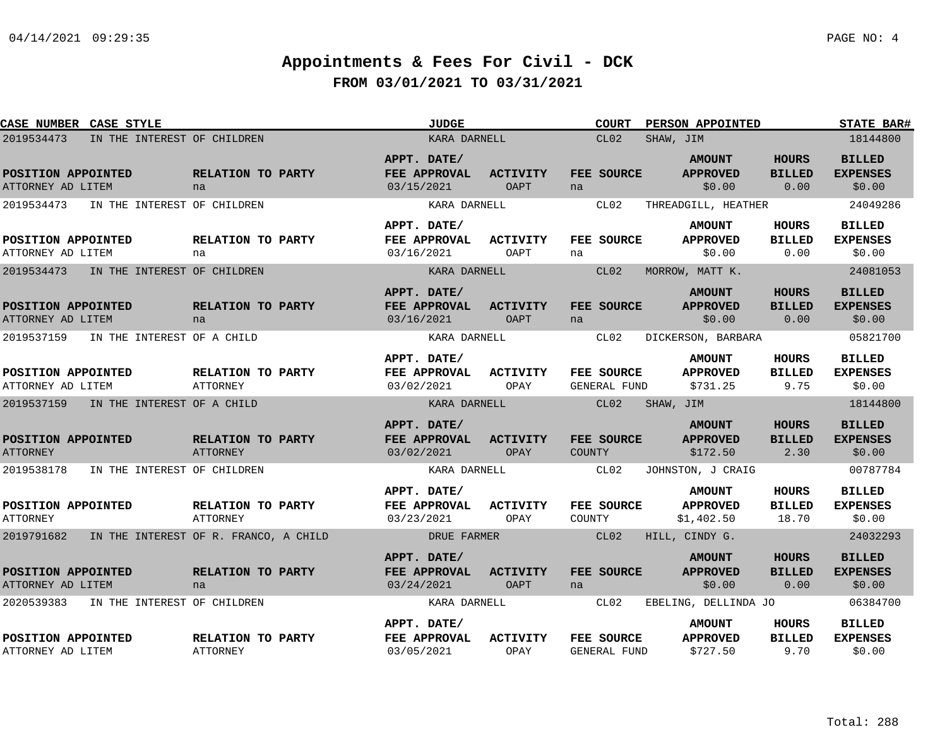| CASE NUMBER CASE STYLE                  |                                       |                                      | <b>JUDGE</b>                              |                                | <b>COURT</b>                | PERSON APPOINTED                               |                                       | <b>STATE BAR#</b>                          |
|-----------------------------------------|---------------------------------------|--------------------------------------|-------------------------------------------|--------------------------------|-----------------------------|------------------------------------------------|---------------------------------------|--------------------------------------------|
| 2019534473                              | IN THE INTEREST OF CHILDREN           |                                      | KARA DARNELL                              |                                | CL <sub>02</sub>            | SHAW, JIM                                      |                                       | 18144800                                   |
| POSITION APPOINTED<br>ATTORNEY AD LITEM |                                       | RELATION TO PARTY<br>na              | APPT. DATE/<br>FEE APPROVAL<br>03/15/2021 | <b>ACTIVITY</b><br><b>OAPT</b> | FEE SOURCE<br>na            | <b>AMOUNT</b><br><b>APPROVED</b><br>\$0.00     | <b>HOURS</b><br><b>BILLED</b><br>0.00 | <b>BILLED</b><br><b>EXPENSES</b><br>\$0.00 |
| 2019534473                              | IN THE INTEREST OF CHILDREN           |                                      | KARA DARNELL                              |                                | CL02                        | THREADGILL, HEATHER                            |                                       | 24049286                                   |
| POSITION APPOINTED<br>ATTORNEY AD LITEM |                                       | RELATION TO PARTY<br>na              | APPT. DATE/<br>FEE APPROVAL<br>03/16/2021 | <b>ACTIVITY</b><br>OAPT        | FEE SOURCE<br>na            | <b>AMOUNT</b><br><b>APPROVED</b><br>\$0.00     | HOURS<br><b>BILLED</b><br>0.00        | <b>BILLED</b><br><b>EXPENSES</b><br>\$0.00 |
| 2019534473                              | IN THE INTEREST OF CHILDREN           |                                      | KARA DARNELL                              |                                | CL02                        | MORROW, MATT K.                                |                                       | 24081053                                   |
| POSITION APPOINTED<br>ATTORNEY AD LITEM |                                       | RELATION TO PARTY<br>na              | APPT. DATE/<br>FEE APPROVAL<br>03/16/2021 | <b>ACTIVITY</b><br><b>OAPT</b> | FEE SOURCE<br>na            | <b>AMOUNT</b><br><b>APPROVED</b><br>\$0.00     | <b>HOURS</b><br><b>BILLED</b><br>0.00 | <b>BILLED</b><br><b>EXPENSES</b><br>\$0.00 |
| 2019537159                              | IN THE INTEREST OF A CHILD            |                                      | KARA DARNELL                              |                                | CL02                        | DICKERSON, BARBARA                             |                                       | 05821700                                   |
| POSITION APPOINTED<br>ATTORNEY AD LITEM |                                       | RELATION TO PARTY<br><b>ATTORNEY</b> | APPT. DATE/<br>FEE APPROVAL<br>03/02/2021 | <b>ACTIVITY</b><br>OPAY        | FEE SOURCE<br>GENERAL FUND  | <b>AMOUNT</b><br><b>APPROVED</b><br>\$731.25   | <b>HOURS</b><br><b>BILLED</b><br>9.75 | <b>BILLED</b><br><b>EXPENSES</b><br>\$0.00 |
| 2019537159                              | IN THE INTEREST OF A CHILD            |                                      | KARA DARNELL                              |                                | CL02                        | SHAW, JIM                                      |                                       | 18144800                                   |
| POSITION APPOINTED<br><b>ATTORNEY</b>   |                                       | RELATION TO PARTY<br><b>ATTORNEY</b> | APPT. DATE/<br>FEE APPROVAL<br>03/02/2021 | <b>ACTIVITY</b><br>OPAY        | FEE SOURCE<br><b>COUNTY</b> | <b>AMOUNT</b><br><b>APPROVED</b><br>\$172.50   | <b>HOURS</b><br><b>BILLED</b><br>2.30 | <b>BILLED</b><br><b>EXPENSES</b><br>\$0.00 |
| 2019538178                              | IN THE INTEREST OF CHILDREN           |                                      | KARA DARNELL                              |                                | CL02                        | JOHNSTON, J CRAIG                              |                                       | 00787784                                   |
| POSITION APPOINTED<br><b>ATTORNEY</b>   |                                       | RELATION TO PARTY<br>ATTORNEY        | APPT. DATE/<br>FEE APPROVAL<br>03/23/2021 | <b>ACTIVITY</b><br>OPAY        | FEE SOURCE<br>COUNTY        | <b>AMOUNT</b><br><b>APPROVED</b><br>\$1,402.50 | HOURS<br><b>BILLED</b><br>18.70       | <b>BILLED</b><br><b>EXPENSES</b><br>\$0.00 |
| 2019791682                              | IN THE INTEREST OF R. FRANCO, A CHILD |                                      | DRUE FARMER                               |                                | CL02                        | HILL, CINDY G.                                 |                                       | 24032293                                   |
| POSITION APPOINTED<br>ATTORNEY AD LITEM |                                       | RELATION TO PARTY<br>na              | APPT. DATE/<br>FEE APPROVAL<br>03/24/2021 | ACTIVITY<br><b>OAPT</b>        | FEE SOURCE<br>na            | <b>AMOUNT</b><br><b>APPROVED</b><br>\$0.00     | HOURS<br><b>BILLED</b><br>0.00        | <b>BILLED</b><br><b>EXPENSES</b><br>\$0.00 |
| 2020539383                              | IN THE INTEREST OF CHILDREN           |                                      | KARA DARNELL                              |                                | CL02                        | EBELING, DELLINDA JO                           |                                       | 06384700                                   |
| POSITION APPOINTED<br>ATTORNEY AD LITEM |                                       | RELATION TO PARTY<br>ATTORNEY        | APPT. DATE/<br>FEE APPROVAL<br>03/05/2021 | <b>ACTIVITY</b><br>OPAY        | FEE SOURCE<br>GENERAL FUND  | <b>AMOUNT</b><br><b>APPROVED</b><br>\$727.50   | HOURS<br><b>BILLED</b><br>9.70        | <b>BILLED</b><br><b>EXPENSES</b><br>\$0.00 |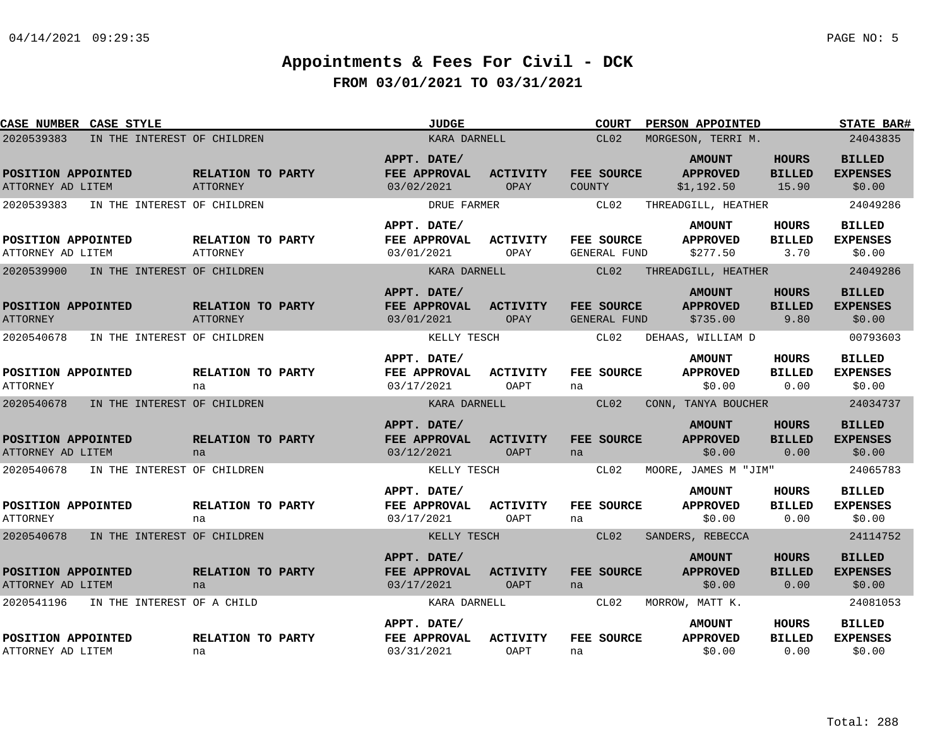| CASE NUMBER CASE STYLE                  |                                      | <b>JUDGE</b>                                     |                                | <b>COURT</b>                      | PERSON APPOINTED                               |                                        | <b>STATE BAR#</b>                          |
|-----------------------------------------|--------------------------------------|--------------------------------------------------|--------------------------------|-----------------------------------|------------------------------------------------|----------------------------------------|--------------------------------------------|
| 2020539383                              | IN THE INTEREST OF CHILDREN          | KARA DARNELL                                     |                                | CL02                              | MORGESON, TERRI M.                             |                                        | 24043835                                   |
| POSITION APPOINTED<br>ATTORNEY AD LITEM | RELATION TO PARTY<br>ATTORNEY        | APPT. DATE/<br>FEE APPROVAL<br>03/02/2021        | <b>ACTIVITY</b><br>OPAY        | FEE SOURCE<br>COUNTY              | <b>AMOUNT</b><br><b>APPROVED</b><br>\$1,192.50 | <b>HOURS</b><br><b>BILLED</b><br>15.90 | <b>BILLED</b><br><b>EXPENSES</b><br>\$0.00 |
| 2020539383                              | IN THE INTEREST OF CHILDREN          | DRUE FARMER                                      |                                | CL02                              | THREADGILL, HEATHER                            |                                        | 24049286                                   |
| POSITION APPOINTED<br>ATTORNEY AD LITEM | RELATION TO PARTY<br><b>ATTORNEY</b> | APPT. DATE/<br>FEE APPROVAL<br>03/01/2021        | <b>ACTIVITY</b><br>OPAY        | FEE SOURCE<br>GENERAL FUND        | <b>AMOUNT</b><br><b>APPROVED</b><br>\$277.50   | <b>HOURS</b><br><b>BILLED</b><br>3.70  | <b>BILLED</b><br><b>EXPENSES</b><br>\$0.00 |
| 2020539900                              | IN THE INTEREST OF CHILDREN          | KARA DARNELL                                     |                                | CL02                              | THREADGILL, HEATHER                            |                                        | 24049286                                   |
| POSITION APPOINTED<br><b>ATTORNEY</b>   | RELATION TO PARTY<br>ATTORNEY        | APPT. DATE/<br>FEE APPROVAL<br>03/01/2021        | <b>ACTIVITY</b><br>OPAY        | <b>FEE SOURCE</b><br>GENERAL FUND | <b>AMOUNT</b><br><b>APPROVED</b><br>\$735.00   | <b>HOURS</b><br><b>BILLED</b><br>9.80  | <b>BILLED</b><br><b>EXPENSES</b><br>\$0.00 |
| 2020540678                              | IN THE INTEREST OF CHILDREN          | KELLY TESCH                                      |                                | CL02                              | DEHAAS, WILLIAM D                              |                                        | 00793603                                   |
| POSITION APPOINTED<br><b>ATTORNEY</b>   | RELATION TO PARTY<br>na              | APPT. DATE/<br>FEE APPROVAL<br>03/17/2021        | <b>ACTIVITY</b><br>OAPT        | FEE SOURCE<br>na                  | <b>AMOUNT</b><br><b>APPROVED</b><br>\$0.00     | <b>HOURS</b><br><b>BILLED</b><br>0.00  | <b>BILLED</b><br><b>EXPENSES</b><br>\$0.00 |
| 2020540678                              | IN THE INTEREST OF CHILDREN          | KARA DARNELL                                     |                                | CL02                              | CONN, TANYA BOUCHER                            |                                        | 24034737                                   |
| POSITION APPOINTED<br>ATTORNEY AD LITEM | RELATION TO PARTY<br>na              | APPT. DATE/<br>FEE APPROVAL<br>03/12/2021        | <b>ACTIVITY</b><br>OAPT        | <b>FEE SOURCE</b><br>na           | <b>AMOUNT</b><br><b>APPROVED</b><br>\$0.00     | <b>HOURS</b><br><b>BILLED</b><br>0.00  | <b>BILLED</b><br><b>EXPENSES</b><br>\$0.00 |
| 2020540678                              | IN THE INTEREST OF CHILDREN          | KELLY TESCH                                      |                                | CL02                              | MOORE, JAMES M "JIM"                           |                                        | 24065783                                   |
| POSITION APPOINTED<br><b>ATTORNEY</b>   | RELATION TO PARTY<br>na              | APPT. DATE/<br>FEE APPROVAL<br>03/17/2021        | <b>ACTIVITY</b><br>OAPT        | FEE SOURCE<br>na                  | <b>AMOUNT</b><br><b>APPROVED</b><br>\$0.00     | <b>HOURS</b><br><b>BILLED</b><br>0.00  | <b>BILLED</b><br><b>EXPENSES</b><br>\$0.00 |
| 2020540678                              | IN THE INTEREST OF CHILDREN          | KELLY TESCH                                      |                                | CL02                              | SANDERS, REBECCA                               |                                        | 24114752                                   |
| POSITION APPOINTED<br>ATTORNEY AD LITEM | RELATION TO PARTY<br>na              | APPT. DATE/<br><b>FEE APPROVAL</b><br>03/17/2021 | <b>ACTIVITY</b><br><b>OAPT</b> | <b>FEE SOURCE</b><br>na           | <b>AMOUNT</b><br><b>APPROVED</b><br>\$0.00     | <b>HOURS</b><br><b>BILLED</b><br>0.00  | <b>BILLED</b><br><b>EXPENSES</b><br>\$0.00 |
| 2020541196                              | IN THE INTEREST OF A CHILD           | KARA DARNELL                                     |                                | CL02                              | MORROW, MATT K.                                |                                        | 24081053                                   |
| POSITION APPOINTED<br>ATTORNEY AD LITEM | RELATION TO PARTY<br>na              | APPT. DATE/<br>FEE APPROVAL<br>03/31/2021        | <b>ACTIVITY</b><br>OAPT        | FEE SOURCE<br>na                  | <b>AMOUNT</b><br><b>APPROVED</b><br>\$0.00     | HOURS<br><b>BILLED</b><br>0.00         | <b>BILLED</b><br><b>EXPENSES</b><br>\$0.00 |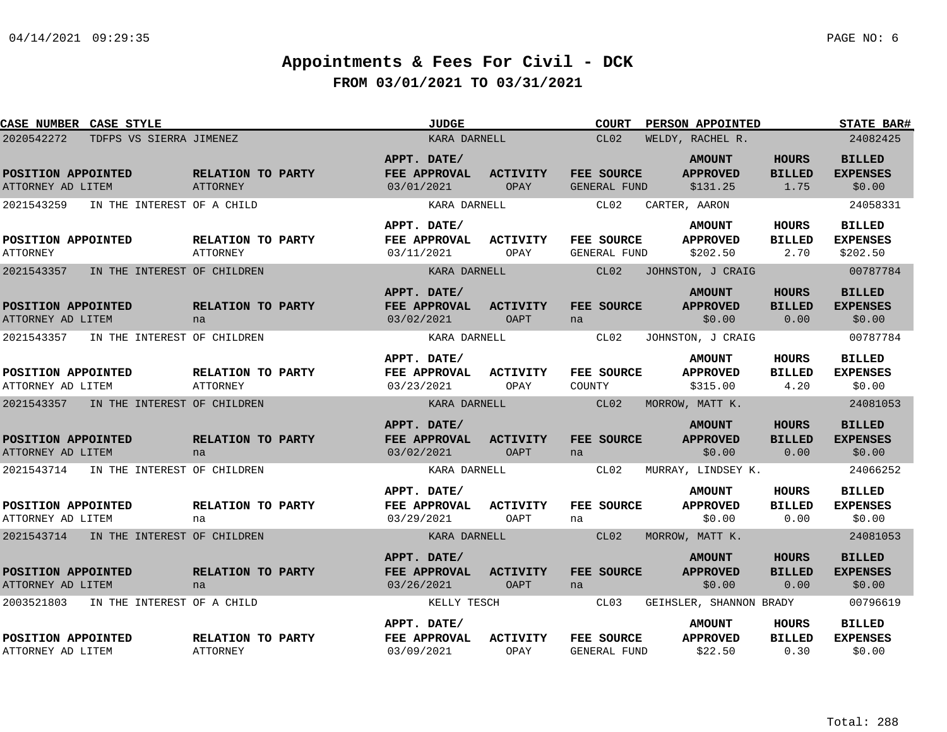| CASE NUMBER CASE STYLE                    |                                      | <b>JUDGE</b>                              |                                | <b>COURT</b>                      | PERSON APPOINTED                             |                                       | STATE BAR#                                   |
|-------------------------------------------|--------------------------------------|-------------------------------------------|--------------------------------|-----------------------------------|----------------------------------------------|---------------------------------------|----------------------------------------------|
| 2020542272<br>TDFPS VS SIERRA JIMENEZ     |                                      | KARA DARNELL                              |                                | CL02                              | WELDY, RACHEL R.                             |                                       | 24082425                                     |
| POSITION APPOINTED<br>ATTORNEY AD LITEM   | RELATION TO PARTY<br>ATTORNEY        | APPT. DATE/<br>FEE APPROVAL<br>03/01/2021 | <b>ACTIVITY</b><br>OPAY        | FEE SOURCE<br>GENERAL FUND        | <b>AMOUNT</b><br><b>APPROVED</b><br>\$131.25 | <b>HOURS</b><br><b>BILLED</b><br>1.75 | <b>BILLED</b><br><b>EXPENSES</b><br>\$0.00   |
| 2021543259<br>IN THE INTEREST OF A CHILD  |                                      | KARA DARNELL                              |                                | CL02                              | CARTER, AARON                                |                                       | 24058331                                     |
| POSITION APPOINTED<br><b>ATTORNEY</b>     | RELATION TO PARTY<br><b>ATTORNEY</b> | APPT. DATE/<br>FEE APPROVAL<br>03/11/2021 | ACTIVITY<br>OPAY               | <b>FEE SOURCE</b><br>GENERAL FUND | <b>AMOUNT</b><br><b>APPROVED</b><br>\$202.50 | <b>HOURS</b><br><b>BILLED</b><br>2.70 | <b>BILLED</b><br><b>EXPENSES</b><br>\$202.50 |
| 2021543357<br>IN THE INTEREST OF CHILDREN |                                      | KARA DARNELL                              |                                | CL02                              | JOHNSTON, J CRAIG                            |                                       | 00787784                                     |
| POSITION APPOINTED<br>ATTORNEY AD LITEM   | RELATION TO PARTY<br>na              | APPT. DATE/<br>FEE APPROVAL<br>03/02/2021 | <b>ACTIVITY</b><br><b>OAPT</b> | FEE SOURCE<br>na                  | <b>AMOUNT</b><br><b>APPROVED</b><br>\$0.00   | <b>HOURS</b><br><b>BILLED</b><br>0.00 | <b>BILLED</b><br><b>EXPENSES</b><br>\$0.00   |
| 2021543357<br>IN THE INTEREST OF CHILDREN |                                      | KARA DARNELL                              |                                | CL02                              | JOHNSTON, J CRAIG                            |                                       | 00787784                                     |
| POSITION APPOINTED<br>ATTORNEY AD LITEM   | RELATION TO PARTY<br>ATTORNEY        | APPT. DATE/<br>FEE APPROVAL<br>03/23/2021 | ACTIVITY<br>OPAY               | FEE SOURCE<br>COUNTY              | <b>AMOUNT</b><br><b>APPROVED</b><br>\$315.00 | <b>HOURS</b><br><b>BILLED</b><br>4.20 | <b>BILLED</b><br><b>EXPENSES</b><br>\$0.00   |
| 2021543357 IN THE INTEREST OF CHILDREN    |                                      | KARA DARNELL                              |                                | CL02                              | MORROW, MATT K.                              |                                       | 24081053                                     |
| POSITION APPOINTED<br>ATTORNEY AD LITEM   | RELATION TO PARTY<br>na              | APPT. DATE/<br>FEE APPROVAL<br>03/02/2021 | <b>ACTIVITY</b><br><b>OAPT</b> | <b>FEE SOURCE</b><br>na           | <b>AMOUNT</b><br><b>APPROVED</b><br>\$0.00   | <b>HOURS</b><br><b>BILLED</b><br>0.00 | <b>BILLED</b><br><b>EXPENSES</b><br>\$0.00   |
| 2021543714<br>IN THE INTEREST OF CHILDREN |                                      | KARA DARNELL                              |                                | CL02                              | MURRAY, LINDSEY K.                           |                                       | 24066252                                     |
| POSITION APPOINTED<br>ATTORNEY AD LITEM   | RELATION TO PARTY<br>na              | APPT. DATE/<br>FEE APPROVAL<br>03/29/2021 | <b>ACTIVITY</b><br>OAPT        | FEE SOURCE<br>na                  | <b>AMOUNT</b><br><b>APPROVED</b><br>\$0.00   | <b>HOURS</b><br><b>BILLED</b><br>0.00 | <b>BILLED</b><br><b>EXPENSES</b><br>\$0.00   |
| 2021543714 IN THE INTEREST OF CHILDREN    |                                      | KARA DARNELL                              |                                | CL02                              | MORROW, MATT K.                              |                                       | 24081053                                     |
| POSITION APPOINTED<br>ATTORNEY AD LITEM   | RELATION TO PARTY<br>na              | APPT. DATE/<br>FEE APPROVAL<br>03/26/2021 | <b>ACTIVITY</b><br><b>OAPT</b> | FEE SOURCE<br>na                  | <b>AMOUNT</b><br><b>APPROVED</b><br>\$0.00   | <b>HOURS</b><br><b>BILLED</b><br>0.00 | <b>BILLED</b><br><b>EXPENSES</b><br>\$0.00   |
| 2003521803<br>IN THE INTEREST OF A CHILD  |                                      | KELLY TESCH                               |                                | CL03                              | GEIHSLER, SHANNON BRADY                      |                                       | 00796619                                     |
| POSITION APPOINTED<br>ATTORNEY AD LITEM   | RELATION TO PARTY<br><b>ATTORNEY</b> | APPT. DATE/<br>FEE APPROVAL<br>03/09/2021 | <b>ACTIVITY</b><br>OPAY        | FEE SOURCE<br>GENERAL FUND        | <b>AMOUNT</b><br><b>APPROVED</b><br>\$22.50  | HOURS<br><b>BILLED</b><br>0.30        | <b>BILLED</b><br><b>EXPENSES</b><br>\$0.00   |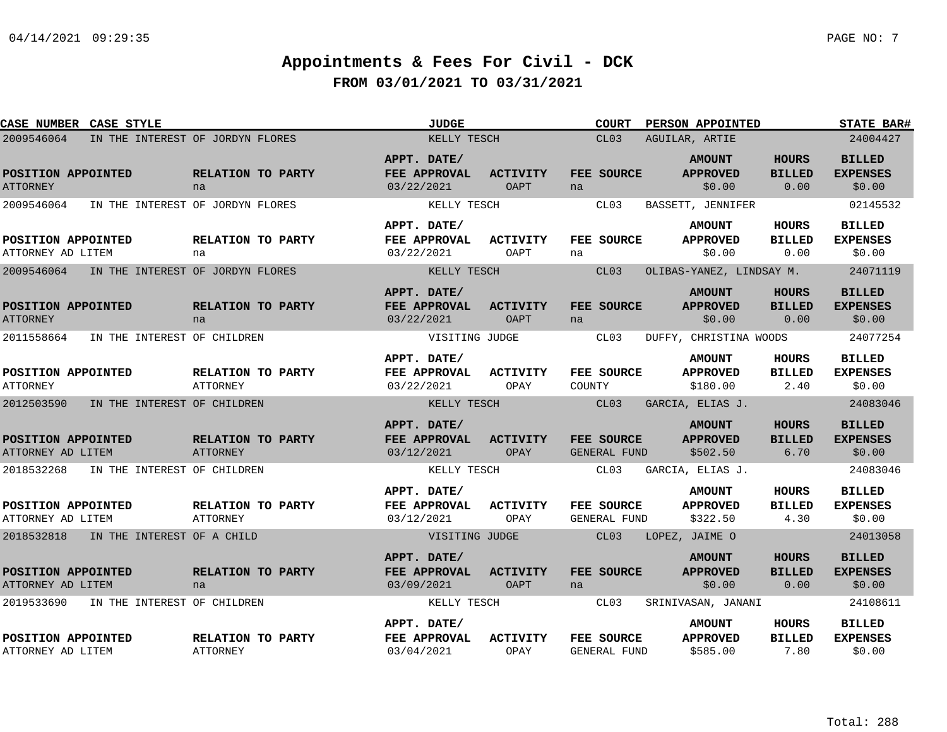| CASE NUMBER CASE STYLE                    |                                      | <b>JUDGE</b>                                     |                                | COURT                             | PERSON APPOINTED                             |                                       | <b>STATE BAR#</b>                          |
|-------------------------------------------|--------------------------------------|--------------------------------------------------|--------------------------------|-----------------------------------|----------------------------------------------|---------------------------------------|--------------------------------------------|
| 2009546064                                | IN THE INTEREST OF JORDYN FLORES     | KELLY TESCH                                      |                                | CL03                              | AGUILAR, ARTIE                               |                                       | 24004427                                   |
| POSITION APPOINTED<br><b>ATTORNEY</b>     | RELATION TO PARTY<br>na              | APPT. DATE/<br>FEE APPROVAL<br>03/22/2021        | <b>ACTIVITY</b><br><b>OAPT</b> | FEE SOURCE<br>na                  | <b>AMOUNT</b><br><b>APPROVED</b><br>\$0.00   | <b>HOURS</b><br><b>BILLED</b><br>0.00 | <b>BILLED</b><br><b>EXPENSES</b><br>\$0.00 |
| 2009546064                                | IN THE INTEREST OF JORDYN FLORES     | KELLY TESCH<br>APPT. DATE/                       |                                | CL03                              | BASSETT, JENNIFER<br><b>AMOUNT</b>           | HOURS                                 | 02145532<br><b>BILLED</b>                  |
| POSITION APPOINTED<br>ATTORNEY AD LITEM   | RELATION TO PARTY<br>na              | FEE APPROVAL<br>03/22/2021                       | ACTIVITY<br>OAPT               | FEE SOURCE<br>na                  | <b>APPROVED</b><br>\$0.00                    | <b>BILLED</b><br>0.00                 | <b>EXPENSES</b><br>\$0.00                  |
| 2009546064                                | IN THE INTEREST OF JORDYN FLORES     | KELLY TESCH                                      |                                | CL03                              | OLIBAS-YANEZ, LINDSAY M.                     |                                       | 24071119                                   |
| POSITION APPOINTED<br><b>ATTORNEY</b>     | RELATION TO PARTY<br>na              | APPT. DATE/<br>FEE APPROVAL<br>03/22/2021        | <b>ACTIVITY</b><br>OAPT        | FEE SOURCE<br>na                  | <b>AMOUNT</b><br><b>APPROVED</b><br>\$0.00   | HOURS<br><b>BILLED</b><br>0.00        | <b>BILLED</b><br><b>EXPENSES</b><br>\$0.00 |
| 2011558664<br>IN THE INTEREST OF CHILDREN |                                      | VISITING JUDGE                                   |                                | CL03                              | DUFFY, CHRISTINA WOODS                       |                                       | 24077254                                   |
| POSITION APPOINTED<br><b>ATTORNEY</b>     | RELATION TO PARTY<br><b>ATTORNEY</b> | APPT. DATE/<br>FEE APPROVAL<br>03/22/2021        | ACTIVITY<br>OPAY               | FEE SOURCE<br>COUNTY              | <b>AMOUNT</b><br><b>APPROVED</b><br>\$180.00 | HOURS<br><b>BILLED</b><br>2.40        | <b>BILLED</b><br><b>EXPENSES</b><br>\$0.00 |
| 2012503590<br>IN THE INTEREST OF CHILDREN |                                      | KELLY TESCH                                      |                                | CL03                              | GARCIA, ELIAS J.                             |                                       | 24083046                                   |
| POSITION APPOINTED<br>ATTORNEY AD LITEM   | RELATION TO PARTY<br><b>ATTORNEY</b> | APPT. DATE/<br>FEE APPROVAL<br>03/12/2021        | <b>ACTIVITY</b><br>OPAY        | <b>FEE SOURCE</b><br>GENERAL FUND | <b>AMOUNT</b><br><b>APPROVED</b><br>\$502.50 | <b>HOURS</b><br><b>BILLED</b><br>6.70 | <b>BILLED</b><br><b>EXPENSES</b><br>\$0.00 |
| 2018532268<br>IN THE INTEREST OF CHILDREN |                                      | KELLY TESCH                                      |                                | CL03                              | GARCIA, ELIAS J.                             |                                       | 24083046                                   |
| POSITION APPOINTED<br>ATTORNEY AD LITEM   | RELATION TO PARTY<br>ATTORNEY        | APPT. DATE/<br>FEE APPROVAL<br>03/12/2021        | <b>ACTIVITY</b><br>OPAY        | FEE SOURCE<br>GENERAL FUND        | <b>AMOUNT</b><br><b>APPROVED</b><br>\$322.50 | HOURS<br><b>BILLED</b><br>4.30        | <b>BILLED</b><br><b>EXPENSES</b><br>\$0.00 |
| 2018532818 IN THE INTEREST OF A CHILD     |                                      | VISITING JUDGE                                   |                                | CL03                              | LOPEZ, JAIME O                               |                                       | 24013058                                   |
| POSITION APPOINTED<br>ATTORNEY AD LITEM   | RELATION TO PARTY<br>na              | APPT. DATE/<br><b>FEE APPROVAL</b><br>03/09/2021 | <b>ACTIVITY</b><br>OAPT        | FEE SOURCE<br>na                  | <b>AMOUNT</b><br><b>APPROVED</b><br>\$0.00   | <b>HOURS</b><br><b>BILLED</b><br>0.00 | <b>BILLED</b><br><b>EXPENSES</b><br>\$0.00 |
| 2019533690<br>IN THE INTEREST OF CHILDREN |                                      | KELLY TESCH                                      |                                | CL03                              | SRINIVASAN, JANANI                           |                                       | 24108611                                   |
| POSITION APPOINTED<br>ATTORNEY AD LITEM   | RELATION TO PARTY<br><b>ATTORNEY</b> | APPT. DATE/<br>FEE APPROVAL<br>03/04/2021        | ACTIVITY<br>OPAY               | FEE SOURCE<br><b>GENERAL FUND</b> | <b>AMOUNT</b><br><b>APPROVED</b><br>\$585.00 | HOURS<br><b>BILLED</b><br>7.80        | <b>BILLED</b><br><b>EXPENSES</b><br>\$0.00 |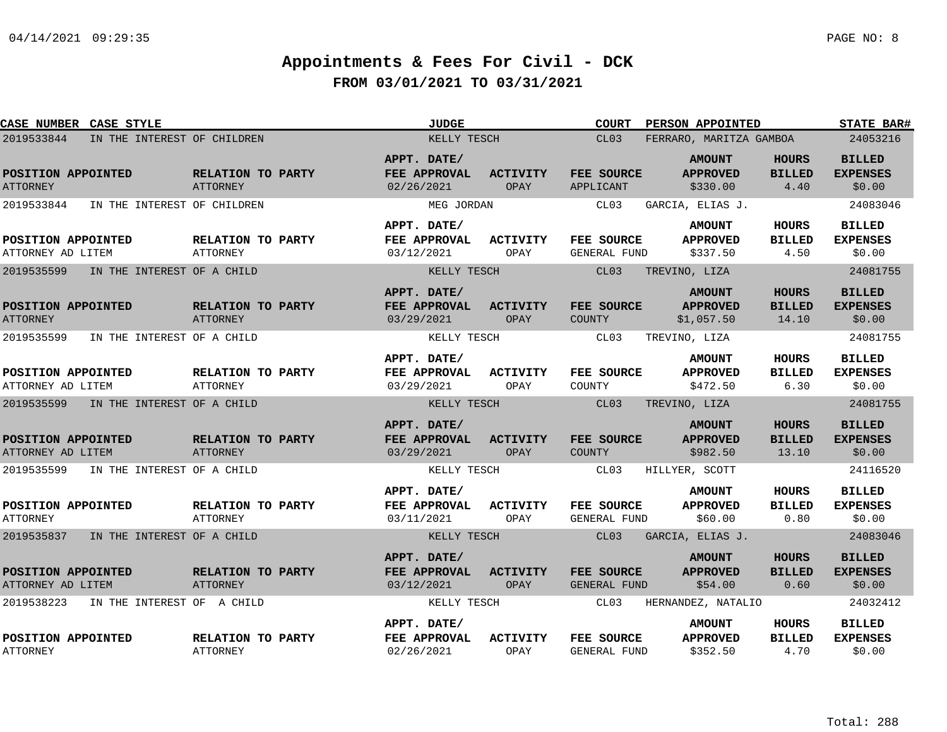| CASE NUMBER CASE STYLE                    |                                      | <b>JUDGE</b>                              |                         | <b>COURT</b>                | <b>PERSON APPOINTED</b>                        |                                        | <b>STATE BAR#</b>                          |
|-------------------------------------------|--------------------------------------|-------------------------------------------|-------------------------|-----------------------------|------------------------------------------------|----------------------------------------|--------------------------------------------|
| 2019533844<br>IN THE INTEREST OF CHILDREN | KELLY TESCH                          |                                           | CL03                    | FERRARO, MARITZA GAMBOA     |                                                | 24053216                               |                                            |
| POSITION APPOINTED<br><b>ATTORNEY</b>     | RELATION TO PARTY<br><b>ATTORNEY</b> | APPT. DATE/<br>FEE APPROVAL<br>02/26/2021 | <b>ACTIVITY</b><br>OPAY | FEE SOURCE<br>APPLICANT     | <b>AMOUNT</b><br><b>APPROVED</b><br>\$330.00   | <b>HOURS</b><br><b>BILLED</b><br>4.40  | <b>BILLED</b><br><b>EXPENSES</b><br>\$0.00 |
| 2019533844<br>IN THE INTEREST OF CHILDREN |                                      | MEG JORDAN                                |                         | CL03                        | GARCIA, ELIAS J.                               |                                        | 24083046                                   |
| POSITION APPOINTED<br>ATTORNEY AD LITEM   | RELATION TO PARTY<br><b>ATTORNEY</b> | APPT. DATE/<br>FEE APPROVAL<br>03/12/2021 | ACTIVITY<br>OPAY        | FEE SOURCE<br>GENERAL FUND  | <b>AMOUNT</b><br><b>APPROVED</b><br>\$337.50   | HOURS<br><b>BILLED</b><br>4.50         | <b>BILLED</b><br><b>EXPENSES</b><br>\$0.00 |
| 2019535599<br>IN THE INTEREST OF A CHILD  |                                      | KELLY TESCH                               |                         | CL03                        | TREVINO, LIZA                                  |                                        | 24081755                                   |
| POSITION APPOINTED<br><b>ATTORNEY</b>     | RELATION TO PARTY<br>ATTORNEY        | APPT. DATE/<br>FEE APPROVAL<br>03/29/2021 | <b>ACTIVITY</b><br>OPAY | FEE SOURCE<br><b>COUNTY</b> | <b>AMOUNT</b><br><b>APPROVED</b><br>\$1,057.50 | <b>HOURS</b><br><b>BILLED</b><br>14.10 | <b>BILLED</b><br><b>EXPENSES</b><br>\$0.00 |
| 2019535599<br>IN THE INTEREST OF A CHILD  |                                      | KELLY TESCH                               |                         | CL03                        | TREVINO, LIZA                                  |                                        | 24081755                                   |
| POSITION APPOINTED<br>ATTORNEY AD LITEM   | RELATION TO PARTY<br><b>ATTORNEY</b> | APPT. DATE/<br>FEE APPROVAL<br>03/29/2021 | ACTIVITY<br>OPAY        | FEE SOURCE<br>COUNTY        | <b>AMOUNT</b><br><b>APPROVED</b><br>\$472.50   | <b>HOURS</b><br><b>BILLED</b><br>6.30  | <b>BILLED</b><br><b>EXPENSES</b><br>\$0.00 |
| 2019535599<br>IN THE INTEREST OF A CHILD  |                                      | KELLY TESCH                               |                         | CL <sub>03</sub>            | TREVINO, LIZA                                  |                                        | 24081755                                   |
| POSITION APPOINTED<br>ATTORNEY AD LITEM   | RELATION TO PARTY<br>ATTORNEY        | APPT. DATE/<br>FEE APPROVAL<br>03/29/2021 | <b>ACTIVITY</b><br>OPAY | FEE SOURCE<br><b>COUNTY</b> | <b>AMOUNT</b><br><b>APPROVED</b><br>\$982.50   | <b>HOURS</b><br><b>BILLED</b><br>13.10 | <b>BILLED</b><br><b>EXPENSES</b><br>\$0.00 |
| 2019535599<br>IN THE INTEREST OF A CHILD  |                                      | KELLY TESCH                               |                         | CL03                        | HILLYER, SCOTT                                 |                                        | 24116520                                   |
| POSITION APPOINTED<br><b>ATTORNEY</b>     | RELATION TO PARTY<br>ATTORNEY        | APPT. DATE/<br>FEE APPROVAL<br>03/11/2021 | <b>ACTIVITY</b><br>OPAY | FEE SOURCE<br>GENERAL FUND  | <b>AMOUNT</b><br><b>APPROVED</b><br>\$60.00    | <b>HOURS</b><br><b>BILLED</b><br>0.80  | <b>BILLED</b><br><b>EXPENSES</b><br>\$0.00 |
| 2019535837<br>IN THE INTEREST OF A CHILD  |                                      | KELLY TESCH                               |                         | CL03                        | GARCIA, ELIAS J.                               |                                        | 24083046                                   |
| POSITION APPOINTED<br>ATTORNEY AD LITEM   | RELATION TO PARTY<br>ATTORNEY        | APPT. DATE/<br>FEE APPROVAL<br>03/12/2021 | <b>ACTIVITY</b><br>OPAY | FEE SOURCE<br>GENERAL FUND  | <b>AMOUNT</b><br><b>APPROVED</b><br>\$54.00    | <b>HOURS</b><br><b>BILLED</b><br>0.60  | <b>BILLED</b><br><b>EXPENSES</b><br>\$0.00 |
| 2019538223<br>IN THE INTEREST OF A CHILD  |                                      | KELLY TESCH                               |                         | CL03                        | HERNANDEZ, NATALIO                             |                                        | 24032412                                   |
| POSITION APPOINTED<br><b>ATTORNEY</b>     | RELATION TO PARTY<br><b>ATTORNEY</b> | APPT. DATE/<br>FEE APPROVAL<br>02/26/2021 | <b>ACTIVITY</b><br>OPAY | FEE SOURCE<br>GENERAL FUND  | <b>AMOUNT</b><br><b>APPROVED</b><br>\$352.50   | <b>HOURS</b><br><b>BILLED</b><br>4.70  | <b>BILLED</b><br><b>EXPENSES</b><br>\$0.00 |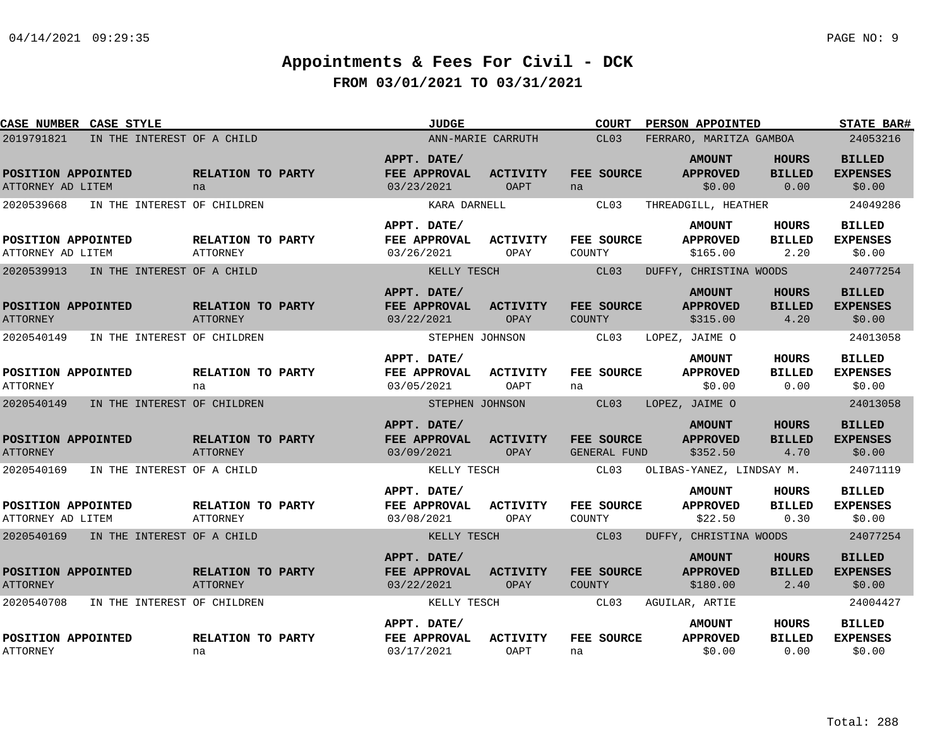| CASE NUMBER CASE STYLE                  |                                       |                                      | <b>JUDGE</b>                              |                                | <b>COURT</b>                | PERSON APPOINTED                             |                                       | <b>STATE BAR#</b>                          |
|-----------------------------------------|---------------------------------------|--------------------------------------|-------------------------------------------|--------------------------------|-----------------------------|----------------------------------------------|---------------------------------------|--------------------------------------------|
| 2019791821                              | IN THE INTEREST OF A CHILD            |                                      |                                           | ANN-MARIE CARRUTH              | CL03                        | FERRARO, MARITZA GAMBOA                      |                                       | 24053216                                   |
| POSITION APPOINTED<br>ATTORNEY AD LITEM |                                       | RELATION TO PARTY<br>na              | APPT. DATE/<br>FEE APPROVAL<br>03/23/2021 | <b>ACTIVITY</b><br><b>OAPT</b> | FEE SOURCE<br>na            | <b>AMOUNT</b><br><b>APPROVED</b><br>\$0.00   | <b>HOURS</b><br><b>BILLED</b><br>0.00 | <b>BILLED</b><br><b>EXPENSES</b><br>\$0.00 |
| 2020539668                              | IN THE INTEREST OF CHILDREN           |                                      | KARA DARNELL                              |                                | CL03                        | THREADGILL, HEATHER                          |                                       | 24049286                                   |
| POSITION APPOINTED<br>ATTORNEY AD LITEM |                                       | RELATION TO PARTY<br><b>ATTORNEY</b> | APPT. DATE/<br>FEE APPROVAL<br>03/26/2021 | ACTIVITY<br>OPAY               | FEE SOURCE<br>COUNTY        | <b>AMOUNT</b><br><b>APPROVED</b><br>\$165.00 | <b>HOURS</b><br><b>BILLED</b><br>2.20 | <b>BILLED</b><br><b>EXPENSES</b><br>\$0.00 |
| 2020539913                              | IN THE INTEREST OF A CHILD            |                                      | KELLY TESCH                               |                                | CL03                        | DUFFY, CHRISTINA WOODS                       |                                       | 24077254                                   |
| POSITION APPOINTED<br><b>ATTORNEY</b>   |                                       | RELATION TO PARTY<br>ATTORNEY        | APPT. DATE/<br>FEE APPROVAL<br>03/22/2021 | <b>ACTIVITY</b><br>OPAY        | FEE SOURCE<br><b>COUNTY</b> | <b>AMOUNT</b><br><b>APPROVED</b><br>\$315.00 | <b>HOURS</b><br><b>BILLED</b><br>4.20 | <b>BILLED</b><br><b>EXPENSES</b><br>\$0.00 |
| 2020540149                              | IN THE INTEREST OF CHILDREN           |                                      | STEPHEN JOHNSON                           |                                | CL03                        | LOPEZ, JAIME O                               |                                       | 24013058                                   |
| POSITION APPOINTED<br><b>ATTORNEY</b>   |                                       | RELATION TO PARTY<br>na              | APPT. DATE/<br>FEE APPROVAL<br>03/05/2021 | <b>ACTIVITY</b><br>OAPT        | FEE SOURCE<br>na            | <b>AMOUNT</b><br><b>APPROVED</b><br>\$0.00   | <b>HOURS</b><br><b>BILLED</b><br>0.00 | <b>BILLED</b><br><b>EXPENSES</b><br>\$0.00 |
| 2020540149                              | IN THE INTEREST OF CHILDREN           |                                      | STEPHEN JOHNSON                           |                                | CL03                        | LOPEZ, JAIME O                               |                                       | 24013058                                   |
| POSITION APPOINTED<br><b>ATTORNEY</b>   |                                       | RELATION TO PARTY<br><b>ATTORNEY</b> | APPT. DATE/<br>FEE APPROVAL<br>03/09/2021 | <b>ACTIVITY</b><br>OPAY        | FEE SOURCE<br>GENERAL FUND  | <b>AMOUNT</b><br><b>APPROVED</b><br>\$352.50 | <b>HOURS</b><br><b>BILLED</b><br>4.70 | <b>BILLED</b><br><b>EXPENSES</b><br>\$0.00 |
| 2020540169                              | IN THE INTEREST OF A CHILD            |                                      | KELLY TESCH                               |                                | CL03                        | OLIBAS-YANEZ, LINDSAY M.                     |                                       | 24071119                                   |
| POSITION APPOINTED<br>ATTORNEY AD LITEM |                                       | RELATION TO PARTY<br><b>ATTORNEY</b> | APPT. DATE/<br>FEE APPROVAL<br>03/08/2021 | <b>ACTIVITY</b><br>OPAY        | FEE SOURCE<br>COUNTY        | <b>AMOUNT</b><br><b>APPROVED</b><br>\$22.50  | <b>HOURS</b><br><b>BILLED</b><br>0.30 | <b>BILLED</b><br><b>EXPENSES</b><br>\$0.00 |
|                                         | 2020540169 IN THE INTEREST OF A CHILD |                                      | KELLY TESCH                               |                                | CL03                        | DUFFY, CHRISTINA WOODS                       |                                       | 24077254                                   |
| POSITION APPOINTED<br><b>ATTORNEY</b>   |                                       | RELATION TO PARTY<br>ATTORNEY        | APPT. DATE/<br>FEE APPROVAL<br>03/22/2021 | <b>ACTIVITY</b><br>OPAY        | FEE SOURCE<br>COUNTY        | <b>AMOUNT</b><br><b>APPROVED</b><br>\$180.00 | <b>HOURS</b><br><b>BILLED</b><br>2.40 | <b>BILLED</b><br><b>EXPENSES</b><br>\$0.00 |
| 2020540708                              | IN THE INTEREST OF CHILDREN           |                                      | KELLY TESCH                               |                                | CL03                        | AGUILAR, ARTIE                               |                                       | 24004427                                   |
| POSITION APPOINTED<br><b>ATTORNEY</b>   |                                       | RELATION TO PARTY<br>na              | APPT. DATE/<br>FEE APPROVAL<br>03/17/2021 | <b>ACTIVITY</b><br><b>OAPT</b> | FEE SOURCE<br>na            | <b>AMOUNT</b><br><b>APPROVED</b><br>\$0.00   | <b>HOURS</b><br><b>BILLED</b><br>0.00 | <b>BILLED</b><br><b>EXPENSES</b><br>\$0.00 |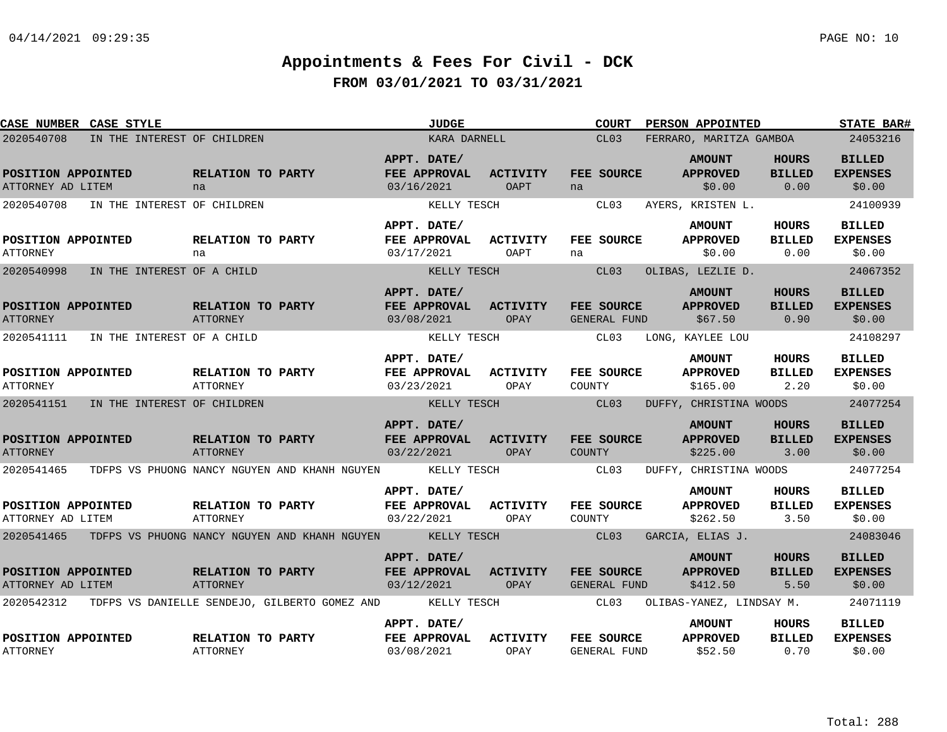| CASE NUMBER CASE STYLE                  |                                       |                                      |                                                                      | <b>JUDGE</b>                |                         | <b>COURT</b>                             | PERSON APPOINTED                 |                        | STATE BAR#                       |
|-----------------------------------------|---------------------------------------|--------------------------------------|----------------------------------------------------------------------|-----------------------------|-------------------------|------------------------------------------|----------------------------------|------------------------|----------------------------------|
| 2020540708                              | IN THE INTEREST OF CHILDREN           |                                      |                                                                      | KARA DARNELL                |                         | CL03                                     | FERRARO, MARITZA GAMBOA          |                        | 24053216                         |
| POSITION APPOINTED                      |                                       | RELATION TO PARTY                    |                                                                      | APPT. DATE/<br>FEE APPROVAL | <b>ACTIVITY</b>         | FEE SOURCE                               | <b>AMOUNT</b><br><b>APPROVED</b> | HOURS<br><b>BILLED</b> | <b>BILLED</b><br><b>EXPENSES</b> |
| ATTORNEY AD LITEM                       |                                       | na                                   |                                                                      | 03/16/2021                  | OAPT                    | na                                       | \$0.00                           | 0.00                   | \$0.00                           |
| 2020540708                              | IN THE INTEREST OF CHILDREN           |                                      |                                                                      | KELLY TESCH                 |                         | CL03                                     | AYERS, KRISTEN L.                |                        | 24100939                         |
|                                         |                                       |                                      |                                                                      | APPT. DATE/                 |                         |                                          | <b>AMOUNT</b>                    | <b>HOURS</b>           | <b>BILLED</b>                    |
| POSITION APPOINTED<br><b>ATTORNEY</b>   |                                       | RELATION TO PARTY<br>na              |                                                                      | FEE APPROVAL<br>03/17/2021  | <b>ACTIVITY</b><br>OAPT | FEE SOURCE<br>na                         | <b>APPROVED</b><br>\$0.00        | <b>BILLED</b><br>0.00  | <b>EXPENSES</b><br>\$0.00        |
| 2020540998                              | IN THE INTEREST OF A CHILD            |                                      |                                                                      | KELLY TESCH                 |                         | CL03                                     | OLIBAS, LEZLIE D.                |                        | 24067352                         |
|                                         |                                       |                                      |                                                                      | APPT. DATE/                 |                         |                                          | <b>AMOUNT</b>                    | <b>HOURS</b>           | <b>BILLED</b>                    |
| POSITION APPOINTED<br><b>ATTORNEY</b>   |                                       | RELATION TO PARTY<br>ATTORNEY        |                                                                      | FEE APPROVAL<br>03/08/2021  | <b>ACTIVITY</b><br>OPAY | <b>FEE SOURCE</b><br><b>GENERAL FUND</b> | <b>APPROVED</b><br>\$67.50       | <b>BILLED</b><br>0.90  | <b>EXPENSES</b><br>\$0.00        |
|                                         | 2020541111 IN THE INTEREST OF A CHILD |                                      |                                                                      | KELLY TESCH                 |                         | CL03                                     | LONG, KAYLEE LOU                 |                        | 24108297                         |
|                                         |                                       |                                      |                                                                      | APPT. DATE/                 |                         |                                          | <b>AMOUNT</b>                    | <b>HOURS</b>           | <b>BILLED</b>                    |
| POSITION APPOINTED<br><b>ATTORNEY</b>   |                                       | RELATION TO PARTY<br>ATTORNEY        |                                                                      | FEE APPROVAL<br>03/23/2021  | <b>ACTIVITY</b><br>OPAY | FEE SOURCE<br>COUNTY                     | <b>APPROVED</b><br>\$165.00      | <b>BILLED</b><br>2.20  | <b>EXPENSES</b><br>\$0.00        |
| 2020541151                              | IN THE INTEREST OF CHILDREN           |                                      |                                                                      | KELLY TESCH                 |                         | CL03                                     | DUFFY, CHRISTINA WOODS           |                        | 24077254                         |
|                                         |                                       |                                      |                                                                      | APPT. DATE/                 |                         |                                          | <b>AMOUNT</b>                    | <b>HOURS</b>           | <b>BILLED</b>                    |
| POSITION APPOINTED<br><b>ATTORNEY</b>   |                                       | RELATION TO PARTY<br><b>ATTORNEY</b> |                                                                      | FEE APPROVAL<br>03/22/2021  | <b>ACTIVITY</b><br>OPAY | <b>FEE SOURCE</b><br>COUNTY              | <b>APPROVED</b><br>\$225.00      | <b>BILLED</b><br>3.00  | <b>EXPENSES</b><br>\$0.00        |
| 2020541465                              |                                       |                                      | TDFPS VS PHUONG NANCY NGUYEN AND KHANH NGUYEN                        | KELLY TESCH                 |                         | CL03                                     | DUFFY, CHRISTINA WOODS           |                        | 24077254                         |
|                                         |                                       |                                      |                                                                      | APPT. DATE/                 |                         |                                          | <b>AMOUNT</b>                    | <b>HOURS</b>           | <b>BILLED</b>                    |
| POSITION APPOINTED<br>ATTORNEY AD LITEM |                                       | <b>RELATION TO PARTY</b><br>ATTORNEY |                                                                      | FEE APPROVAL<br>03/22/2021  | <b>ACTIVITY</b><br>OPAY | FEE SOURCE<br>COUNTY                     | <b>APPROVED</b><br>\$262.50      | BILLED<br>3.50         | <b>EXPENSES</b><br>\$0.00        |
|                                         |                                       |                                      | 2020541465 TDFPS VS PHUONG NANCY NGUYEN AND KHANH NGUYEN KELLY TESCH |                             |                         | CL03                                     | GARCIA, ELIAS J.                 |                        | 24083046                         |
|                                         |                                       |                                      |                                                                      | APPT. DATE/                 |                         |                                          | <b>AMOUNT</b>                    | HOURS                  | <b>BILLED</b>                    |
| POSITION APPOINTED<br>ATTORNEY AD LITEM |                                       | RELATION TO PARTY<br>ATTORNEY        |                                                                      | FEE APPROVAL<br>03/12/2021  | <b>ACTIVITY</b><br>OPAY | <b>FEE SOURCE</b><br><b>GENERAL FUND</b> | <b>APPROVED</b><br>\$412.50      | <b>BILLED</b><br>5.50  | <b>EXPENSES</b><br>\$0.00        |
| 2020542312                              |                                       |                                      | TDFPS VS DANIELLE SENDEJO, GILBERTO GOMEZ AND                        | KELLY TESCH                 |                         | CL03                                     | OLIBAS-YANEZ, LINDSAY M.         |                        | 24071119                         |
|                                         |                                       |                                      |                                                                      | APPT. DATE/                 |                         |                                          | <b>AMOUNT</b>                    | <b>HOURS</b>           | <b>BILLED</b>                    |
| POSITION APPOINTED<br><b>ATTORNEY</b>   |                                       | RELATION TO PARTY<br><b>ATTORNEY</b> |                                                                      | FEE APPROVAL<br>03/08/2021  | <b>ACTIVITY</b><br>OPAY | FEE SOURCE<br>GENERAL FUND               | <b>APPROVED</b><br>\$52.50       | <b>BILLED</b><br>0.70  | <b>EXPENSES</b><br>\$0.00        |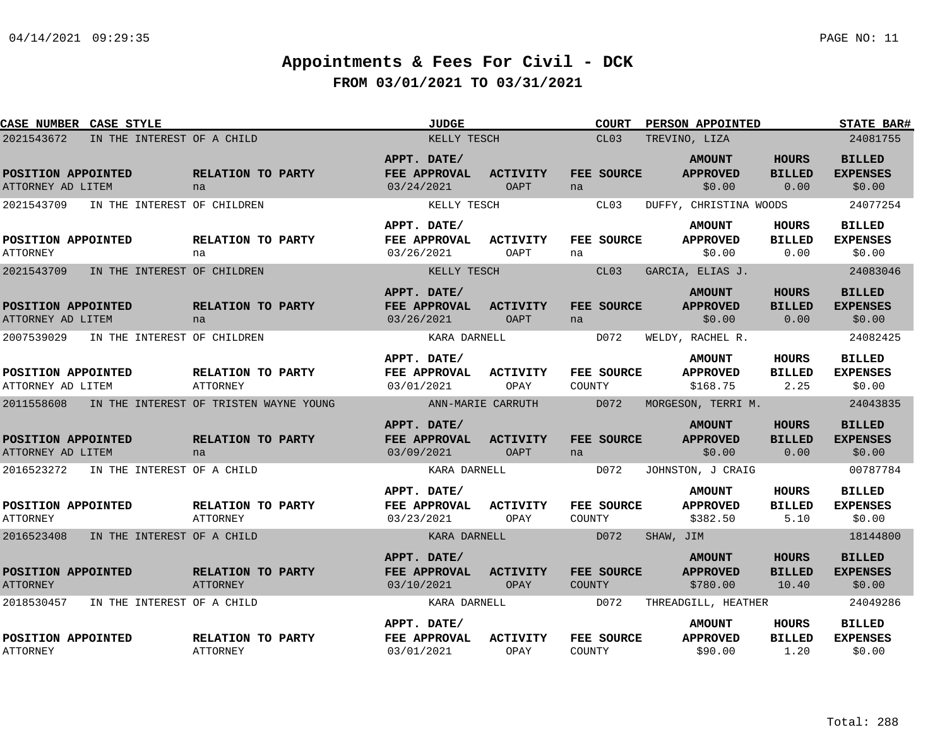| CASE NUMBER CASE STYLE                  |                             |                                        | <b>JUDGE</b>                                     |                                | <b>COURT</b>                | <b>PERSON APPOINTED</b>                      |                                        | <b>STATE BAR#</b>                          |
|-----------------------------------------|-----------------------------|----------------------------------------|--------------------------------------------------|--------------------------------|-----------------------------|----------------------------------------------|----------------------------------------|--------------------------------------------|
| 2021543672                              | IN THE INTEREST OF A CHILD  |                                        | KELLY TESCH                                      |                                | CL03                        | TREVINO, LIZA                                |                                        | 24081755                                   |
| POSITION APPOINTED<br>ATTORNEY AD LITEM |                             | RELATION TO PARTY<br>na                | APPT. DATE/<br><b>FEE APPROVAL</b><br>03/24/2021 | <b>ACTIVITY</b><br>OAPT        | FEE SOURCE<br>na            | <b>AMOUNT</b><br><b>APPROVED</b><br>\$0.00   | <b>HOURS</b><br><b>BILLED</b><br>0.00  | <b>BILLED</b><br><b>EXPENSES</b><br>\$0.00 |
| 2021543709                              | IN THE INTEREST OF CHILDREN |                                        | KELLY TESCH                                      |                                | CL03                        | DUFFY, CHRISTINA WOODS                       |                                        | 24077254                                   |
| POSITION APPOINTED<br><b>ATTORNEY</b>   |                             | RELATION TO PARTY<br>na                | APPT. DATE/<br>FEE APPROVAL<br>03/26/2021        | ACTIVITY<br>OAPT               | FEE SOURCE<br>na            | <b>AMOUNT</b><br><b>APPROVED</b><br>\$0.00   | HOURS<br><b>BILLED</b><br>0.00         | <b>BILLED</b><br><b>EXPENSES</b><br>\$0.00 |
| 2021543709                              | IN THE INTEREST OF CHILDREN |                                        | KELLY TESCH                                      |                                | CL03                        | GARCIA, ELIAS J.                             |                                        | 24083046                                   |
| POSITION APPOINTED<br>ATTORNEY AD LITEM |                             | RELATION TO PARTY<br>na                | APPT. DATE/<br>FEE APPROVAL<br>03/26/2021        | <b>ACTIVITY</b><br><b>OAPT</b> | FEE SOURCE<br>na            | <b>AMOUNT</b><br><b>APPROVED</b><br>\$0.00   | <b>HOURS</b><br><b>BILLED</b><br>0.00  | <b>BILLED</b><br><b>EXPENSES</b><br>\$0.00 |
| 2007539029                              | IN THE INTEREST OF CHILDREN |                                        | KARA DARNELL                                     |                                | D072                        | WELDY, RACHEL R.                             |                                        | 24082425                                   |
| POSITION APPOINTED<br>ATTORNEY AD LITEM |                             | RELATION TO PARTY<br><b>ATTORNEY</b>   | APPT. DATE/<br>FEE APPROVAL<br>03/01/2021        | ACTIVITY<br>OPAY               | FEE SOURCE<br>COUNTY        | <b>AMOUNT</b><br><b>APPROVED</b><br>\$168.75 | HOURS<br><b>BILLED</b><br>2.25         | <b>BILLED</b><br><b>EXPENSES</b><br>\$0.00 |
| 2011558608                              |                             | IN THE INTEREST OF TRISTEN WAYNE YOUNG | ANN-MARIE CARRUTH                                |                                | D072                        | MORGESON, TERRI M.                           |                                        | 24043835                                   |
| POSITION APPOINTED<br>ATTORNEY AD LITEM |                             | RELATION TO PARTY<br>na                | APPT. DATE/<br>FEE APPROVAL<br>03/09/2021        | <b>ACTIVITY</b><br><b>OAPT</b> | FEE SOURCE<br>na            | <b>AMOUNT</b><br><b>APPROVED</b><br>\$0.00   | <b>HOURS</b><br><b>BILLED</b><br>0.00  | <b>BILLED</b><br><b>EXPENSES</b><br>\$0.00 |
| 2016523272                              | IN THE INTEREST OF A CHILD  |                                        | KARA DARNELL                                     |                                | D072                        | JOHNSTON, J CRAIG                            |                                        | 00787784                                   |
| POSITION APPOINTED<br><b>ATTORNEY</b>   |                             | RELATION TO PARTY<br>ATTORNEY          | APPT. DATE/<br>FEE APPROVAL<br>03/23/2021        | <b>ACTIVITY</b><br>OPAY        | FEE SOURCE<br>COUNTY        | <b>AMOUNT</b><br><b>APPROVED</b><br>\$382.50 | HOURS<br><b>BILLED</b><br>5.10         | <b>BILLED</b><br><b>EXPENSES</b><br>\$0.00 |
| 2016523408                              | IN THE INTEREST OF A CHILD  |                                        | KARA DARNELL                                     |                                | D072                        | SHAW, JIM                                    |                                        | 18144800                                   |
| POSITION APPOINTED<br><b>ATTORNEY</b>   |                             | RELATION TO PARTY<br><b>ATTORNEY</b>   | APPT. DATE/<br>FEE APPROVAL<br>03/10/2021        | ACTIVITY<br>OPAY               | FEE SOURCE<br><b>COUNTY</b> | <b>AMOUNT</b><br><b>APPROVED</b><br>\$780.00 | <b>HOURS</b><br><b>BILLED</b><br>10.40 | <b>BILLED</b><br><b>EXPENSES</b><br>\$0.00 |
| 2018530457                              | IN THE INTEREST OF A CHILD  |                                        | KARA DARNELL                                     |                                | D072                        | THREADGILL, HEATHER                          |                                        | 24049286                                   |
| POSITION APPOINTED<br><b>ATTORNEY</b>   |                             | RELATION TO PARTY<br>ATTORNEY          | APPT. DATE/<br>FEE APPROVAL<br>03/01/2021        | <b>ACTIVITY</b><br>OPAY        | FEE SOURCE<br>COUNTY        | <b>AMOUNT</b><br><b>APPROVED</b><br>\$90.00  | HOURS<br><b>BILLED</b><br>1.20         | <b>BILLED</b><br><b>EXPENSES</b><br>\$0.00 |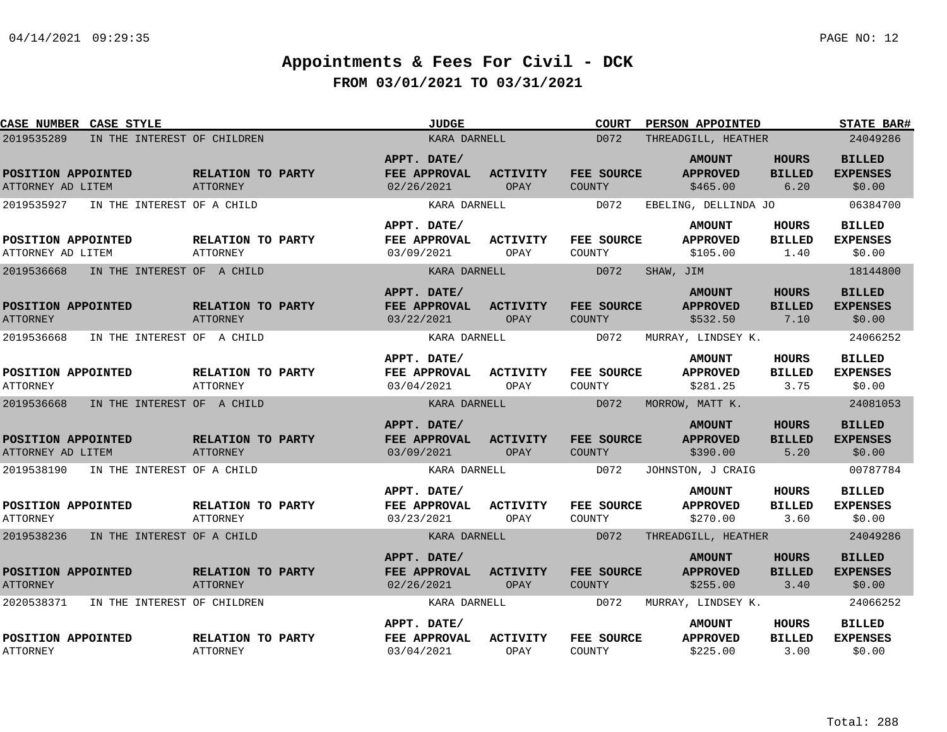| CASE NUMBER CASE STYLE                    |                                      | <b>JUDGE</b>                              |                         | <b>COURT</b>                | PERSON APPOINTED                             |                                       | <b>STATE BAR#</b>                          |
|-------------------------------------------|--------------------------------------|-------------------------------------------|-------------------------|-----------------------------|----------------------------------------------|---------------------------------------|--------------------------------------------|
| 2019535289<br>IN THE INTEREST OF CHILDREN |                                      | KARA DARNELL                              |                         | D072                        | THREADGILL, HEATHER                          |                                       | 24049286                                   |
| POSITION APPOINTED<br>ATTORNEY AD LITEM   | <b>RELATION TO PARTY</b><br>ATTORNEY | APPT. DATE/<br>FEE APPROVAL<br>02/26/2021 | <b>ACTIVITY</b><br>OPAY | FEE SOURCE<br><b>COUNTY</b> | <b>AMOUNT</b><br><b>APPROVED</b><br>\$465.00 | <b>HOURS</b><br><b>BILLED</b><br>6.20 | <b>BILLED</b><br><b>EXPENSES</b><br>\$0.00 |
| 2019535927<br>IN THE INTEREST OF A CHILD  |                                      | KARA DARNELL                              |                         | D072                        | EBELING, DELLINDA JO                         |                                       | 06384700                                   |
| POSITION APPOINTED<br>ATTORNEY AD LITEM   | <b>RELATION TO PARTY</b><br>ATTORNEY | APPT. DATE/<br>FEE APPROVAL<br>03/09/2021 | <b>ACTIVITY</b><br>OPAY | <b>FEE SOURCE</b><br>COUNTY | <b>AMOUNT</b><br><b>APPROVED</b><br>\$105.00 | <b>HOURS</b><br><b>BILLED</b><br>1.40 | <b>BILLED</b><br><b>EXPENSES</b><br>\$0.00 |
| 2019536668<br>IN THE INTEREST OF A CHILD  |                                      | KARA DARNELL                              |                         | D072                        | SHAW, JIM                                    |                                       | 18144800                                   |
| POSITION APPOINTED<br><b>ATTORNEY</b>     | RELATION TO PARTY<br>ATTORNEY        | APPT. DATE/<br>FEE APPROVAL<br>03/22/2021 | ACTIVITY<br>OPAY        | FEE SOURCE<br>COUNTY        | <b>AMOUNT</b><br><b>APPROVED</b><br>\$532.50 | <b>HOURS</b><br><b>BILLED</b><br>7.10 | <b>BILLED</b><br><b>EXPENSES</b><br>\$0.00 |
| 2019536668<br>IN THE INTEREST OF A CHILD  |                                      | KARA DARNELL                              |                         | D072                        | MURRAY, LINDSEY K.                           |                                       | 24066252                                   |
| POSITION APPOINTED<br><b>ATTORNEY</b>     | RELATION TO PARTY<br>ATTORNEY        | APPT. DATE/<br>FEE APPROVAL<br>03/04/2021 | <b>ACTIVITY</b><br>OPAY | FEE SOURCE<br>COUNTY        | <b>AMOUNT</b><br><b>APPROVED</b><br>\$281.25 | <b>HOURS</b><br><b>BILLED</b><br>3.75 | <b>BILLED</b><br><b>EXPENSES</b><br>\$0.00 |
| 2019536668<br>IN THE INTEREST OF A CHILD  |                                      | KARA DARNELL                              |                         | D072                        | MORROW, MATT K.                              |                                       | 24081053                                   |
| POSITION APPOINTED<br>ATTORNEY AD LITEM   | RELATION TO PARTY<br>ATTORNEY        | APPT. DATE/<br>FEE APPROVAL<br>03/09/2021 | <b>ACTIVITY</b><br>OPAY | FEE SOURCE<br><b>COUNTY</b> | <b>AMOUNT</b><br><b>APPROVED</b><br>\$390.00 | <b>HOURS</b><br><b>BILLED</b><br>5.20 | <b>BILLED</b><br><b>EXPENSES</b><br>\$0.00 |
| 2019538190<br>IN THE INTEREST OF A CHILD  |                                      | KARA DARNELL                              |                         | D072                        | JOHNSTON, J CRAIG                            |                                       | 00787784                                   |
| POSITION APPOINTED<br><b>ATTORNEY</b>     | RELATION TO PARTY<br>ATTORNEY        | APPT. DATE/<br>FEE APPROVAL<br>03/23/2021 | <b>ACTIVITY</b><br>OPAY | FEE SOURCE<br>COUNTY        | <b>AMOUNT</b><br><b>APPROVED</b><br>\$270.00 | <b>HOURS</b><br><b>BILLED</b><br>3.60 | <b>BILLED</b><br><b>EXPENSES</b><br>\$0.00 |
| 2019538236<br>IN THE INTEREST OF A CHILD  |                                      | KARA DARNELL                              |                         | D072                        | THREADGILL, HEATHER                          |                                       | 24049286                                   |
| POSITION APPOINTED<br><b>ATTORNEY</b>     | RELATION TO PARTY<br>ATTORNEY        | APPT. DATE/<br>FEE APPROVAL<br>02/26/2021 | <b>ACTIVITY</b><br>OPAY | FEE SOURCE<br>COUNTY        | <b>AMOUNT</b><br><b>APPROVED</b><br>\$255.00 | HOURS<br><b>BILLED</b><br>3.40        | <b>BILLED</b><br><b>EXPENSES</b><br>\$0.00 |
| 2020538371<br>IN THE INTEREST OF CHILDREN |                                      | KARA DARNELL                              |                         | D072                        | MURRAY, LINDSEY K.                           |                                       | 24066252                                   |
| POSITION APPOINTED<br><b>ATTORNEY</b>     | RELATION TO PARTY<br><b>ATTORNEY</b> | APPT. DATE/<br>FEE APPROVAL<br>03/04/2021 | <b>ACTIVITY</b><br>OPAY | FEE SOURCE<br>COUNTY        | <b>AMOUNT</b><br><b>APPROVED</b><br>\$225.00 | HOURS<br><b>BILLED</b><br>3.00        | <b>BILLED</b><br><b>EXPENSES</b><br>\$0.00 |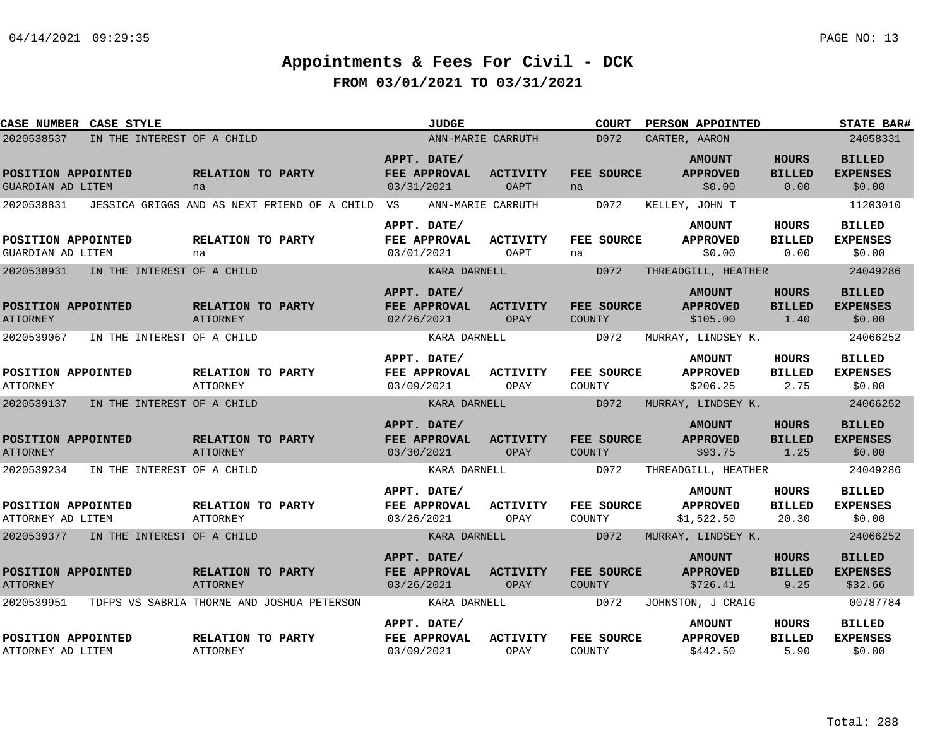| <b>CASE NUMBER CASE STYLE</b>           |                                       |                                                            | <b>JUDGE</b>                              |                         | <b>COURT</b>            | PERSON APPOINTED                               |                                       | <b>STATE BAR#</b>                           |
|-----------------------------------------|---------------------------------------|------------------------------------------------------------|-------------------------------------------|-------------------------|-------------------------|------------------------------------------------|---------------------------------------|---------------------------------------------|
| 2020538537                              | IN THE INTEREST OF A CHILD            |                                                            |                                           | ANN-MARIE CARRUTH       | D072                    | CARTER, AARON                                  |                                       | 24058331                                    |
| POSITION APPOINTED<br>GUARDIAN AD LITEM |                                       | RELATION TO PARTY<br>na                                    | APPT. DATE/<br>FEE APPROVAL<br>03/31/2021 | <b>ACTIVITY</b><br>OAPT | FEE SOURCE<br>na        | <b>AMOUNT</b><br><b>APPROVED</b><br>\$0.00     | <b>HOURS</b><br><b>BILLED</b><br>0.00 | <b>BILLED</b><br><b>EXPENSES</b><br>\$0.00  |
|                                         |                                       | 2020538831 JESSICA GRIGGS AND AS NEXT FRIEND OF A CHILD VS |                                           | ANN-MARIE CARRUTH       | D072                    | KELLEY, JOHN T                                 |                                       | 11203010                                    |
| POSITION APPOINTED<br>GUARDIAN AD LITEM |                                       | RELATION TO PARTY<br>na                                    | APPT. DATE/<br>FEE APPROVAL<br>03/01/2021 | ACTIVITY<br>OAPT        | <b>FEE SOURCE</b><br>na | <b>AMOUNT</b><br><b>APPROVED</b><br>\$0.00     | HOURS<br><b>BILLED</b><br>0.00        | <b>BILLED</b><br><b>EXPENSES</b><br>\$0.00  |
| 2020538931                              | IN THE INTEREST OF A CHILD            |                                                            | KARA DARNELL                              |                         | D072                    | THREADGILL, HEATHER                            |                                       | 24049286                                    |
| POSITION APPOINTED<br><b>ATTORNEY</b>   |                                       | RELATION TO PARTY<br><b>ATTORNEY</b>                       | APPT. DATE/<br>FEE APPROVAL<br>02/26/2021 | <b>ACTIVITY</b><br>OPAY | FEE SOURCE<br>COUNTY    | <b>AMOUNT</b><br><b>APPROVED</b><br>\$105.00   | <b>HOURS</b><br><b>BILLED</b><br>1.40 | <b>BILLED</b><br><b>EXPENSES</b><br>\$0.00  |
|                                         | 2020539067 IN THE INTEREST OF A CHILD |                                                            | KARA DARNELL                              |                         | D072                    | MURRAY, LINDSEY K.                             |                                       | 24066252                                    |
| POSITION APPOINTED<br><b>ATTORNEY</b>   |                                       | RELATION TO PARTY<br>ATTORNEY                              | APPT. DATE/<br>FEE APPROVAL<br>03/09/2021 | <b>ACTIVITY</b><br>OPAY | FEE SOURCE<br>COUNTY    | <b>AMOUNT</b><br><b>APPROVED</b><br>\$206.25   | <b>HOURS</b><br><b>BILLED</b><br>2.75 | <b>BILLED</b><br><b>EXPENSES</b><br>\$0.00  |
|                                         | 2020539137 IN THE INTEREST OF A CHILD |                                                            | KARA DARNELL                              |                         | D072                    | MURRAY, LINDSEY K.                             |                                       | 24066252                                    |
| POSITION APPOINTED<br><b>ATTORNEY</b>   |                                       | RELATION TO PARTY<br><b>ATTORNEY</b>                       | APPT. DATE/<br>FEE APPROVAL<br>03/30/2021 | <b>ACTIVITY</b><br>OPAY | FEE SOURCE<br>COUNTY    | <b>AMOUNT</b><br><b>APPROVED</b><br>\$93.75    | <b>HOURS</b><br><b>BILLED</b><br>1.25 | <b>BILLED</b><br><b>EXPENSES</b><br>\$0.00  |
|                                         | 2020539234 IN THE INTEREST OF A CHILD |                                                            | KARA DARNELL                              |                         | D072                    | THREADGILL, HEATHER                            |                                       | 24049286                                    |
| POSITION APPOINTED<br>ATTORNEY AD LITEM |                                       | RELATION TO PARTY<br>ATTORNEY                              | APPT. DATE/<br>FEE APPROVAL<br>03/26/2021 | <b>ACTIVITY</b><br>OPAY | FEE SOURCE<br>COUNTY    | <b>AMOUNT</b><br><b>APPROVED</b><br>\$1,522.50 | HOURS<br><b>BILLED</b><br>20.30       | <b>BILLED</b><br><b>EXPENSES</b><br>\$0.00  |
|                                         | 2020539377 IN THE INTEREST OF A CHILD |                                                            | KARA DARNELL                              |                         | D072                    | MURRAY, LINDSEY K.                             |                                       | 24066252                                    |
| POSITION APPOINTED<br><b>ATTORNEY</b>   |                                       | RELATION TO PARTY<br><b>ATTORNEY</b>                       | APPT. DATE/<br>FEE APPROVAL<br>03/26/2021 | ACTIVITY<br>OPAY        | FEE SOURCE<br>COUNTY    | <b>AMOUNT</b><br><b>APPROVED</b><br>\$726.41   | <b>HOURS</b><br><b>BILLED</b><br>9.25 | <b>BILLED</b><br><b>EXPENSES</b><br>\$32.66 |
|                                         |                                       | 2020539951 TDFPS VS SABRIA THORNE AND JOSHUA PETERSON      | KARA DARNELL                              |                         | D072                    | JOHNSTON, J CRAIG                              |                                       | 00787784                                    |
| POSITION APPOINTED<br>ATTORNEY AD LITEM |                                       | RELATION TO PARTY<br><b>ATTORNEY</b>                       | APPT. DATE/<br>FEE APPROVAL<br>03/09/2021 | <b>ACTIVITY</b><br>OPAY | FEE SOURCE<br>COUNTY    | <b>AMOUNT</b><br><b>APPROVED</b><br>\$442.50   | <b>HOURS</b><br><b>BILLED</b><br>5.90 | <b>BILLED</b><br><b>EXPENSES</b><br>\$0.00  |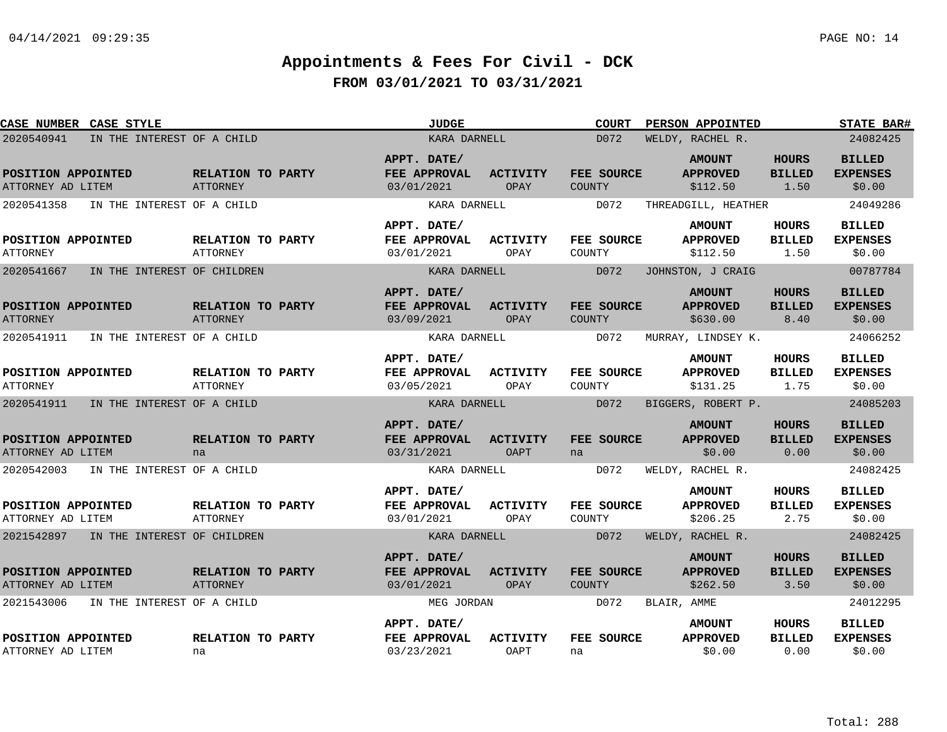| CASE NUMBER CASE STYLE                    |                                      | <b>JUDGE</b>                                     |                                | <b>COURT</b>                | PERSON APPOINTED                             |                                       | <b>STATE BAR#</b>                          |
|-------------------------------------------|--------------------------------------|--------------------------------------------------|--------------------------------|-----------------------------|----------------------------------------------|---------------------------------------|--------------------------------------------|
| 2020540941<br>IN THE INTEREST OF A CHILD  |                                      | KARA DARNELL                                     |                                | D072                        | WELDY, RACHEL R.                             |                                       | 24082425                                   |
| POSITION APPOINTED<br>ATTORNEY AD LITEM   | <b>RELATION TO PARTY</b><br>ATTORNEY | APPT. DATE/<br><b>FEE APPROVAL</b><br>03/01/2021 | <b>ACTIVITY</b><br>OPAY        | FEE SOURCE<br><b>COUNTY</b> | <b>AMOUNT</b><br><b>APPROVED</b><br>\$112.50 | <b>HOURS</b><br><b>BILLED</b><br>1.50 | <b>BILLED</b><br><b>EXPENSES</b><br>\$0.00 |
| IN THE INTEREST OF A CHILD<br>2020541358  |                                      | KARA DARNELL                                     |                                | D072                        | THREADGILL, HEATHER                          |                                       | 24049286                                   |
| POSITION APPOINTED<br><b>ATTORNEY</b>     | RELATION TO PARTY<br><b>ATTORNEY</b> | APPT. DATE/<br>FEE APPROVAL<br>03/01/2021        | ACTIVITY<br>OPAY               | <b>FEE SOURCE</b><br>COUNTY | <b>AMOUNT</b><br><b>APPROVED</b><br>\$112.50 | HOURS<br><b>BILLED</b><br>1.50        | <b>BILLED</b><br><b>EXPENSES</b><br>\$0.00 |
| 2020541667<br>IN THE INTEREST OF CHILDREN |                                      | KARA DARNELL                                     |                                | D072                        | JOHNSTON, J CRAIG                            |                                       | 00787784                                   |
| POSITION APPOINTED<br><b>ATTORNEY</b>     | RELATION TO PARTY<br><b>ATTORNEY</b> | APPT. DATE/<br>FEE APPROVAL<br>03/09/2021        | ACTIVITY<br>OPAY               | FEE SOURCE<br><b>COUNTY</b> | <b>AMOUNT</b><br><b>APPROVED</b><br>\$630.00 | HOURS<br><b>BILLED</b><br>8.40        | <b>BILLED</b><br><b>EXPENSES</b><br>\$0.00 |
| 2020541911<br>IN THE INTEREST OF A CHILD  |                                      | KARA DARNELL                                     |                                | D072                        | MURRAY, LINDSEY K.                           |                                       | 24066252                                   |
| POSITION APPOINTED<br><b>ATTORNEY</b>     | RELATION TO PARTY<br><b>ATTORNEY</b> | APPT. DATE/<br>FEE APPROVAL<br>03/05/2021        | <b>ACTIVITY</b><br>OPAY        | FEE SOURCE<br>COUNTY        | <b>AMOUNT</b><br><b>APPROVED</b><br>\$131.25 | <b>HOURS</b><br><b>BILLED</b><br>1.75 | <b>BILLED</b><br><b>EXPENSES</b><br>\$0.00 |
| 2020541911 IN THE INTEREST OF A CHILD     |                                      | KARA DARNELL                                     |                                | D072                        | BIGGERS, ROBERT P.                           |                                       | 24085203                                   |
| POSITION APPOINTED<br>ATTORNEY AD LITEM   | RELATION TO PARTY<br>na              | APPT. DATE/<br>FEE APPROVAL<br>03/31/2021        | <b>ACTIVITY</b><br><b>OAPT</b> | FEE SOURCE<br>na            | <b>AMOUNT</b><br><b>APPROVED</b><br>\$0.00   | <b>HOURS</b><br><b>BILLED</b><br>0.00 | <b>BILLED</b><br><b>EXPENSES</b><br>\$0.00 |
| 2020542003<br>IN THE INTEREST OF A CHILD  |                                      | KARA DARNELL                                     |                                | D072                        | WELDY, RACHEL R.                             |                                       | 24082425                                   |
| POSITION APPOINTED<br>ATTORNEY AD LITEM   | RELATION TO PARTY<br>ATTORNEY        | APPT. DATE/<br><b>FEE APPROVAL</b><br>03/01/2021 | ACTIVITY<br>OPAY               | FEE SOURCE<br>COUNTY        | <b>AMOUNT</b><br><b>APPROVED</b><br>\$206.25 | HOURS<br><b>BILLED</b><br>2.75        | <b>BILLED</b><br><b>EXPENSES</b><br>\$0.00 |
| 2021542897 IN THE INTEREST OF CHILDREN    |                                      | KARA DARNELL                                     |                                | D072                        | WELDY, RACHEL R.                             |                                       | 24082425                                   |
| POSITION APPOINTED<br>ATTORNEY AD LITEM   | RELATION TO PARTY<br>ATTORNEY        | APPT. DATE/<br>FEE APPROVAL<br>03/01/2021        | <b>ACTIVITY</b><br>OPAY        | <b>FEE SOURCE</b><br>COUNTY | <b>AMOUNT</b><br><b>APPROVED</b><br>\$262.50 | <b>HOURS</b><br><b>BILLED</b><br>3.50 | <b>BILLED</b><br><b>EXPENSES</b><br>\$0.00 |
| 2021543006<br>IN THE INTEREST OF A CHILD  |                                      | MEG JORDAN                                       |                                | D072                        | BLAIR, AMME                                  |                                       | 24012295                                   |
| POSITION APPOINTED<br>ATTORNEY AD LITEM   | RELATION TO PARTY<br>na              | APPT. DATE/<br>FEE APPROVAL<br>03/23/2021        | <b>ACTIVITY</b><br><b>OAPT</b> | FEE SOURCE<br>na            | <b>AMOUNT</b><br><b>APPROVED</b><br>\$0.00   | HOURS<br><b>BILLED</b><br>0.00        | <b>BILLED</b><br><b>EXPENSES</b><br>\$0.00 |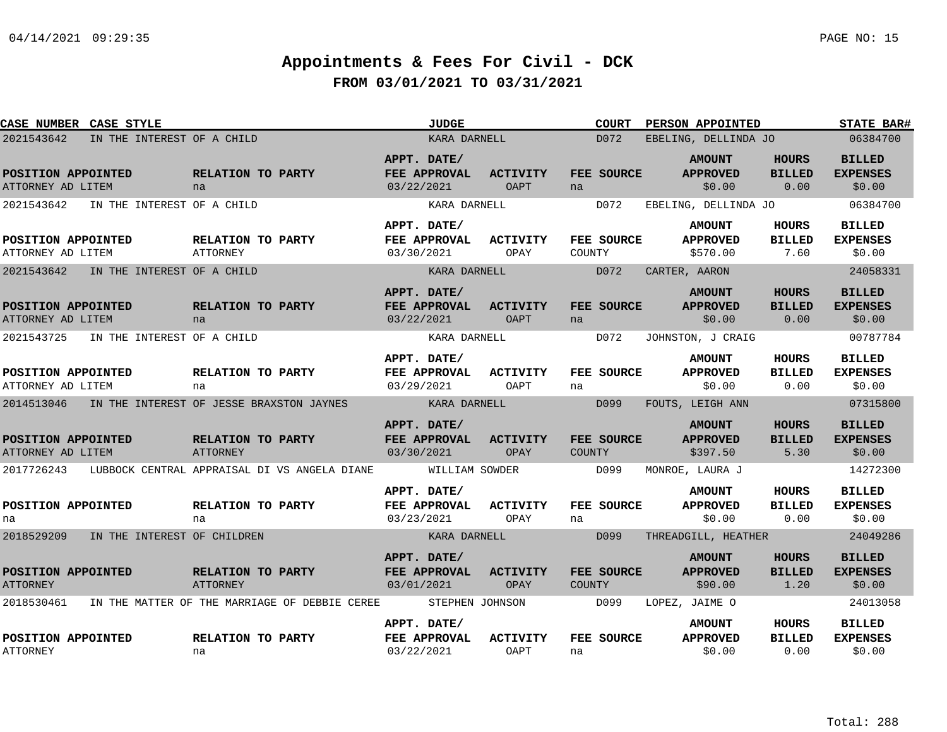| CASE NUMBER CASE STYLE                                                              |                                                     | <b>JUDGE</b>                                              |                         | <b>COURT</b>                 | PERSON APPOINTED                                                     |                                       | <b>STATE BAR#</b>                                      |
|-------------------------------------------------------------------------------------|-----------------------------------------------------|-----------------------------------------------------------|-------------------------|------------------------------|----------------------------------------------------------------------|---------------------------------------|--------------------------------------------------------|
| 2021543642<br>IN THE INTEREST OF A CHILD                                            |                                                     | KARA DARNELL                                              |                         | D072                         | EBELING, DELLINDA JO                                                 |                                       | 06384700                                               |
| POSITION APPOINTED<br>ATTORNEY AD LITEM                                             | RELATION TO PARTY<br>na                             | APPT. DATE/<br>FEE APPROVAL<br>03/22/2021                 | <b>ACTIVITY</b><br>OAPT | FEE SOURCE<br>na             | <b>AMOUNT</b><br><b>APPROVED</b><br>\$0.00                           | <b>HOURS</b><br><b>BILLED</b><br>0.00 | <b>BILLED</b><br><b>EXPENSES</b><br>\$0.00             |
| IN THE INTEREST OF A CHILD<br>2021543642<br>POSITION APPOINTED<br>ATTORNEY AD LITEM | RELATION TO PARTY<br>ATTORNEY                       | KARA DARNELL<br>APPT. DATE/<br>FEE APPROVAL<br>03/30/2021 | <b>ACTIVITY</b><br>OPAY | D072<br>FEE SOURCE<br>COUNTY | EBELING, DELLINDA JO<br><b>AMOUNT</b><br><b>APPROVED</b><br>\$570.00 | HOURS<br><b>BILLED</b><br>7.60        | 06384700<br><b>BILLED</b><br><b>EXPENSES</b><br>\$0.00 |
| 2021543642<br>IN THE INTEREST OF A CHILD                                            |                                                     | KARA DARNELL<br>APPT. DATE/                               |                         | D072                         | CARTER, AARON<br><b>AMOUNT</b>                                       | <b>HOURS</b>                          | 24058331<br><b>BILLED</b>                              |
| POSITION APPOINTED<br>ATTORNEY AD LITEM                                             | RELATION TO PARTY<br>na                             | FEE APPROVAL<br>03/22/2021                                | <b>ACTIVITY</b><br>OAPT | FEE SOURCE<br>na             | <b>APPROVED</b><br>\$0.00                                            | <b>BILLED</b><br>0.00                 | <b>EXPENSES</b><br>\$0.00                              |
| 2021543725<br>IN THE INTEREST OF A CHILD                                            |                                                     | KARA DARNELL<br>APPT. DATE/                               |                         | D072                         | JOHNSTON, J CRAIG<br><b>AMOUNT</b>                                   | HOURS                                 | 00787784<br><b>BILLED</b>                              |
| POSITION APPOINTED<br>ATTORNEY AD LITEM                                             | RELATION TO PARTY<br>na                             | <b>FEE APPROVAL</b><br>03/29/2021                         | <b>ACTIVITY</b><br>OAPT | FEE SOURCE<br>na             | <b>APPROVED</b><br>\$0.00                                            | <b>BILLED</b><br>0.00                 | <b>EXPENSES</b><br>\$0.00                              |
|                                                                                     | 2014513046 IN THE INTEREST OF JESSE BRAXSTON JAYNES | <b>Example 21 STAR STAR DARNELL</b><br>APPT. DATE/        |                         | D099                         | FOUTS, LEIGH ANN<br><b>AMOUNT</b>                                    | <b>HOURS</b>                          | 07315800<br><b>BILLED</b>                              |
| POSITION APPOINTED<br>ATTORNEY AD LITEM                                             | RELATION TO PARTY<br><b>ATTORNEY</b>                | FEE APPROVAL<br>03/30/2021                                | <b>ACTIVITY</b><br>OPAY | FEE SOURCE<br>COUNTY         | <b>APPROVED</b><br>\$397.50                                          | <b>BILLED</b><br>5.30                 | <b>EXPENSES</b><br>\$0.00                              |
| 2017726243                                                                          | LUBBOCK CENTRAL APPRAISAL DI VS ANGELA DIANE        | WILLIAM SOWDER                                            |                         | D099                         | MONROE, LAURA J                                                      |                                       | 14272300                                               |
| POSITION APPOINTED<br>na                                                            | RELATION TO PARTY<br>na                             | APPT. DATE/<br><b>FEE APPROVAL</b><br>03/23/2021          | <b>ACTIVITY</b><br>OPAY | FEE SOURCE<br>na             | <b>AMOUNT</b><br><b>APPROVED</b><br>\$0.00                           | HOURS<br><b>BILLED</b><br>0.00        | <b>BILLED</b><br><b>EXPENSES</b><br>\$0.00             |
| 2018529209 IN THE INTEREST OF CHILDREN                                              |                                                     | KARA DARNELL                                              |                         | D099                         | THREADGILL, HEATHER                                                  |                                       | 24049286                                               |
| POSITION APPOINTED<br><b>ATTORNEY</b>                                               | RELATION TO PARTY<br><b>ATTORNEY</b>                | APPT. DATE/<br>FEE APPROVAL<br>03/01/2021                 | ACTIVITY<br>OPAY        | FEE SOURCE<br>COUNTY         | <b>AMOUNT</b><br><b>APPROVED</b><br>\$90.00                          | <b>HOURS</b><br><b>BILLED</b><br>1.20 | <b>BILLED</b><br><b>EXPENSES</b><br>\$0.00             |
| 2018530461                                                                          | IN THE MATTER OF THE MARRIAGE OF DEBBIE CEREE       | STEPHEN JOHNSON                                           |                         | D099                         | LOPEZ, JAIME O                                                       |                                       | 24013058                                               |
| POSITION APPOINTED<br><b>ATTORNEY</b>                                               | RELATION TO PARTY<br>na                             | APPT. DATE/<br>FEE APPROVAL<br>03/22/2021                 | <b>ACTIVITY</b><br>OAPT | FEE SOURCE<br>na             | <b>AMOUNT</b><br><b>APPROVED</b><br>\$0.00                           | HOURS<br><b>BILLED</b><br>0.00        | <b>BILLED</b><br><b>EXPENSES</b><br>\$0.00             |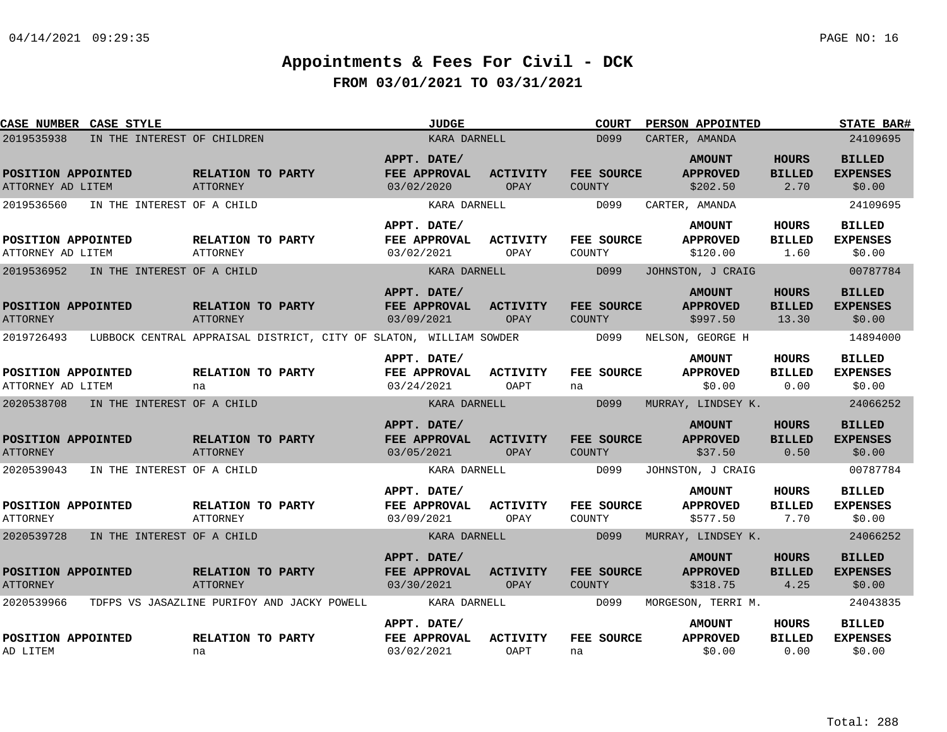| <b>CASE NUMBER CASE STYLE</b>           |                             |                                                                    | <b>JUDGE</b>                              |                         | COURT                              | PERSON APPOINTED                             |                                        | <b>STATE BAR#</b>                          |
|-----------------------------------------|-----------------------------|--------------------------------------------------------------------|-------------------------------------------|-------------------------|------------------------------------|----------------------------------------------|----------------------------------------|--------------------------------------------|
| 2019535938                              | IN THE INTEREST OF CHILDREN |                                                                    |                                           | KARA DARNELL            | D099                               | CARTER, AMANDA                               |                                        | 24109695                                   |
| POSITION APPOINTED<br>ATTORNEY AD LITEM |                             | RELATION TO PARTY<br>ATTORNEY                                      | APPT. DATE/<br>FEE APPROVAL<br>03/02/2020 | <b>ACTIVITY</b><br>OPAY | FEE SOURCE<br><b>COUNTY</b>        | <b>AMOUNT</b><br><b>APPROVED</b><br>\$202.50 | <b>HOURS</b><br><b>BILLED</b><br>2.70  | <b>BILLED</b><br><b>EXPENSES</b><br>\$0.00 |
| 2019536560                              | IN THE INTEREST OF A CHILD  |                                                                    |                                           | KARA DARNELL            | D099                               | CARTER, AMANDA                               |                                        | 24109695                                   |
| POSITION APPOINTED<br>ATTORNEY AD LITEM |                             | RELATION TO PARTY<br>ATTORNEY                                      | APPT. DATE/<br>FEE APPROVAL<br>03/02/2021 | <b>ACTIVITY</b><br>OPAY | FEE SOURCE<br>COUNTY               | <b>AMOUNT</b><br><b>APPROVED</b><br>\$120.00 | <b>HOURS</b><br><b>BILLED</b><br>1.60  | <b>BILLED</b><br><b>EXPENSES</b><br>\$0.00 |
| 2019536952                              | IN THE INTEREST OF A CHILD  |                                                                    |                                           | KARA DARNELL            | D099                               | JOHNSTON, J CRAIG                            |                                        | 00787784                                   |
| POSITION APPOINTED<br><b>ATTORNEY</b>   |                             | RELATION TO PARTY<br>ATTORNEY                                      | APPT. DATE/<br>FEE APPROVAL<br>03/09/2021 | <b>ACTIVITY</b><br>OPAY | FEE SOURCE<br><b>COUNTY</b>        | <b>AMOUNT</b><br><b>APPROVED</b><br>\$997.50 | <b>HOURS</b><br><b>BILLED</b><br>13.30 | <b>BILLED</b><br><b>EXPENSES</b><br>\$0.00 |
| 2019726493                              |                             | LUBBOCK CENTRAL APPRAISAL DISTRICT, CITY OF SLATON, WILLIAM SOWDER |                                           |                         | D099                               | NELSON, GEORGE H                             |                                        | 14894000                                   |
| POSITION APPOINTED<br>ATTORNEY AD LITEM |                             | RELATION TO PARTY<br>na                                            | APPT. DATE/<br>FEE APPROVAL<br>03/24/2021 | <b>ACTIVITY</b><br>OAPT | FEE SOURCE<br>na                   | <b>AMOUNT</b><br><b>APPROVED</b><br>\$0.00   | HOURS<br><b>BILLED</b><br>0.00         | <b>BILLED</b><br><b>EXPENSES</b><br>\$0.00 |
| 2020538708                              | IN THE INTEREST OF A CHILD  |                                                                    |                                           | KARA DARNELL            | D099                               | MURRAY, LINDSEY K.                           |                                        | 24066252                                   |
| POSITION APPOINTED<br><b>ATTORNEY</b>   |                             | RELATION TO PARTY<br>ATTORNEY                                      | APPT. DATE/<br>FEE APPROVAL<br>03/05/2021 | <b>ACTIVITY</b><br>OPAY | FEE SOURCE<br><b>COUNTY</b>        | <b>AMOUNT</b><br><b>APPROVED</b><br>\$37.50  | <b>HOURS</b><br><b>BILLED</b><br>0.50  | <b>BILLED</b><br><b>EXPENSES</b><br>\$0.00 |
| 2020539043                              | IN THE INTEREST OF A CHILD  |                                                                    |                                           | KARA DARNELL            | D099                               | JOHNSTON, J CRAIG                            |                                        | 00787784                                   |
| POSITION APPOINTED<br><b>ATTORNEY</b>   |                             | RELATION TO PARTY<br>ATTORNEY                                      | APPT. DATE/<br>FEE APPROVAL<br>03/09/2021 | <b>ACTIVITY</b><br>OPAY | FEE SOURCE<br>COUNTY               | <b>AMOUNT</b><br><b>APPROVED</b><br>\$577.50 | HOURS<br><b>BILLED</b><br>7.70         | <b>BILLED</b><br><b>EXPENSES</b><br>\$0.00 |
| 2020539728                              | IN THE INTEREST OF A CHILD  |                                                                    |                                           | KARA DARNELL            | D099                               | MURRAY, LINDSEY K.                           |                                        | 24066252                                   |
| POSITION APPOINTED<br><b>ATTORNEY</b>   |                             | <b>RELATION TO PARTY</b><br><b>ATTORNEY</b>                        | APPT. DATE/<br>FEE APPROVAL<br>03/30/2021 | <b>ACTIVITY</b><br>OPAY | <b>FEE SOURCE</b><br><b>COUNTY</b> | <b>AMOUNT</b><br><b>APPROVED</b><br>\$318.75 | HOURS<br><b>BILLED</b><br>4.25         | <b>BILLED</b><br><b>EXPENSES</b><br>\$0.00 |
| 2020539966                              |                             | TDFPS VS JASAZLINE PURIFOY AND JACKY POWELL                        |                                           | KARA DARNELL            | D099                               | MORGESON, TERRI M.                           |                                        | 24043835                                   |
| POSITION APPOINTED<br>AD LITEM          |                             | RELATION TO PARTY<br>na                                            | APPT. DATE/<br>FEE APPROVAL<br>03/02/2021 | <b>ACTIVITY</b><br>OAPT | FEE SOURCE<br>na                   | <b>AMOUNT</b><br><b>APPROVED</b><br>\$0.00   | HOURS<br><b>BILLED</b><br>0.00         | <b>BILLED</b><br><b>EXPENSES</b><br>\$0.00 |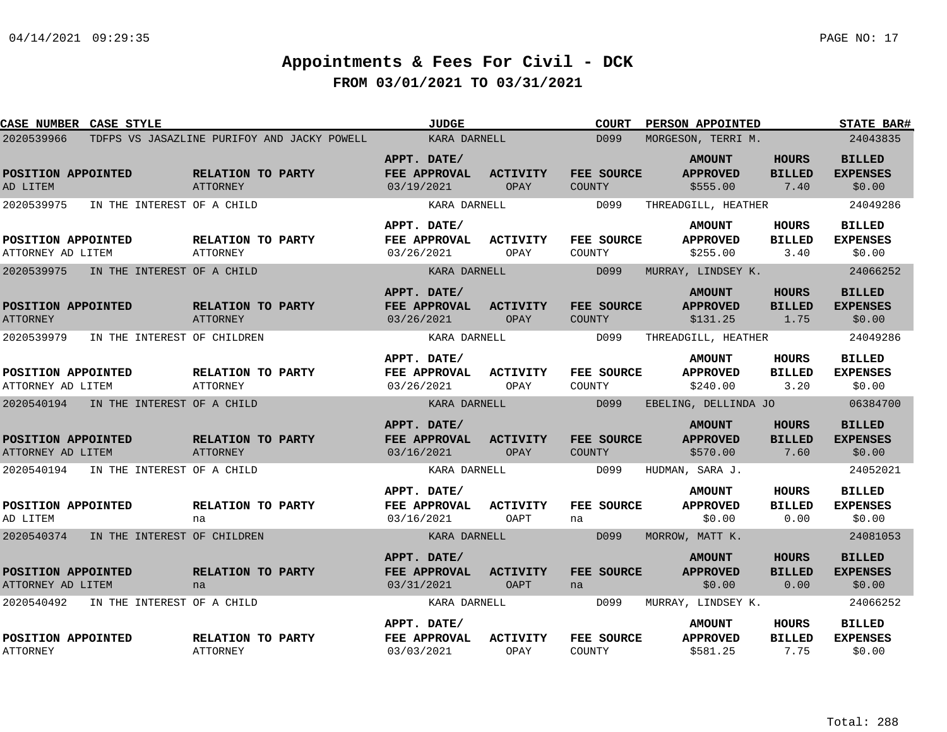| CASE NUMBER CASE STYLE                    |                                             | <b>JUDGE</b>                              |                         | <b>COURT</b>                       | PERSON APPOINTED                             |                                       | STATE BAR#                                 |
|-------------------------------------------|---------------------------------------------|-------------------------------------------|-------------------------|------------------------------------|----------------------------------------------|---------------------------------------|--------------------------------------------|
| 2020539966                                | TDFPS VS JASAZLINE PURIFOY AND JACKY POWELL | KARA DARNELL                              |                         | D099                               | MORGESON, TERRI M.                           |                                       | 24043835                                   |
| POSITION APPOINTED<br>AD LITEM            | RELATION TO PARTY<br>ATTORNEY               | APPT. DATE/<br>FEE APPROVAL<br>03/19/2021 | <b>ACTIVITY</b><br>OPAY | FEE SOURCE<br>COUNTY               | <b>AMOUNT</b><br><b>APPROVED</b><br>\$555.00 | <b>HOURS</b><br><b>BILLED</b><br>7.40 | <b>BILLED</b><br><b>EXPENSES</b><br>\$0.00 |
| 2020539975<br>IN THE INTEREST OF A CHILD  |                                             | KARA DARNELL                              |                         | D099                               | THREADGILL, HEATHER                          |                                       | 24049286                                   |
| POSITION APPOINTED<br>ATTORNEY AD LITEM   | RELATION TO PARTY<br>ATTORNEY               | APPT. DATE/<br>FEE APPROVAL<br>03/26/2021 | <b>ACTIVITY</b><br>OPAY | FEE SOURCE<br>COUNTY               | <b>AMOUNT</b><br><b>APPROVED</b><br>\$255.00 | <b>HOURS</b><br><b>BILLED</b><br>3.40 | <b>BILLED</b><br><b>EXPENSES</b><br>\$0.00 |
| 2020539975<br>IN THE INTEREST OF A CHILD  |                                             | KARA DARNELL                              |                         | D099                               | MURRAY, LINDSEY K.                           |                                       | 24066252                                   |
| POSITION APPOINTED<br><b>ATTORNEY</b>     | RELATION TO PARTY<br>ATTORNEY               | APPT. DATE/<br>FEE APPROVAL<br>03/26/2021 | <b>ACTIVITY</b><br>OPAY | <b>FEE SOURCE</b><br><b>COUNTY</b> | <b>AMOUNT</b><br><b>APPROVED</b><br>\$131.25 | <b>HOURS</b><br><b>BILLED</b><br>1.75 | <b>BILLED</b><br><b>EXPENSES</b><br>\$0.00 |
| 2020539979<br>IN THE INTEREST OF CHILDREN |                                             | KARA DARNELL                              |                         | D099                               | THREADGILL, HEATHER                          |                                       | 24049286                                   |
| POSITION APPOINTED<br>ATTORNEY AD LITEM   | RELATION TO PARTY<br><b>ATTORNEY</b>        | APPT. DATE/<br>FEE APPROVAL<br>03/26/2021 | <b>ACTIVITY</b><br>OPAY | FEE SOURCE<br>COUNTY               | <b>AMOUNT</b><br><b>APPROVED</b><br>\$240.00 | <b>HOURS</b><br><b>BILLED</b><br>3.20 | <b>BILLED</b><br><b>EXPENSES</b><br>\$0.00 |
| 2020540194<br>IN THE INTEREST OF A CHILD  |                                             | KARA DARNELL                              |                         | D099                               | EBELING, DELLINDA JO                         |                                       | 06384700                                   |
| POSITION APPOINTED<br>ATTORNEY AD LITEM   | RELATION TO PARTY<br><b>ATTORNEY</b>        | APPT. DATE/<br>FEE APPROVAL<br>03/16/2021 | <b>ACTIVITY</b><br>OPAY | FEE SOURCE<br><b>COUNTY</b>        | <b>AMOUNT</b><br><b>APPROVED</b><br>\$570.00 | <b>HOURS</b><br><b>BILLED</b><br>7.60 | <b>BILLED</b><br><b>EXPENSES</b><br>\$0.00 |
| 2020540194<br>IN THE INTEREST OF A CHILD  |                                             | KARA DARNELL                              |                         | D099                               | HUDMAN, SARA J.                              |                                       | 24052021                                   |
| POSITION APPOINTED<br>AD LITEM            | RELATION TO PARTY<br>na                     | APPT. DATE/<br>FEE APPROVAL<br>03/16/2021 | <b>ACTIVITY</b><br>OAPT | FEE SOURCE<br>na                   | <b>AMOUNT</b><br><b>APPROVED</b><br>\$0.00   | <b>HOURS</b><br><b>BILLED</b><br>0.00 | <b>BILLED</b><br><b>EXPENSES</b><br>\$0.00 |
| 2020540374<br>IN THE INTEREST OF CHILDREN |                                             | KARA DARNELL                              |                         | D099                               | MORROW, MATT K.                              |                                       | 24081053                                   |
| POSITION APPOINTED<br>ATTORNEY AD LITEM   | RELATION TO PARTY<br>na                     | APPT. DATE/<br>FEE APPROVAL<br>03/31/2021 | <b>ACTIVITY</b><br>OAPT | <b>FEE SOURCE</b><br>na            | <b>AMOUNT</b><br><b>APPROVED</b><br>\$0.00   | <b>HOURS</b><br><b>BILLED</b><br>0.00 | <b>BILLED</b><br><b>EXPENSES</b><br>\$0.00 |
| 2020540492<br>IN THE INTEREST OF A CHILD  |                                             | KARA DARNELL                              |                         | D099                               | MURRAY, LINDSEY K.                           |                                       | 24066252                                   |
| POSITION APPOINTED<br><b>ATTORNEY</b>     | RELATION TO PARTY<br>ATTORNEY               | APPT. DATE/<br>FEE APPROVAL<br>03/03/2021 | <b>ACTIVITY</b><br>OPAY | FEE SOURCE<br>COUNTY               | <b>AMOUNT</b><br><b>APPROVED</b><br>\$581.25 | <b>HOURS</b><br><b>BILLED</b><br>7.75 | <b>BILLED</b><br><b>EXPENSES</b><br>\$0.00 |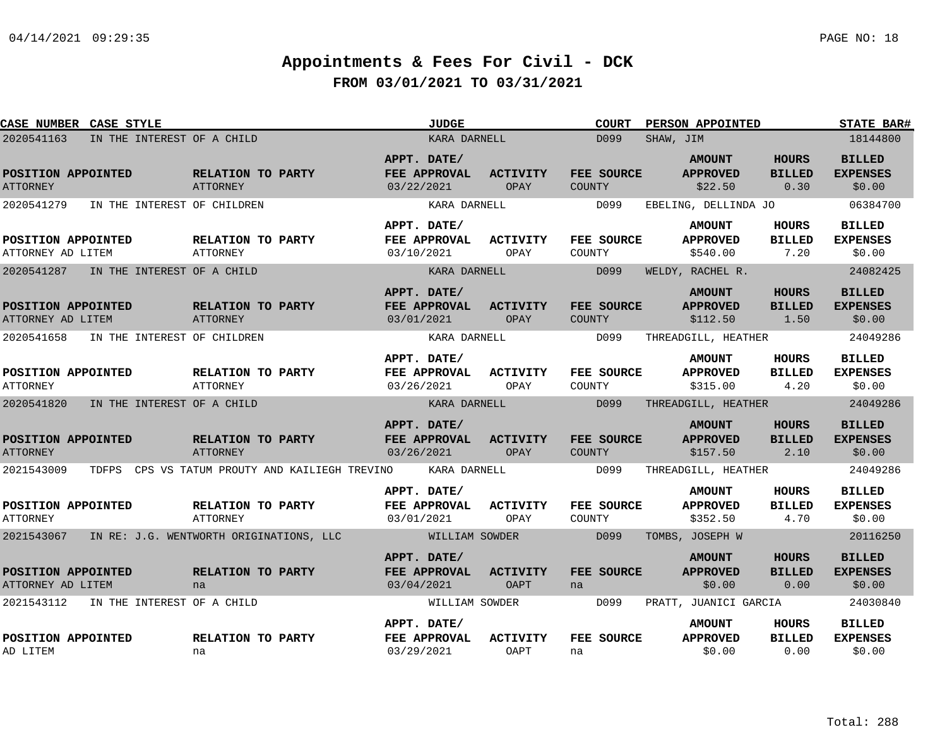| <b>CASE NUMBER CASE STYLE</b>                      |                            |                                      |                                                | <b>JUDGE</b>                              |                                | <b>COURT</b>         | PERSON APPOINTED                             |                                       | <b>STATE BAR#</b>                          |
|----------------------------------------------------|----------------------------|--------------------------------------|------------------------------------------------|-------------------------------------------|--------------------------------|----------------------|----------------------------------------------|---------------------------------------|--------------------------------------------|
| 2020541163                                         | IN THE INTEREST OF A CHILD |                                      |                                                | KARA DARNELL                              |                                | D099                 | SHAW, JIM                                    |                                       | 18144800                                   |
| POSITION APPOINTED<br><b>ATTORNEY</b>              |                            | RELATION TO PARTY<br><b>ATTORNEY</b> |                                                | APPT. DATE/<br>FEE APPROVAL<br>03/22/2021 | <b>ACTIVITY</b><br>OPAY        | FEE SOURCE<br>COUNTY | <b>AMOUNT</b><br><b>APPROVED</b><br>\$22.50  | <b>HOURS</b><br><b>BILLED</b><br>0.30 | <b>BILLED</b><br><b>EXPENSES</b><br>\$0.00 |
| 2020541279                                         |                            | IN THE INTEREST OF CHILDREN          |                                                | KARA DARNELL                              |                                | D099                 | EBELING, DELLINDA JO                         |                                       | 06384700                                   |
| POSITION APPOINTED<br>ATTORNEY AD LITEM            |                            | RELATION TO PARTY<br><b>ATTORNEY</b> |                                                | APPT. DATE/<br>FEE APPROVAL<br>03/10/2021 | <b>ACTIVITY</b><br>OPAY        | FEE SOURCE<br>COUNTY | <b>AMOUNT</b><br><b>APPROVED</b><br>\$540.00 | HOURS<br><b>BILLED</b><br>7.20        | <b>BILLED</b><br><b>EXPENSES</b><br>\$0.00 |
| 2020541287                                         | IN THE INTEREST OF A CHILD |                                      |                                                | KARA DARNELL                              |                                | D099                 | WELDY, RACHEL R.                             |                                       | 24082425                                   |
| POSITION APPOINTED<br>ATTORNEY AD LITEM            |                            | RELATION TO PARTY<br>ATTORNEY        |                                                | APPT. DATE/<br>FEE APPROVAL<br>03/01/2021 | <b>ACTIVITY</b><br>OPAY        | FEE SOURCE<br>COUNTY | <b>AMOUNT</b><br><b>APPROVED</b><br>\$112.50 | <b>HOURS</b><br><b>BILLED</b><br>1.50 | <b>BILLED</b><br><b>EXPENSES</b><br>\$0.00 |
| 2020541658                                         |                            | IN THE INTEREST OF CHILDREN          |                                                | KARA DARNELL                              |                                | D099                 | THREADGILL, HEATHER                          |                                       | 24049286                                   |
| POSITION APPOINTED<br><b>ATTORNEY</b>              |                            | RELATION TO PARTY<br><b>ATTORNEY</b> |                                                | APPT. DATE/<br>FEE APPROVAL<br>03/26/2021 | <b>ACTIVITY</b><br>OPAY        | FEE SOURCE<br>COUNTY | <b>AMOUNT</b><br><b>APPROVED</b><br>\$315.00 | HOURS<br><b>BILLED</b><br>4.20        | <b>BILLED</b><br><b>EXPENSES</b><br>\$0.00 |
| 2020541820                                         | IN THE INTEREST OF A CHILD |                                      |                                                | KARA DARNELL                              |                                | D099                 | THREADGILL, HEATHER                          |                                       | 24049286                                   |
| POSITION APPOINTED<br><b>ATTORNEY</b>              |                            | RELATION TO PARTY<br><b>ATTORNEY</b> |                                                | APPT. DATE/<br>FEE APPROVAL<br>03/26/2021 | <b>ACTIVITY</b><br>OPAY        | FEE SOURCE<br>COUNTY | <b>AMOUNT</b><br><b>APPROVED</b><br>\$157.50 | <b>HOURS</b><br><b>BILLED</b><br>2.10 | <b>BILLED</b><br><b>EXPENSES</b><br>\$0.00 |
| 2021543009                                         |                            |                                      | TDFPS CPS VS TATUM PROUTY AND KAILIEGH TREVINO | KARA DARNELL                              |                                | D099                 | THREADGILL, HEATHER                          |                                       | 24049286                                   |
| POSITION APPOINTED<br><b>ATTORNEY</b>              |                            | RELATION TO PARTY<br><b>ATTORNEY</b> |                                                | APPT. DATE/<br>FEE APPROVAL<br>03/01/2021 | <b>ACTIVITY</b><br>OPAY        | FEE SOURCE<br>COUNTY | <b>AMOUNT</b><br><b>APPROVED</b><br>\$352.50 | HOURS<br><b>BILLED</b><br>4.70        | <b>BILLED</b><br><b>EXPENSES</b><br>\$0.00 |
| 2021543067 IN RE: J.G. WENTWORTH ORIGINATIONS, LLC |                            |                                      |                                                | WILLIAM SOWDER                            |                                | D099                 | TOMBS, JOSEPH W                              |                                       | 20116250                                   |
| POSITION APPOINTED<br>ATTORNEY AD LITEM            |                            | RELATION TO PARTY<br>na              |                                                | APPT. DATE/<br>FEE APPROVAL<br>03/04/2021 | <b>ACTIVITY</b><br><b>OAPT</b> | FEE SOURCE<br>na     | <b>AMOUNT</b><br><b>APPROVED</b><br>\$0.00   | <b>HOURS</b><br><b>BILLED</b><br>0.00 | <b>BILLED</b><br><b>EXPENSES</b><br>\$0.00 |
| 2021543112                                         | IN THE INTEREST OF A CHILD |                                      |                                                | WILLIAM SOWDER                            |                                | D099                 | PRATT, JUANICI GARCIA                        |                                       | 24030840                                   |
| POSITION APPOINTED<br>AD LITEM                     |                            | RELATION TO PARTY<br>na              |                                                | APPT. DATE/<br>FEE APPROVAL<br>03/29/2021 | <b>ACTIVITY</b><br>OAPT        | FEE SOURCE<br>na     | <b>AMOUNT</b><br><b>APPROVED</b><br>\$0.00   | HOURS<br><b>BILLED</b><br>0.00        | <b>BILLED</b><br><b>EXPENSES</b><br>\$0.00 |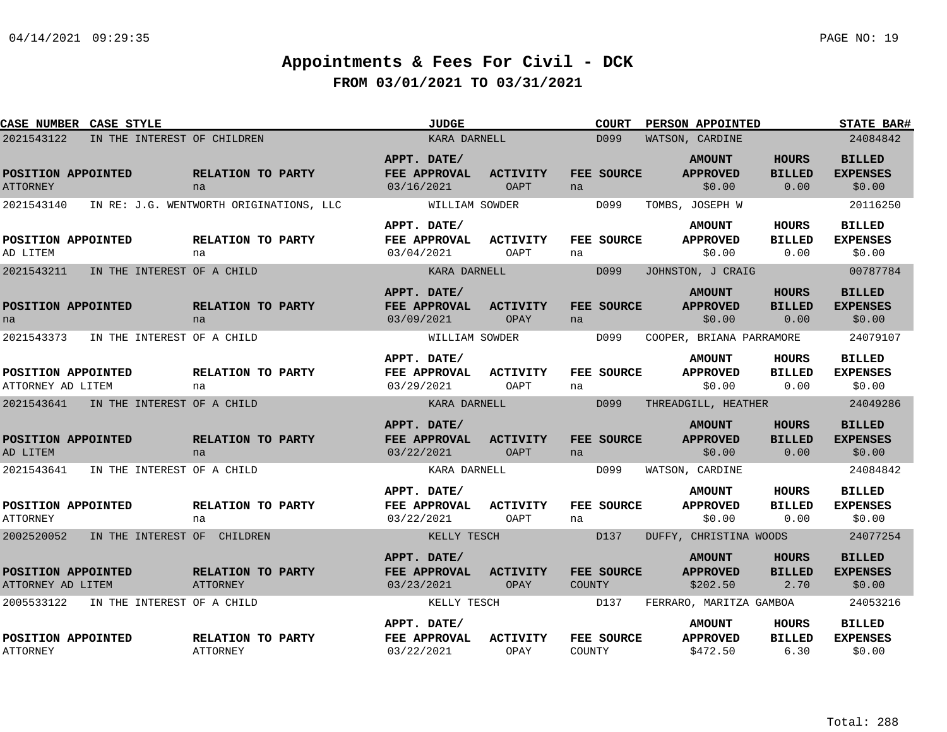| CASE NUMBER CASE STYLE                    |                                         | <b>JUDGE</b>                              |                                | <b>COURT</b>                | PERSON APPOINTED                             |                                       | <b>STATE BAR#</b>                          |
|-------------------------------------------|-----------------------------------------|-------------------------------------------|--------------------------------|-----------------------------|----------------------------------------------|---------------------------------------|--------------------------------------------|
| 2021543122<br>IN THE INTEREST OF CHILDREN |                                         | KARA DARNELL                              |                                | D099                        | WATSON, CARDINE                              |                                       | 24084842                                   |
| POSITION APPOINTED<br><b>ATTORNEY</b>     | RELATION TO PARTY<br>na                 | APPT. DATE/<br>FEE APPROVAL<br>03/16/2021 | <b>ACTIVITY</b><br><b>OAPT</b> | FEE SOURCE<br>na            | <b>AMOUNT</b><br><b>APPROVED</b><br>\$0.00   | <b>HOURS</b><br><b>BILLED</b><br>0.00 | <b>BILLED</b><br><b>EXPENSES</b><br>\$0.00 |
| 2021543140                                | IN RE: J.G. WENTWORTH ORIGINATIONS, LLC | WILLIAM SOWDER                            |                                | D099                        | TOMBS, JOSEPH W                              |                                       | 20116250                                   |
| POSITION APPOINTED<br>AD LITEM            | <b>RELATION TO PARTY</b><br>na          | APPT. DATE/<br>FEE APPROVAL<br>03/04/2021 | ACTIVITY<br>OAPT               | <b>FEE SOURCE</b><br>na     | <b>AMOUNT</b><br><b>APPROVED</b><br>\$0.00   | <b>HOURS</b><br><b>BILLED</b><br>0.00 | <b>BILLED</b><br><b>EXPENSES</b><br>\$0.00 |
| 2021543211<br>IN THE INTEREST OF A CHILD  |                                         | KARA DARNELL                              |                                | D099                        | JOHNSTON, J CRAIG                            |                                       | 00787784                                   |
| POSITION APPOINTED<br>na                  | RELATION TO PARTY<br>na                 | APPT. DATE/<br>FEE APPROVAL<br>03/09/2021 | <b>ACTIVITY</b><br>OPAY        | FEE SOURCE<br>na            | <b>AMOUNT</b><br><b>APPROVED</b><br>\$0.00   | <b>HOURS</b><br><b>BILLED</b><br>0.00 | <b>BILLED</b><br><b>EXPENSES</b><br>\$0.00 |
| 2021543373<br>IN THE INTEREST OF A CHILD  |                                         | WILLIAM SOWDER                            |                                | D099                        | COOPER, BRIANA PARRAMORE                     |                                       | 24079107                                   |
| POSITION APPOINTED<br>ATTORNEY AD LITEM   | <b>RELATION TO PARTY</b><br>na          | APPT. DATE/<br>FEE APPROVAL<br>03/29/2021 | ACTIVITY<br>OAPT               | FEE SOURCE<br>na            | <b>AMOUNT</b><br><b>APPROVED</b><br>\$0.00   | <b>HOURS</b><br><b>BILLED</b><br>0.00 | <b>BILLED</b><br><b>EXPENSES</b><br>\$0.00 |
| 2021543641 IN THE INTEREST OF A CHILD     |                                         | KARA DARNELL                              |                                | D099                        | THREADGILL, HEATHER                          |                                       | 24049286                                   |
| POSITION APPOINTED<br>AD LITEM            | RELATION TO PARTY<br>na                 | APPT. DATE/<br>FEE APPROVAL<br>03/22/2021 | <b>ACTIVITY</b><br><b>OAPT</b> | FEE SOURCE<br>na            | <b>AMOUNT</b><br><b>APPROVED</b><br>\$0.00   | <b>HOURS</b><br><b>BILLED</b><br>0.00 | <b>BILLED</b><br><b>EXPENSES</b><br>\$0.00 |
| 2021543641<br>IN THE INTEREST OF A CHILD  |                                         | KARA DARNELL                              |                                | D099                        | WATSON, CARDINE                              |                                       | 24084842                                   |
| POSITION APPOINTED<br><b>ATTORNEY</b>     | <b>RELATION TO PARTY</b><br>na          | APPT. DATE/<br>FEE APPROVAL<br>03/22/2021 | <b>ACTIVITY</b><br>OAPT        | FEE SOURCE<br>na            | <b>AMOUNT</b><br><b>APPROVED</b><br>\$0.00   | HOURS<br><b>BILLED</b><br>0.00        | <b>BILLED</b><br><b>EXPENSES</b><br>\$0.00 |
| 2002520052<br>IN THE INTEREST OF CHILDREN |                                         | KELLY TESCH                               |                                | D137                        | DUFFY, CHRISTINA WOODS                       |                                       | 24077254                                   |
| POSITION APPOINTED<br>ATTORNEY AD LITEM   | RELATION TO PARTY<br>ATTORNEY           | APPT. DATE/<br>FEE APPROVAL<br>03/23/2021 | <b>ACTIVITY</b><br>OPAY        | FEE SOURCE<br><b>COUNTY</b> | <b>AMOUNT</b><br><b>APPROVED</b><br>\$202.50 | <b>HOURS</b><br><b>BILLED</b><br>2.70 | <b>BILLED</b><br><b>EXPENSES</b><br>\$0.00 |
| 2005533122<br>IN THE INTEREST OF A CHILD  |                                         | KELLY TESCH                               |                                | D137                        | FERRARO, MARITZA GAMBOA                      |                                       | 24053216                                   |
| POSITION APPOINTED<br><b>ATTORNEY</b>     | RELATION TO PARTY<br><b>ATTORNEY</b>    | APPT. DATE/<br>FEE APPROVAL<br>03/22/2021 | <b>ACTIVITY</b><br>OPAY        | FEE SOURCE<br>COUNTY        | <b>AMOUNT</b><br><b>APPROVED</b><br>\$472.50 | <b>HOURS</b><br><b>BILLED</b><br>6.30 | <b>BILLED</b><br><b>EXPENSES</b><br>\$0.00 |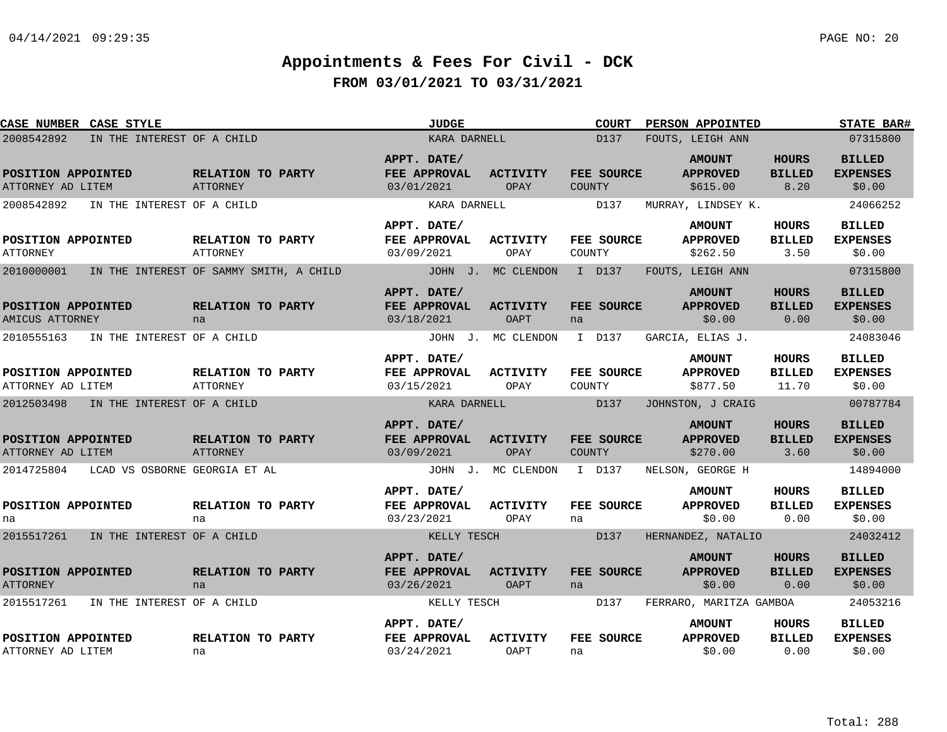| CASE NUMBER CASE STYLE                   |                                         | <b>JUDGE</b>                                     |                                | <b>COURT</b>                | PERSON APPOINTED                             |                                        | <b>STATE BAR#</b>                          |
|------------------------------------------|-----------------------------------------|--------------------------------------------------|--------------------------------|-----------------------------|----------------------------------------------|----------------------------------------|--------------------------------------------|
| 2008542892                               | IN THE INTEREST OF A CHILD              | KARA DARNELL                                     |                                | D137                        | FOUTS, LEIGH ANN                             |                                        | 07315800                                   |
| POSITION APPOINTED<br>ATTORNEY AD LITEM  | RELATION TO PARTY<br>ATTORNEY           | APPT. DATE/<br>FEE APPROVAL<br>03/01/2021        | <b>ACTIVITY</b><br>OPAY        | FEE SOURCE<br>COUNTY        | <b>AMOUNT</b><br><b>APPROVED</b><br>\$615.00 | <b>HOURS</b><br><b>BILLED</b><br>8.20  | <b>BILLED</b><br><b>EXPENSES</b><br>\$0.00 |
| 2008542892<br>IN THE INTEREST OF A CHILD |                                         | KARA DARNELL                                     |                                | D137                        | MURRAY, LINDSEY K.                           |                                        | 24066252                                   |
| POSITION APPOINTED<br><b>ATTORNEY</b>    | RELATION TO PARTY<br><b>ATTORNEY</b>    | APPT. DATE/<br>FEE APPROVAL<br>03/09/2021        | <b>ACTIVITY</b><br>OPAY        | FEE SOURCE<br>COUNTY        | <b>AMOUNT</b><br><b>APPROVED</b><br>\$262.50 | <b>HOURS</b><br><b>BILLED</b><br>3.50  | <b>BILLED</b><br><b>EXPENSES</b><br>\$0.00 |
| 2010000001                               | IN THE INTEREST OF SAMMY SMITH, A CHILD |                                                  | JOHN J. MC CLENDON             | I D137                      | FOUTS, LEIGH ANN                             |                                        | 07315800                                   |
| POSITION APPOINTED<br>AMICUS ATTORNEY    | RELATION TO PARTY<br>na                 | APPT. DATE/<br>FEE APPROVAL<br>03/18/2021        | <b>ACTIVITY</b><br><b>OAPT</b> | FEE SOURCE<br>na            | <b>AMOUNT</b><br><b>APPROVED</b><br>\$0.00   | <b>HOURS</b><br><b>BILLED</b><br>0.00  | <b>BILLED</b><br><b>EXPENSES</b><br>\$0.00 |
| 2010555163                               | IN THE INTEREST OF A CHILD              |                                                  | JOHN J. MC CLENDON             | I D137                      | GARCIA, ELIAS J.                             |                                        | 24083046                                   |
| POSITION APPOINTED<br>ATTORNEY AD LITEM  | RELATION TO PARTY<br><b>ATTORNEY</b>    | APPT. DATE/<br>FEE APPROVAL<br>03/15/2021        | ACTIVITY<br>OPAY               | FEE SOURCE<br>COUNTY        | <b>AMOUNT</b><br><b>APPROVED</b><br>\$877.50 | <b>HOURS</b><br><b>BILLED</b><br>11.70 | <b>BILLED</b><br><b>EXPENSES</b><br>\$0.00 |
| 2012503498<br>IN THE INTEREST OF A CHILD |                                         | KARA DARNELL                                     |                                | D137                        | JOHNSTON, J CRAIG                            |                                        | 00787784                                   |
| POSITION APPOINTED<br>ATTORNEY AD LITEM  | RELATION TO PARTY<br><b>ATTORNEY</b>    | APPT. DATE/<br>FEE APPROVAL<br>03/09/2021        | <b>ACTIVITY</b><br>OPAY        | FEE SOURCE<br><b>COUNTY</b> | <b>AMOUNT</b><br><b>APPROVED</b><br>\$270.00 | <b>HOURS</b><br><b>BILLED</b><br>3.60  | <b>BILLED</b><br><b>EXPENSES</b><br>\$0.00 |
| 2014725804                               | LCAD VS OSBORNE GEORGIA ET AL           |                                                  | JOHN J. MC CLENDON             | I D137                      | NELSON, GEORGE H                             |                                        | 14894000                                   |
| POSITION APPOINTED<br>na                 | RELATION TO PARTY<br>na                 | APPT. DATE/<br><b>FEE APPROVAL</b><br>03/23/2021 | <b>ACTIVITY</b><br>OPAY        | FEE SOURCE<br>na            | <b>AMOUNT</b><br><b>APPROVED</b><br>\$0.00   | <b>HOURS</b><br><b>BILLED</b><br>0.00  | <b>BILLED</b><br><b>EXPENSES</b><br>\$0.00 |
| 2015517261 IN THE INTEREST OF A CHILD    |                                         | KELLY TESCH                                      |                                | D137                        | HERNANDEZ, NATALIO                           |                                        | 24032412                                   |
| POSITION APPOINTED<br><b>ATTORNEY</b>    | RELATION TO PARTY<br>na                 | APPT. DATE/<br>FEE APPROVAL<br>03/26/2021        | <b>ACTIVITY</b><br>OAPT        | FEE SOURCE<br>na            | <b>AMOUNT</b><br><b>APPROVED</b><br>\$0.00   | <b>HOURS</b><br><b>BILLED</b><br>0.00  | <b>BILLED</b><br><b>EXPENSES</b><br>\$0.00 |
| 2015517261                               | IN THE INTEREST OF A CHILD              | KELLY TESCH                                      |                                | D137                        | FERRARO, MARITZA GAMBOA                      |                                        | 24053216                                   |
| POSITION APPOINTED<br>ATTORNEY AD LITEM  | RELATION TO PARTY<br>na                 | APPT. DATE/<br>FEE APPROVAL<br>03/24/2021        | <b>ACTIVITY</b><br>OAPT        | FEE SOURCE<br>na            | <b>AMOUNT</b><br><b>APPROVED</b><br>\$0.00   | HOURS<br><b>BILLED</b><br>0.00         | <b>BILLED</b><br><b>EXPENSES</b><br>\$0.00 |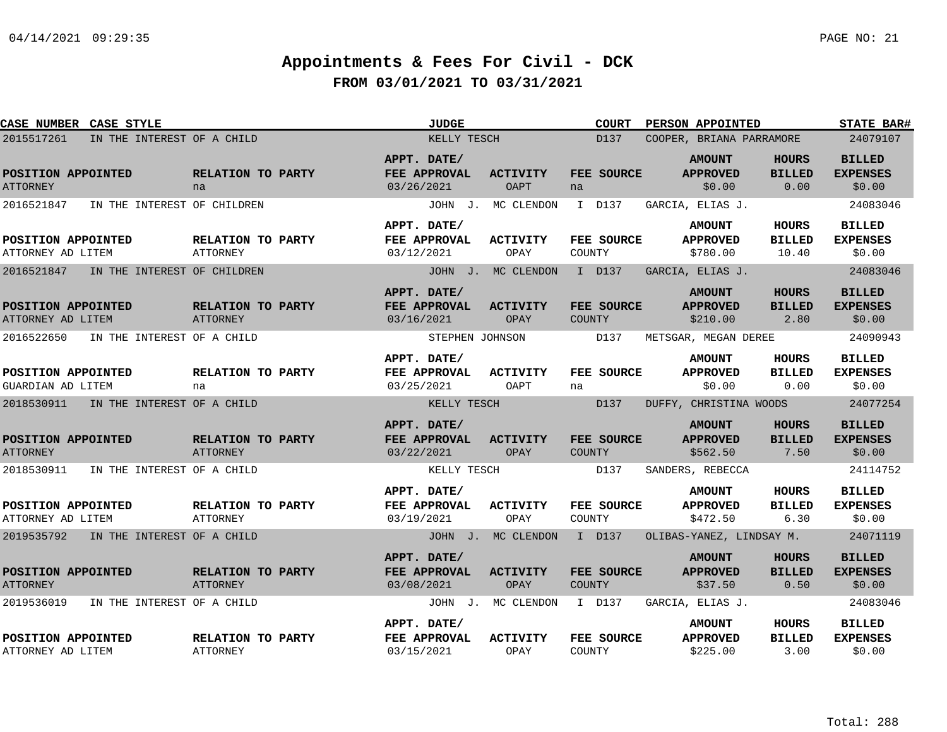| CASE NUMBER CASE STYLE                    |                                      | <b>JUDGE</b>                              |                         | <b>COURT</b>            | PERSON APPOINTED                             |                                       | <b>STATE BAR#</b>                          |
|-------------------------------------------|--------------------------------------|-------------------------------------------|-------------------------|-------------------------|----------------------------------------------|---------------------------------------|--------------------------------------------|
| IN THE INTEREST OF A CHILD<br>2015517261  |                                      | KELLY TESCH                               |                         | D137                    | COOPER, BRIANA PARRAMORE                     |                                       | 24079107                                   |
| POSITION APPOINTED<br><b>ATTORNEY</b>     | RELATION TO PARTY<br>na              | APPT. DATE/<br>FEE APPROVAL<br>03/26/2021 | <b>ACTIVITY</b><br>OAPT | FEE SOURCE<br>na        | <b>AMOUNT</b><br><b>APPROVED</b><br>\$0.00   | <b>HOURS</b><br><b>BILLED</b><br>0.00 | <b>BILLED</b><br><b>EXPENSES</b><br>\$0.00 |
| 2016521847<br>IN THE INTEREST OF CHILDREN |                                      |                                           | JOHN J. MC CLENDON      | I D137                  | GARCIA, ELIAS J.                             |                                       | 24083046                                   |
| POSITION APPOINTED<br>ATTORNEY AD LITEM   | RELATION TO PARTY<br><b>ATTORNEY</b> | APPT. DATE/<br>FEE APPROVAL<br>03/12/2021 | <b>ACTIVITY</b><br>OPAY | FEE SOURCE<br>COUNTY    | <b>AMOUNT</b><br><b>APPROVED</b><br>\$780.00 | HOURS<br><b>BILLED</b><br>10.40       | <b>BILLED</b><br><b>EXPENSES</b><br>\$0.00 |
| 2016521847<br>IN THE INTEREST OF CHILDREN |                                      |                                           | JOHN J. MC CLENDON      | I D137                  | GARCIA, ELIAS J.                             |                                       | 24083046                                   |
| POSITION APPOINTED<br>ATTORNEY AD LITEM   | RELATION TO PARTY<br>ATTORNEY        | APPT. DATE/<br>FEE APPROVAL<br>03/16/2021 | <b>ACTIVITY</b><br>OPAY | FEE SOURCE<br>COUNTY    | <b>AMOUNT</b><br><b>APPROVED</b><br>\$210.00 | <b>HOURS</b><br><b>BILLED</b><br>2.80 | <b>BILLED</b><br><b>EXPENSES</b><br>\$0.00 |
| IN THE INTEREST OF A CHILD<br>2016522650  |                                      | STEPHEN JOHNSON                           |                         | D137                    | METSGAR, MEGAN DEREE                         |                                       | 24090943                                   |
| POSITION APPOINTED<br>GUARDIAN AD LITEM   | <b>RELATION TO PARTY</b><br>na       | APPT. DATE/<br>FEE APPROVAL<br>03/25/2021 | ACTIVITY<br>OAPT        | <b>FEE SOURCE</b><br>na | <b>AMOUNT</b><br><b>APPROVED</b><br>\$0.00   | HOURS<br><b>BILLED</b><br>0.00        | <b>BILLED</b><br><b>EXPENSES</b><br>\$0.00 |
| 2018530911<br>IN THE INTEREST OF A CHILD  |                                      | KELLY TESCH                               |                         | D137                    | DUFFY, CHRISTINA WOODS                       |                                       | 24077254                                   |
| POSITION APPOINTED<br><b>ATTORNEY</b>     | RELATION TO PARTY<br><b>ATTORNEY</b> | APPT. DATE/<br>FEE APPROVAL<br>03/22/2021 | <b>ACTIVITY</b><br>OPAY | FEE SOURCE<br>COUNTY    | <b>AMOUNT</b><br><b>APPROVED</b><br>\$562.50 | <b>HOURS</b><br><b>BILLED</b><br>7.50 | <b>BILLED</b><br><b>EXPENSES</b><br>\$0.00 |
| 2018530911<br>IN THE INTEREST OF A CHILD  |                                      | KELLY TESCH                               |                         | D137                    | SANDERS, REBECCA                             |                                       | 24114752                                   |
| POSITION APPOINTED<br>ATTORNEY AD LITEM   | <b>RELATION TO PARTY</b><br>ATTORNEY | APPT. DATE/<br>FEE APPROVAL<br>03/19/2021 | <b>ACTIVITY</b><br>OPAY | FEE SOURCE<br>COUNTY    | <b>AMOUNT</b><br><b>APPROVED</b><br>\$472.50 | <b>HOURS</b><br><b>BILLED</b><br>6.30 | <b>BILLED</b><br><b>EXPENSES</b><br>\$0.00 |
| 2019535792 IN THE INTEREST OF A CHILD     |                                      |                                           | JOHN J. MC CLENDON      | I D137                  | OLIBAS-YANEZ, LINDSAY M.                     |                                       | 24071119                                   |
| POSITION APPOINTED<br><b>ATTORNEY</b>     | RELATION TO PARTY<br>ATTORNEY        | APPT. DATE/<br>FEE APPROVAL<br>03/08/2021 | <b>ACTIVITY</b><br>OPAY | FEE SOURCE<br>COUNTY    | <b>AMOUNT</b><br><b>APPROVED</b><br>\$37.50  | HOURS<br><b>BILLED</b><br>0.50        | <b>BILLED</b><br><b>EXPENSES</b><br>\$0.00 |
| 2019536019<br>IN THE INTEREST OF A CHILD  |                                      |                                           | JOHN J. MC CLENDON      | I D137                  | GARCIA, ELIAS J.                             |                                       | 24083046                                   |
| POSITION APPOINTED<br>ATTORNEY AD LITEM   | RELATION TO PARTY<br><b>ATTORNEY</b> | APPT. DATE/<br>FEE APPROVAL<br>03/15/2021 | <b>ACTIVITY</b><br>OPAY | FEE SOURCE<br>COUNTY    | <b>AMOUNT</b><br><b>APPROVED</b><br>\$225.00 | <b>HOURS</b><br><b>BILLED</b><br>3.00 | <b>BILLED</b><br><b>EXPENSES</b><br>\$0.00 |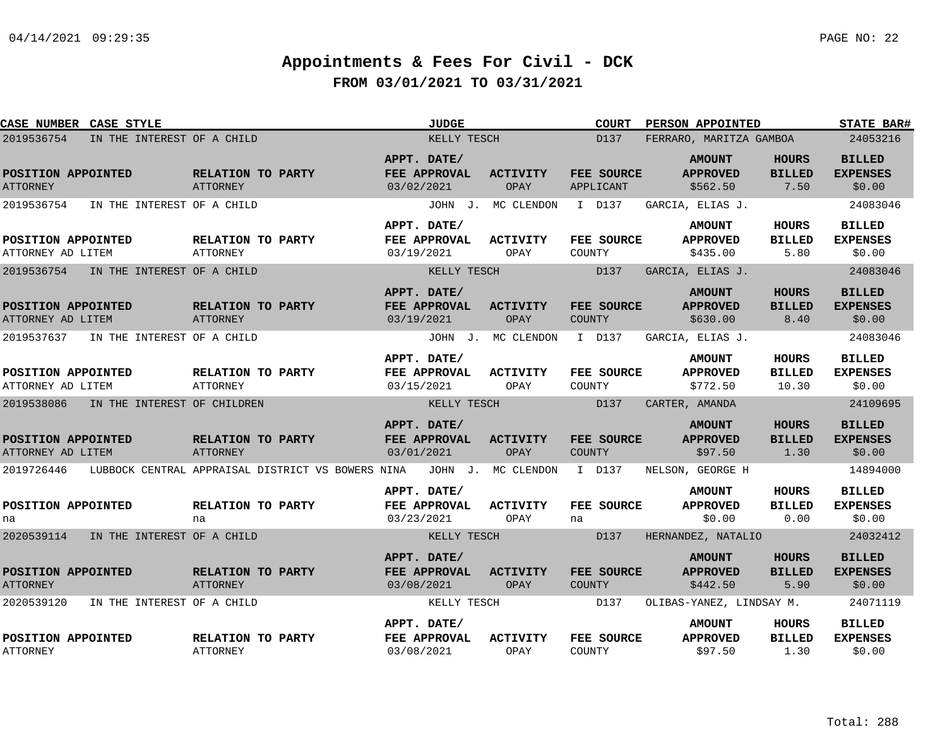| CASE NUMBER CASE STYLE                    |                                                   | <b>JUDGE</b>                              |                         | <b>COURT</b>                | <b>PERSON APPOINTED</b>                      |                                        | <b>STATE BAR#</b>                          |
|-------------------------------------------|---------------------------------------------------|-------------------------------------------|-------------------------|-----------------------------|----------------------------------------------|----------------------------------------|--------------------------------------------|
| 2019536754<br>IN THE INTEREST OF A CHILD  |                                                   | KELLY TESCH                               |                         | D137                        | FERRARO, MARITZA GAMBOA                      |                                        | 24053216                                   |
| POSITION APPOINTED<br><b>ATTORNEY</b>     | RELATION TO PARTY<br><b>ATTORNEY</b>              | APPT. DATE/<br>FEE APPROVAL<br>03/02/2021 | <b>ACTIVITY</b><br>OPAY | FEE SOURCE<br>APPLICANT     | <b>AMOUNT</b><br><b>APPROVED</b><br>\$562.50 | <b>HOURS</b><br><b>BILLED</b><br>7.50  | <b>BILLED</b><br><b>EXPENSES</b><br>\$0.00 |
| 2019536754<br>IN THE INTEREST OF A CHILD  |                                                   |                                           | JOHN J. MC CLENDON      | I D137                      | GARCIA, ELIAS J.                             |                                        | 24083046                                   |
| POSITION APPOINTED<br>ATTORNEY AD LITEM   | RELATION TO PARTY<br>ATTORNEY                     | APPT. DATE/<br>FEE APPROVAL<br>03/19/2021 | <b>ACTIVITY</b><br>OPAY | FEE SOURCE<br>COUNTY        | <b>AMOUNT</b><br><b>APPROVED</b><br>\$435.00 | <b>HOURS</b><br><b>BILLED</b><br>5.80  | <b>BILLED</b><br><b>EXPENSES</b><br>\$0.00 |
| 2019536754<br>IN THE INTEREST OF A CHILD  |                                                   | KELLY TESCH                               |                         | D137                        | GARCIA, ELIAS J.                             |                                        | 24083046                                   |
| POSITION APPOINTED<br>ATTORNEY AD LITEM   | RELATION TO PARTY<br>ATTORNEY                     | APPT. DATE/<br>FEE APPROVAL<br>03/19/2021 | <b>ACTIVITY</b><br>OPAY | FEE SOURCE<br><b>COUNTY</b> | <b>AMOUNT</b><br><b>APPROVED</b><br>\$630.00 | <b>HOURS</b><br><b>BILLED</b><br>8.40  | <b>BILLED</b><br><b>EXPENSES</b><br>\$0.00 |
| 2019537637 IN THE INTEREST OF A CHILD     |                                                   |                                           | JOHN J. MC CLENDON      | I D137                      | GARCIA, ELIAS J.                             |                                        | 24083046                                   |
| POSITION APPOINTED<br>ATTORNEY AD LITEM   | RELATION TO PARTY<br><b>ATTORNEY</b>              | APPT. DATE/<br>FEE APPROVAL<br>03/15/2021 | <b>ACTIVITY</b><br>OPAY | FEE SOURCE<br>COUNTY        | <b>AMOUNT</b><br><b>APPROVED</b><br>\$772.50 | <b>HOURS</b><br><b>BILLED</b><br>10.30 | <b>BILLED</b><br><b>EXPENSES</b><br>\$0.00 |
| 2019538086<br>IN THE INTEREST OF CHILDREN |                                                   | KELLY TESCH                               |                         | D137                        | CARTER, AMANDA                               |                                        | 24109695                                   |
| POSITION APPOINTED<br>ATTORNEY AD LITEM   | RELATION TO PARTY<br><b>ATTORNEY</b>              | APPT. DATE/<br>FEE APPROVAL<br>03/01/2021 | <b>ACTIVITY</b><br>OPAY | FEE SOURCE<br>COUNTY        | <b>AMOUNT</b><br><b>APPROVED</b><br>\$97.50  | <b>HOURS</b><br><b>BILLED</b><br>1.30  | <b>BILLED</b><br><b>EXPENSES</b><br>\$0.00 |
| 2019726446                                | LUBBOCK CENTRAL APPRAISAL DISTRICT VS BOWERS NINA |                                           | JOHN J. MC CLENDON      | I D137                      | NELSON, GEORGE H                             |                                        | 14894000                                   |
| POSITION APPOINTED<br>na                  | RELATION TO PARTY<br>na                           | APPT. DATE/<br>FEE APPROVAL<br>03/23/2021 | <b>ACTIVITY</b><br>OPAY | FEE SOURCE<br>na            | <b>AMOUNT</b><br><b>APPROVED</b><br>\$0.00   | <b>HOURS</b><br><b>BILLED</b><br>0.00  | <b>BILLED</b><br><b>EXPENSES</b><br>\$0.00 |
| 2020539114 IN THE INTEREST OF A CHILD     |                                                   | KELLY TESCH                               |                         | D137                        | HERNANDEZ, NATALIO                           |                                        | 24032412                                   |
| POSITION APPOINTED<br><b>ATTORNEY</b>     | RELATION TO PARTY<br>ATTORNEY                     | APPT. DATE/<br>FEE APPROVAL<br>03/08/2021 | <b>ACTIVITY</b><br>OPAY | FEE SOURCE<br><b>COUNTY</b> | <b>AMOUNT</b><br><b>APPROVED</b><br>\$442.50 | <b>HOURS</b><br><b>BILLED</b><br>5.90  | <b>BILLED</b><br><b>EXPENSES</b><br>\$0.00 |
| 2020539120<br>IN THE INTEREST OF A CHILD  |                                                   | KELLY TESCH                               |                         | D137                        | OLIBAS-YANEZ, LINDSAY M.                     |                                        | 24071119                                   |
| POSITION APPOINTED<br><b>ATTORNEY</b>     | RELATION TO PARTY<br><b>ATTORNEY</b>              | APPT. DATE/<br>FEE APPROVAL<br>03/08/2021 | <b>ACTIVITY</b><br>OPAY | FEE SOURCE<br>COUNTY        | <b>AMOUNT</b><br><b>APPROVED</b><br>\$97.50  | <b>HOURS</b><br><b>BILLED</b><br>1.30  | <b>BILLED</b><br><b>EXPENSES</b><br>\$0.00 |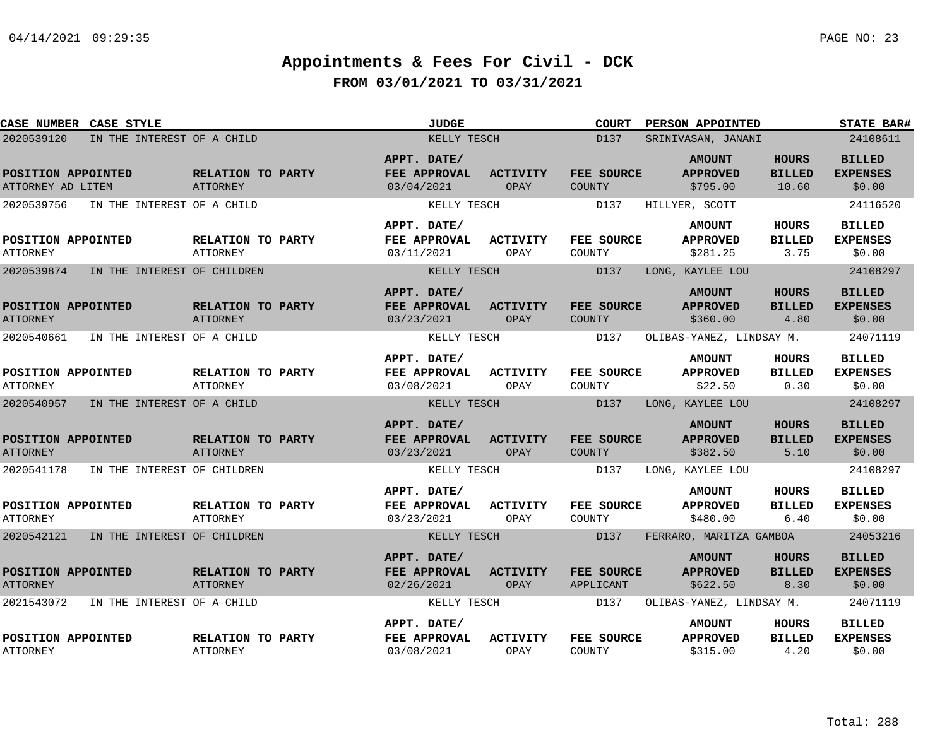|                                         | <b>CASE NUMBER CASE STYLE</b> |                                      | <b>JUDGE</b>                              |                                | <b>COURT</b>                       | PERSON APPOINTED                             |                                        | <b>STATE BAR#</b>                          |
|-----------------------------------------|-------------------------------|--------------------------------------|-------------------------------------------|--------------------------------|------------------------------------|----------------------------------------------|----------------------------------------|--------------------------------------------|
| 2020539120                              | IN THE INTEREST OF A CHILD    |                                      | KELLY TESCH                               |                                | D137                               | SRINIVASAN, JANANI                           |                                        | 24108611                                   |
| POSITION APPOINTED<br>ATTORNEY AD LITEM |                               | RELATION TO PARTY<br><b>ATTORNEY</b> | APPT. DATE/<br>FEE APPROVAL<br>03/04/2021 | <b>ACTIVITY</b><br>OPAY        | FEE SOURCE<br>COUNTY               | <b>AMOUNT</b><br><b>APPROVED</b><br>\$795.00 | <b>HOURS</b><br><b>BILLED</b><br>10.60 | <b>BILLED</b><br><b>EXPENSES</b><br>\$0.00 |
| 2020539756                              | IN THE INTEREST OF A CHILD    |                                      | KELLY TESCH                               |                                | D137                               | HILLYER, SCOTT                               |                                        | 24116520                                   |
| POSITION APPOINTED<br><b>ATTORNEY</b>   |                               | RELATION TO PARTY<br><b>ATTORNEY</b> | APPT. DATE/<br>FEE APPROVAL<br>03/11/2021 | ACTIVITY<br>OPAY               | FEE SOURCE<br>COUNTY               | <b>AMOUNT</b><br><b>APPROVED</b><br>\$281.25 | <b>HOURS</b><br><b>BILLED</b><br>3.75  | <b>BILLED</b><br><b>EXPENSES</b><br>\$0.00 |
| 2020539874                              | IN THE INTEREST OF CHILDREN   |                                      | KELLY TESCH                               |                                | D137                               | LONG, KAYLEE LOU                             |                                        | 24108297                                   |
| POSITION APPOINTED<br><b>ATTORNEY</b>   |                               | RELATION TO PARTY<br><b>ATTORNEY</b> | APPT. DATE/<br>FEE APPROVAL<br>03/23/2021 | <b>ACTIVITY</b><br>OPAY        | FEE SOURCE<br><b>COUNTY</b>        | <b>AMOUNT</b><br><b>APPROVED</b><br>\$360.00 | <b>HOURS</b><br><b>BILLED</b><br>4.80  | <b>BILLED</b><br><b>EXPENSES</b><br>\$0.00 |
| 2020540661                              | IN THE INTEREST OF A CHILD    |                                      | KELLY TESCH                               |                                | D137                               | OLIBAS-YANEZ, LINDSAY M.                     |                                        | 24071119                                   |
| POSITION APPOINTED<br><b>ATTORNEY</b>   |                               | RELATION TO PARTY<br>ATTORNEY        | APPT. DATE/<br>FEE APPROVAL<br>03/08/2021 | <b>ACTIVITY</b><br>OPAY        | FEE SOURCE<br>COUNTY               | <b>AMOUNT</b><br><b>APPROVED</b><br>\$22.50  | <b>HOURS</b><br><b>BILLED</b><br>0.30  | <b>BILLED</b><br><b>EXPENSES</b><br>\$0.00 |
| 2020540957                              | IN THE INTEREST OF A CHILD    |                                      | KELLY TESCH                               |                                | D137                               | LONG, KAYLEE LOU                             |                                        | 24108297                                   |
| POSITION APPOINTED<br><b>ATTORNEY</b>   |                               | RELATION TO PARTY<br>ATTORNEY        | APPT. DATE/<br>FEE APPROVAL<br>03/23/2021 | <b>ACTIVITY</b><br><b>OPAY</b> | <b>FEE SOURCE</b><br><b>COUNTY</b> | <b>AMOUNT</b><br><b>APPROVED</b><br>\$382.50 | <b>HOURS</b><br><b>BILLED</b><br>5.10  | <b>BILLED</b><br><b>EXPENSES</b><br>\$0.00 |
| 2020541178                              | IN THE INTEREST OF CHILDREN   |                                      | KELLY TESCH                               |                                | D137                               | LONG, KAYLEE LOU                             |                                        | 24108297                                   |
| POSITION APPOINTED<br><b>ATTORNEY</b>   |                               | RELATION TO PARTY<br><b>ATTORNEY</b> | APPT. DATE/<br>FEE APPROVAL<br>03/23/2021 | <b>ACTIVITY</b><br>OPAY        | FEE SOURCE<br>COUNTY               | <b>AMOUNT</b><br><b>APPROVED</b><br>\$480.00 | <b>HOURS</b><br><b>BILLED</b><br>6.40  | <b>BILLED</b><br><b>EXPENSES</b><br>\$0.00 |
| 2020542121                              | IN THE INTEREST OF CHILDREN   |                                      | KELLY TESCH                               |                                | D137                               | FERRARO, MARITZA GAMBOA                      |                                        | 24053216                                   |
| POSITION APPOINTED<br><b>ATTORNEY</b>   |                               | RELATION TO PARTY<br><b>ATTORNEY</b> | APPT. DATE/<br>FEE APPROVAL<br>02/26/2021 | <b>ACTIVITY</b><br>OPAY        | FEE SOURCE<br>APPLICANT            | <b>AMOUNT</b><br><b>APPROVED</b><br>\$622.50 | <b>HOURS</b><br><b>BILLED</b><br>8.30  | <b>BILLED</b><br><b>EXPENSES</b><br>\$0.00 |
| 2021543072                              | IN THE INTEREST OF A CHILD    |                                      | KELLY TESCH                               |                                | D137                               | OLIBAS-YANEZ, LINDSAY M.                     |                                        | 24071119                                   |
| POSITION APPOINTED<br><b>ATTORNEY</b>   |                               | RELATION TO PARTY<br>ATTORNEY        | APPT. DATE/<br>FEE APPROVAL<br>03/08/2021 | <b>ACTIVITY</b><br>OPAY        | FEE SOURCE<br>COUNTY               | <b>AMOUNT</b><br><b>APPROVED</b><br>\$315.00 | <b>HOURS</b><br><b>BILLED</b><br>4.20  | <b>BILLED</b><br><b>EXPENSES</b><br>\$0.00 |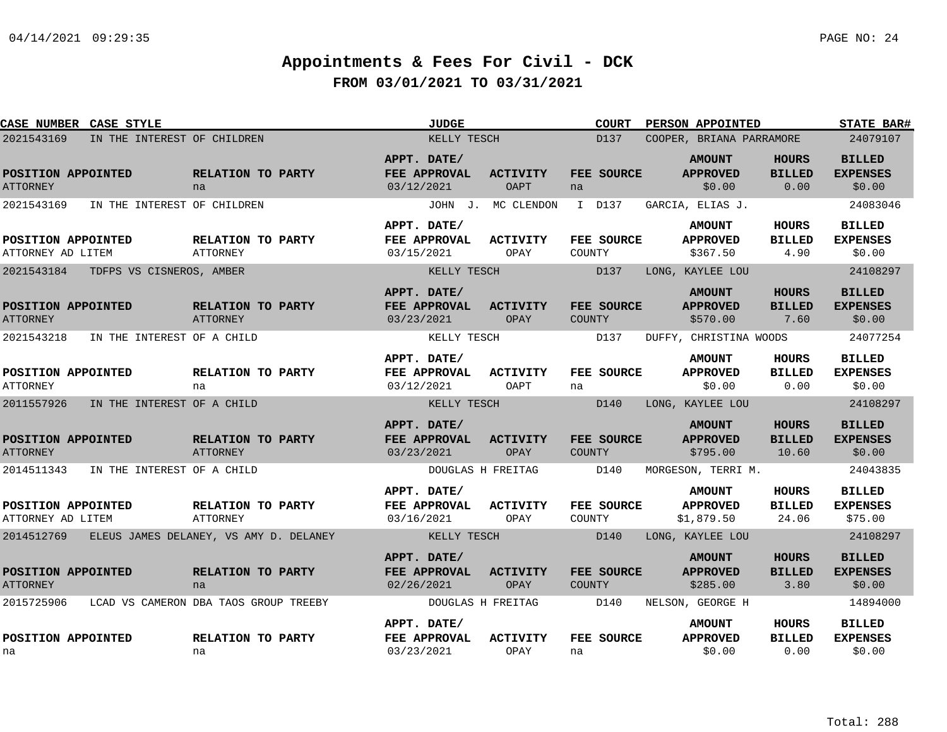| CASE NUMBER CASE STYLE                  |                                                   | <b>JUDGE</b>                                     |                         | <b>COURT</b>                | PERSON APPOINTED                               |                                        | <b>STATE BAR#</b>                           |
|-----------------------------------------|---------------------------------------------------|--------------------------------------------------|-------------------------|-----------------------------|------------------------------------------------|----------------------------------------|---------------------------------------------|
| 2021543169                              | IN THE INTEREST OF CHILDREN                       | KELLY TESCH                                      |                         | D137                        | COOPER, BRIANA PARRAMORE                       |                                        | 24079107                                    |
| POSITION APPOINTED<br><b>ATTORNEY</b>   | RELATION TO PARTY<br>na                           | APPT. DATE/<br>FEE APPROVAL<br>03/12/2021        | <b>ACTIVITY</b><br>OAPT | FEE SOURCE<br>na            | <b>AMOUNT</b><br><b>APPROVED</b><br>\$0.00     | <b>HOURS</b><br><b>BILLED</b><br>0.00  | <b>BILLED</b><br><b>EXPENSES</b><br>\$0.00  |
| 2021543169                              | IN THE INTEREST OF CHILDREN                       |                                                  | JOHN J. MC CLENDON      | I D137                      | GARCIA, ELIAS J.                               |                                        | 24083046                                    |
| POSITION APPOINTED<br>ATTORNEY AD LITEM | RELATION TO PARTY<br>ATTORNEY                     | APPT. DATE/<br>FEE APPROVAL<br>03/15/2021        | <b>ACTIVITY</b><br>OPAY | <b>FEE SOURCE</b><br>COUNTY | <b>AMOUNT</b><br><b>APPROVED</b><br>\$367.50   | HOURS<br><b>BILLED</b><br>4.90         | <b>BILLED</b><br><b>EXPENSES</b><br>\$0.00  |
| 2021543184 TDFPS VS CISNEROS, AMBER     |                                                   | KELLY TESCH                                      |                         | D137                        | LONG, KAYLEE LOU                               |                                        | 24108297                                    |
| POSITION APPOINTED<br><b>ATTORNEY</b>   | RELATION TO PARTY<br><b>ATTORNEY</b>              | APPT. DATE/<br>FEE APPROVAL<br>03/23/2021        | <b>ACTIVITY</b><br>OPAY | FEE SOURCE<br>COUNTY        | <b>AMOUNT</b><br><b>APPROVED</b><br>\$570.00   | <b>HOURS</b><br><b>BILLED</b><br>7.60  | <b>BILLED</b><br><b>EXPENSES</b><br>\$0.00  |
| 2021543218                              | IN THE INTEREST OF A CHILD                        | KELLY TESCH                                      |                         | D137                        | DUFFY, CHRISTINA WOODS                         |                                        | 24077254                                    |
| POSITION APPOINTED<br><b>ATTORNEY</b>   | RELATION TO PARTY<br>na                           | APPT. DATE/<br>FEE APPROVAL<br>03/12/2021        | <b>ACTIVITY</b><br>OAPT | FEE SOURCE<br>na            | <b>AMOUNT</b><br><b>APPROVED</b><br>\$0.00     | HOURS<br><b>BILLED</b><br>0.00         | <b>BILLED</b><br><b>EXPENSES</b><br>\$0.00  |
| 2011557926                              | IN THE INTEREST OF A CHILD                        | KELLY TESCH                                      |                         | D140                        | LONG, KAYLEE LOU                               |                                        | 24108297                                    |
| POSITION APPOINTED<br><b>ATTORNEY</b>   | RELATION TO PARTY<br><b>ATTORNEY</b>              | APPT. DATE/<br><b>FEE APPROVAL</b><br>03/23/2021 | <b>ACTIVITY</b><br>OPAY | FEE SOURCE<br>COUNTY        | <b>AMOUNT</b><br><b>APPROVED</b><br>\$795.00   | <b>HOURS</b><br><b>BILLED</b><br>10.60 | <b>BILLED</b><br><b>EXPENSES</b><br>\$0.00  |
| 2014511343                              | IN THE INTEREST OF A CHILD                        |                                                  | DOUGLAS H FREITAG       | D140                        | MORGESON, TERRI M.                             |                                        | 24043835                                    |
| POSITION APPOINTED<br>ATTORNEY AD LITEM | RELATION TO PARTY<br><b>ATTORNEY</b>              | APPT. DATE/<br>FEE APPROVAL<br>03/16/2021        | <b>ACTIVITY</b><br>OPAY | FEE SOURCE<br>COUNTY        | <b>AMOUNT</b><br><b>APPROVED</b><br>\$1,879.50 | <b>HOURS</b><br><b>BILLED</b><br>24.06 | <b>BILLED</b><br><b>EXPENSES</b><br>\$75.00 |
|                                         | 2014512769 ELEUS JAMES DELANEY, VS AMY D. DELANEY | KELLY TESCH                                      |                         | D140                        | LONG, KAYLEE LOU                               |                                        | 24108297                                    |
| POSITION APPOINTED<br><b>ATTORNEY</b>   | RELATION TO PARTY<br>na                           | APPT. DATE/<br>FEE APPROVAL<br>02/26/2021        | <b>ACTIVITY</b><br>OPAY | FEE SOURCE<br><b>COUNTY</b> | <b>AMOUNT</b><br><b>APPROVED</b><br>\$285.00   | <b>HOURS</b><br><b>BILLED</b><br>3.80  | <b>BILLED</b><br><b>EXPENSES</b><br>\$0.00  |
| 2015725906                              | LCAD VS CAMERON DBA TAOS GROUP TREEBY             |                                                  | DOUGLAS H FREITAG       | D140                        | NELSON, GEORGE H                               |                                        | 14894000                                    |
| POSITION APPOINTED<br>na                | RELATION TO PARTY<br>na                           | APPT. DATE/<br>FEE APPROVAL<br>03/23/2021        | <b>ACTIVITY</b><br>OPAY | FEE SOURCE<br>na            | <b>AMOUNT</b><br><b>APPROVED</b><br>\$0.00     | HOURS<br><b>BILLED</b><br>0.00         | <b>BILLED</b><br><b>EXPENSES</b><br>\$0.00  |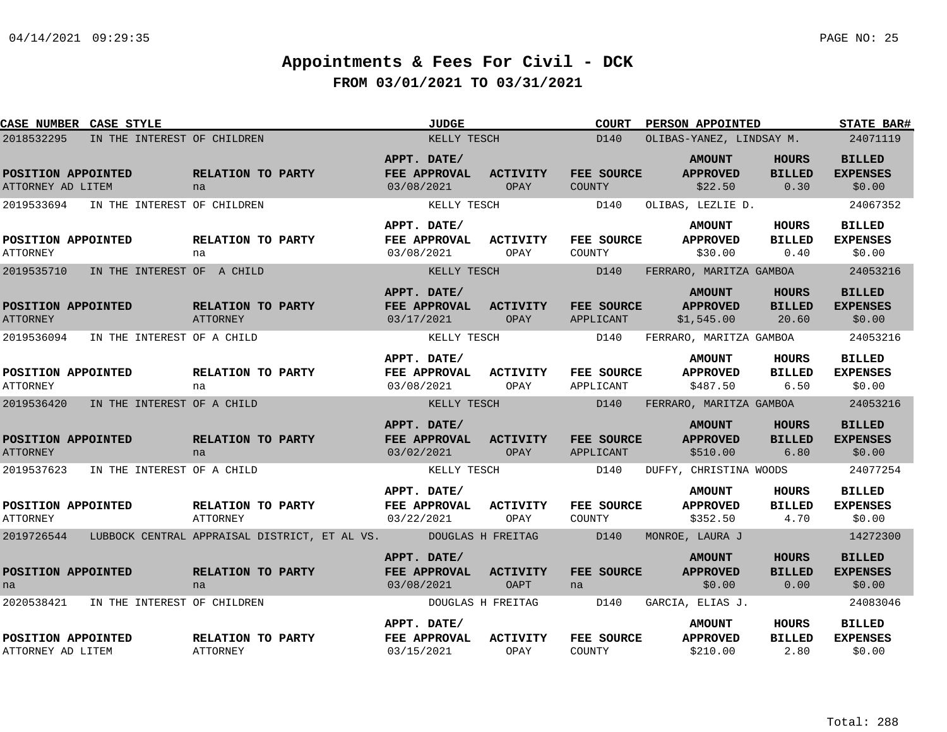| CASE NUMBER CASE STYLE                  |                                        |                                |                                                                            | <b>JUDGE</b>                              |                         | <b>COURT</b>            | <b>PERSON APPOINTED</b>                        |                                       | <b>STATE BAR#</b>                          |
|-----------------------------------------|----------------------------------------|--------------------------------|----------------------------------------------------------------------------|-------------------------------------------|-------------------------|-------------------------|------------------------------------------------|---------------------------------------|--------------------------------------------|
| 2018532295                              | IN THE INTEREST OF CHILDREN            |                                |                                                                            | KELLY TESCH                               |                         | D140                    | OLIBAS-YANEZ, LINDSAY M.                       |                                       | 24071119                                   |
| POSITION APPOINTED<br>ATTORNEY AD LITEM |                                        | RELATION TO PARTY<br>na        |                                                                            | APPT. DATE/<br>FEE APPROVAL<br>03/08/2021 | ACTIVITY<br>OPAY        | FEE SOURCE<br>COUNTY    | <b>AMOUNT</b><br><b>APPROVED</b><br>\$22.50    | HOURS<br><b>BILLED</b><br>0.30        | <b>BILLED</b><br><b>EXPENSES</b><br>\$0.00 |
|                                         | 2019533694 IN THE INTEREST OF CHILDREN |                                |                                                                            | KELLY TESCH                               |                         | D140                    | OLIBAS, LEZLIE D.                              |                                       | 24067352                                   |
| POSITION APPOINTED<br><b>ATTORNEY</b>   |                                        | <b>RELATION TO PARTY</b><br>na |                                                                            | APPT. DATE/<br>FEE APPROVAL<br>03/08/2021 | ACTIVITY<br>OPAY        | FEE SOURCE<br>COUNTY    | <b>AMOUNT</b><br><b>APPROVED</b><br>\$30.00    | HOURS<br><b>BILLED</b><br>0.40        | <b>BILLED</b><br><b>EXPENSES</b><br>\$0.00 |
| 2019535710                              | IN THE INTEREST OF A CHILD             |                                |                                                                            | KELLY TESCH                               |                         | D140                    | FERRARO, MARITZA GAMBOA                        |                                       | 24053216                                   |
| POSITION APPOINTED<br><b>ATTORNEY</b>   |                                        | RELATION TO PARTY<br>ATTORNEY  |                                                                            | APPT. DATE/<br>FEE APPROVAL<br>03/17/2021 | <b>ACTIVITY</b><br>OPAY | FEE SOURCE<br>APPLICANT | <b>AMOUNT</b><br><b>APPROVED</b><br>\$1,545.00 | HOURS<br><b>BILLED</b><br>20.60       | <b>BILLED</b><br><b>EXPENSES</b><br>\$0.00 |
| 2019536094                              | IN THE INTEREST OF A CHILD             |                                |                                                                            | KELLY TESCH                               |                         | D140                    | FERRARO, MARITZA GAMBOA                        |                                       | 24053216                                   |
| POSITION APPOINTED<br><b>ATTORNEY</b>   |                                        | RELATION TO PARTY<br>na        |                                                                            | APPT. DATE/<br>FEE APPROVAL<br>03/08/2021 | <b>ACTIVITY</b><br>OPAY | FEE SOURCE<br>APPLICANT | <b>AMOUNT</b><br><b>APPROVED</b><br>\$487.50   | HOURS<br><b>BILLED</b><br>6.50        | <b>BILLED</b><br><b>EXPENSES</b><br>\$0.00 |
| 2019536420                              | IN THE INTEREST OF A CHILD             |                                |                                                                            | KELLY TESCH                               |                         | D140                    | FERRARO, MARITZA GAMBOA                        |                                       | 24053216                                   |
| POSITION APPOINTED<br><b>ATTORNEY</b>   |                                        | RELATION TO PARTY<br>na        |                                                                            | APPT. DATE/<br>FEE APPROVAL<br>03/02/2021 | <b>ACTIVITY</b><br>OPAY | FEE SOURCE<br>APPLICANT | <b>AMOUNT</b><br><b>APPROVED</b><br>\$510.00   | <b>HOURS</b><br><b>BILLED</b><br>6.80 | <b>BILLED</b><br><b>EXPENSES</b><br>\$0.00 |
| 2019537623                              | IN THE INTEREST OF A CHILD             |                                |                                                                            | KELLY TESCH                               |                         | D140                    | DUFFY, CHRISTINA WOODS                         |                                       | 24077254                                   |
| POSITION APPOINTED<br><b>ATTORNEY</b>   |                                        | RELATION TO PARTY<br>ATTORNEY  |                                                                            | APPT. DATE/<br>FEE APPROVAL<br>03/22/2021 | <b>ACTIVITY</b><br>OPAY | FEE SOURCE<br>COUNTY    | <b>AMOUNT</b><br><b>APPROVED</b><br>\$352.50   | HOURS<br><b>BILLED</b><br>4.70        | <b>BILLED</b><br><b>EXPENSES</b><br>\$0.00 |
|                                         |                                        |                                | 2019726544 LUBBOCK CENTRAL APPRAISAL DISTRICT, ET AL VS. DOUGLAS H FREITAG |                                           |                         | D140                    | MONROE, LAURA J                                |                                       | 14272300                                   |
| POSITION APPOINTED<br>na                |                                        | RELATION TO PARTY<br>na        |                                                                            | APPT. DATE/<br>FEE APPROVAL<br>03/08/2021 | <b>ACTIVITY</b><br>OAPT | FEE SOURCE<br>na        | <b>AMOUNT</b><br><b>APPROVED</b><br>\$0.00     | <b>HOURS</b><br><b>BILLED</b><br>0.00 | <b>BILLED</b><br><b>EXPENSES</b><br>\$0.00 |
|                                         | 2020538421 IN THE INTEREST OF CHILDREN |                                |                                                                            |                                           | DOUGLAS H FREITAG       | D140                    | GARCIA, ELIAS J.                               |                                       | 24083046                                   |
| POSITION APPOINTED<br>ATTORNEY AD LITEM |                                        | RELATION TO PARTY<br>ATTORNEY  |                                                                            | APPT. DATE/<br>FEE APPROVAL<br>03/15/2021 | <b>ACTIVITY</b><br>OPAY | FEE SOURCE<br>COUNTY    | <b>AMOUNT</b><br><b>APPROVED</b><br>\$210.00   | <b>HOURS</b><br><b>BILLED</b><br>2.80 | <b>BILLED</b><br><b>EXPENSES</b><br>\$0.00 |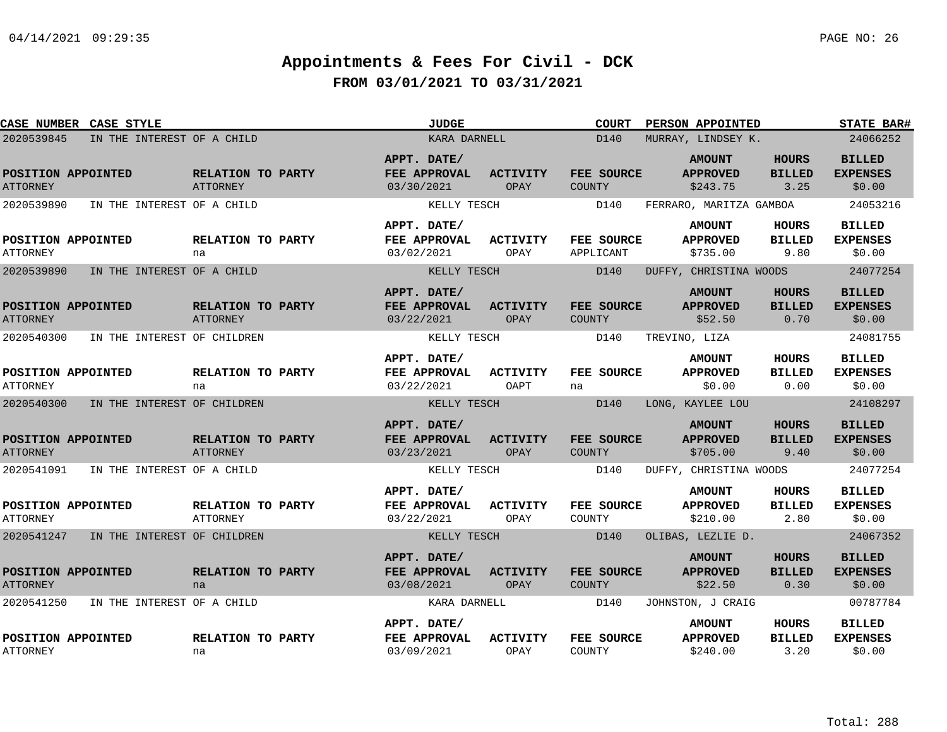| <b>CASE NUMBER CASE STYLE</b>         |                             |                                      | <b>JUDGE</b>                              |                                | <b>COURT</b>                | <b>PERSON APPOINTED</b>                      |                                       | <b>STATE BAR#</b>                          |
|---------------------------------------|-----------------------------|--------------------------------------|-------------------------------------------|--------------------------------|-----------------------------|----------------------------------------------|---------------------------------------|--------------------------------------------|
| 2020539845                            | IN THE INTEREST OF A CHILD  |                                      | KARA DARNELL                              |                                | D140                        | MURRAY, LINDSEY K.                           |                                       | 24066252                                   |
| POSITION APPOINTED<br><b>ATTORNEY</b> |                             | RELATION TO PARTY<br><b>ATTORNEY</b> | APPT. DATE/<br>FEE APPROVAL<br>03/30/2021 | <b>ACTIVITY</b><br>OPAY        | FEE SOURCE<br>COUNTY        | <b>AMOUNT</b><br><b>APPROVED</b><br>\$243.75 | <b>HOURS</b><br><b>BILLED</b><br>3.25 | <b>BILLED</b><br><b>EXPENSES</b><br>\$0.00 |
| 2020539890                            | IN THE INTEREST OF A CHILD  |                                      | KELLY TESCH                               |                                | D140                        | FERRARO, MARITZA GAMBOA                      |                                       | 24053216                                   |
| POSITION APPOINTED<br><b>ATTORNEY</b> |                             | RELATION TO PARTY<br>na              | APPT. DATE/<br>FEE APPROVAL<br>03/02/2021 | <b>ACTIVITY</b><br>OPAY        | FEE SOURCE<br>APPLICANT     | <b>AMOUNT</b><br><b>APPROVED</b><br>\$735.00 | HOURS<br><b>BILLED</b><br>9.80        | <b>BILLED</b><br><b>EXPENSES</b><br>\$0.00 |
| 2020539890                            | IN THE INTEREST OF A CHILD  |                                      | KELLY TESCH                               |                                | D140                        | DUFFY, CHRISTINA WOODS                       |                                       | 24077254                                   |
| POSITION APPOINTED<br><b>ATTORNEY</b> |                             | RELATION TO PARTY<br>ATTORNEY        | APPT. DATE/<br>FEE APPROVAL<br>03/22/2021 | <b>ACTIVITY</b><br>OPAY        | FEE SOURCE<br><b>COUNTY</b> | <b>AMOUNT</b><br><b>APPROVED</b><br>\$52.50  | <b>HOURS</b><br><b>BILLED</b><br>0.70 | <b>BILLED</b><br><b>EXPENSES</b><br>\$0.00 |
| 2020540300                            | IN THE INTEREST OF CHILDREN |                                      | KELLY TESCH                               |                                | D140                        | TREVINO, LIZA                                |                                       | 24081755                                   |
| POSITION APPOINTED<br><b>ATTORNEY</b> |                             | RELATION TO PARTY<br>na              | APPT. DATE/<br>FEE APPROVAL<br>03/22/2021 | <b>ACTIVITY</b><br>OAPT        | FEE SOURCE<br>na            | <b>AMOUNT</b><br><b>APPROVED</b><br>\$0.00   | <b>HOURS</b><br><b>BILLED</b><br>0.00 | <b>BILLED</b><br><b>EXPENSES</b><br>\$0.00 |
| 2020540300                            | IN THE INTEREST OF CHILDREN |                                      | KELLY TESCH                               |                                | D140                        | LONG, KAYLEE LOU                             |                                       | 24108297                                   |
| POSITION APPOINTED<br><b>ATTORNEY</b> |                             | RELATION TO PARTY<br><b>ATTORNEY</b> | APPT. DATE/<br>FEE APPROVAL<br>03/23/2021 | <b>ACTIVITY</b><br><b>OPAY</b> | FEE SOURCE<br><b>COUNTY</b> | <b>AMOUNT</b><br><b>APPROVED</b><br>\$705.00 | <b>HOURS</b><br><b>BILLED</b><br>9.40 | <b>BILLED</b><br><b>EXPENSES</b><br>\$0.00 |
| 2020541091                            | IN THE INTEREST OF A CHILD  |                                      | KELLY TESCH                               |                                | D140                        | DUFFY, CHRISTINA WOODS                       |                                       | 24077254                                   |
| POSITION APPOINTED<br><b>ATTORNEY</b> |                             | RELATION TO PARTY<br><b>ATTORNEY</b> | APPT. DATE/<br>FEE APPROVAL<br>03/22/2021 | <b>ACTIVITY</b><br>OPAY        | FEE SOURCE<br>COUNTY        | <b>AMOUNT</b><br><b>APPROVED</b><br>\$210.00 | HOURS<br><b>BILLED</b><br>2.80        | <b>BILLED</b><br><b>EXPENSES</b><br>\$0.00 |
| 2020541247                            | IN THE INTEREST OF CHILDREN |                                      | KELLY TESCH                               |                                | D140                        | OLIBAS, LEZLIE D.                            |                                       | 24067352                                   |
| POSITION APPOINTED<br><b>ATTORNEY</b> |                             | RELATION TO PARTY<br>na              | APPT. DATE/<br>FEE APPROVAL<br>03/08/2021 | <b>ACTIVITY</b><br>OPAY        | FEE SOURCE<br><b>COUNTY</b> | <b>AMOUNT</b><br><b>APPROVED</b><br>\$22.50  | <b>HOURS</b><br><b>BILLED</b><br>0.30 | <b>BILLED</b><br><b>EXPENSES</b><br>\$0.00 |
| 2020541250                            | IN THE INTEREST OF A CHILD  |                                      | KARA DARNELL                              |                                | D140                        | JOHNSTON, J CRAIG                            |                                       | 00787784                                   |
| POSITION APPOINTED<br><b>ATTORNEY</b> |                             | RELATION TO PARTY<br>na              | APPT. DATE/<br>FEE APPROVAL<br>03/09/2021 | <b>ACTIVITY</b><br>OPAY        | FEE SOURCE<br>COUNTY        | <b>AMOUNT</b><br><b>APPROVED</b><br>\$240.00 | <b>HOURS</b><br><b>BILLED</b><br>3.20 | <b>BILLED</b><br><b>EXPENSES</b><br>\$0.00 |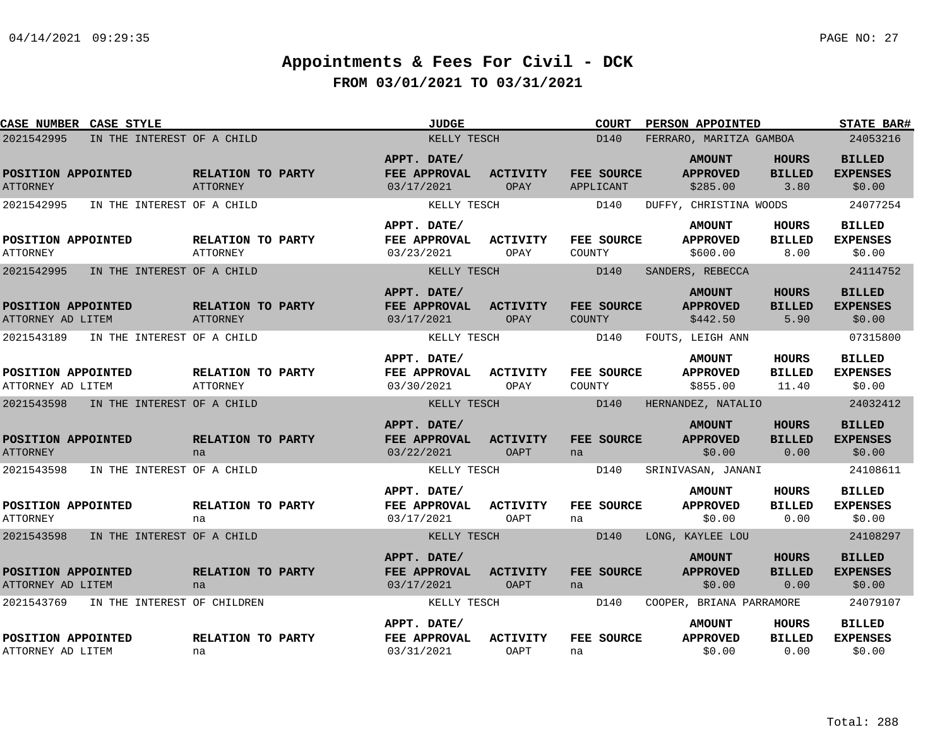| <b>CASE NUMBER CASE STYLE</b>             |                                      | <b>JUDGE</b>                              |                                | <b>COURT</b>                | PERSON APPOINTED                             |                                        | <b>STATE BAR#</b>                          |
|-------------------------------------------|--------------------------------------|-------------------------------------------|--------------------------------|-----------------------------|----------------------------------------------|----------------------------------------|--------------------------------------------|
| 2021542995<br>IN THE INTEREST OF A CHILD  |                                      | KELLY TESCH                               |                                | D140                        | FERRARO, MARITZA GAMBOA                      |                                        | 24053216                                   |
| POSITION APPOINTED<br><b>ATTORNEY</b>     | RELATION TO PARTY<br><b>ATTORNEY</b> | APPT. DATE/<br>FEE APPROVAL<br>03/17/2021 | <b>ACTIVITY</b><br>OPAY        | FEE SOURCE<br>APPLICANT     | <b>AMOUNT</b><br><b>APPROVED</b><br>\$285.00 | <b>HOURS</b><br><b>BILLED</b><br>3.80  | <b>BILLED</b><br><b>EXPENSES</b><br>\$0.00 |
| 2021542995<br>IN THE INTEREST OF A CHILD  |                                      | KELLY TESCH                               |                                | D140                        | DUFFY, CHRISTINA WOODS                       |                                        | 24077254                                   |
| POSITION APPOINTED<br><b>ATTORNEY</b>     | RELATION TO PARTY<br><b>ATTORNEY</b> | APPT. DATE/<br>FEE APPROVAL<br>03/23/2021 | <b>ACTIVITY</b><br>OPAY        | FEE SOURCE<br>COUNTY        | <b>AMOUNT</b><br><b>APPROVED</b><br>\$600.00 | <b>HOURS</b><br><b>BILLED</b><br>8.00  | <b>BILLED</b><br><b>EXPENSES</b><br>\$0.00 |
| 2021542995<br>IN THE INTEREST OF A CHILD  |                                      | KELLY TESCH                               |                                | D140                        | SANDERS, REBECCA                             |                                        | 24114752                                   |
| POSITION APPOINTED<br>ATTORNEY AD LITEM   | RELATION TO PARTY<br>ATTORNEY        | APPT. DATE/<br>FEE APPROVAL<br>03/17/2021 | <b>ACTIVITY</b><br>OPAY        | FEE SOURCE<br><b>COUNTY</b> | <b>AMOUNT</b><br><b>APPROVED</b><br>\$442.50 | <b>HOURS</b><br><b>BILLED</b><br>5.90  | <b>BILLED</b><br><b>EXPENSES</b><br>\$0.00 |
| 2021543189<br>IN THE INTEREST OF A CHILD  |                                      | KELLY TESCH                               |                                | D140                        | FOUTS, LEIGH ANN                             |                                        | 07315800                                   |
| POSITION APPOINTED<br>ATTORNEY AD LITEM   | RELATION TO PARTY<br><b>ATTORNEY</b> | APPT. DATE/<br>FEE APPROVAL<br>03/30/2021 | <b>ACTIVITY</b><br>OPAY        | FEE SOURCE<br>COUNTY        | <b>AMOUNT</b><br><b>APPROVED</b><br>\$855.00 | <b>HOURS</b><br><b>BILLED</b><br>11.40 | <b>BILLED</b><br><b>EXPENSES</b><br>\$0.00 |
| 2021543598<br>IN THE INTEREST OF A CHILD  |                                      | KELLY TESCH                               |                                | D140                        | HERNANDEZ, NATALIO                           |                                        | 24032412                                   |
| POSITION APPOINTED<br><b>ATTORNEY</b>     | RELATION TO PARTY<br>na              | APPT. DATE/<br>FEE APPROVAL<br>03/22/2021 | <b>ACTIVITY</b><br><b>OAPT</b> | FEE SOURCE<br>na            | <b>AMOUNT</b><br><b>APPROVED</b><br>\$0.00   | <b>HOURS</b><br><b>BILLED</b><br>0.00  | <b>BILLED</b><br><b>EXPENSES</b><br>\$0.00 |
| 2021543598<br>IN THE INTEREST OF A CHILD  |                                      | KELLY TESCH                               |                                | D140                        | SRINIVASAN, JANANI                           |                                        | 24108611                                   |
| POSITION APPOINTED<br><b>ATTORNEY</b>     | RELATION TO PARTY<br>na              | APPT. DATE/<br>FEE APPROVAL<br>03/17/2021 | <b>ACTIVITY</b><br>OAPT        | FEE SOURCE<br>na            | <b>AMOUNT</b><br><b>APPROVED</b><br>\$0.00   | <b>HOURS</b><br><b>BILLED</b><br>0.00  | <b>BILLED</b><br><b>EXPENSES</b><br>\$0.00 |
| 2021543598<br>IN THE INTEREST OF A CHILD  |                                      | KELLY TESCH                               |                                | D140                        | LONG, KAYLEE LOU                             |                                        | 24108297                                   |
| POSITION APPOINTED<br>ATTORNEY AD LITEM   | RELATION TO PARTY<br>na              | APPT. DATE/<br>FEE APPROVAL<br>03/17/2021 | <b>ACTIVITY</b><br><b>OAPT</b> | FEE SOURCE<br>na            | <b>AMOUNT</b><br><b>APPROVED</b><br>\$0.00   | <b>HOURS</b><br><b>BILLED</b><br>0.00  | <b>BILLED</b><br><b>EXPENSES</b><br>\$0.00 |
| 2021543769<br>IN THE INTEREST OF CHILDREN |                                      | KELLY TESCH                               |                                | D140                        | COOPER, BRIANA PARRAMORE                     |                                        | 24079107                                   |
| POSITION APPOINTED<br>ATTORNEY AD LITEM   | RELATION TO PARTY<br>na              | APPT. DATE/<br>FEE APPROVAL<br>03/31/2021 | <b>ACTIVITY</b><br><b>OAPT</b> | FEE SOURCE<br>na            | <b>AMOUNT</b><br><b>APPROVED</b><br>\$0.00   | <b>HOURS</b><br><b>BILLED</b><br>0.00  | <b>BILLED</b><br><b>EXPENSES</b><br>\$0.00 |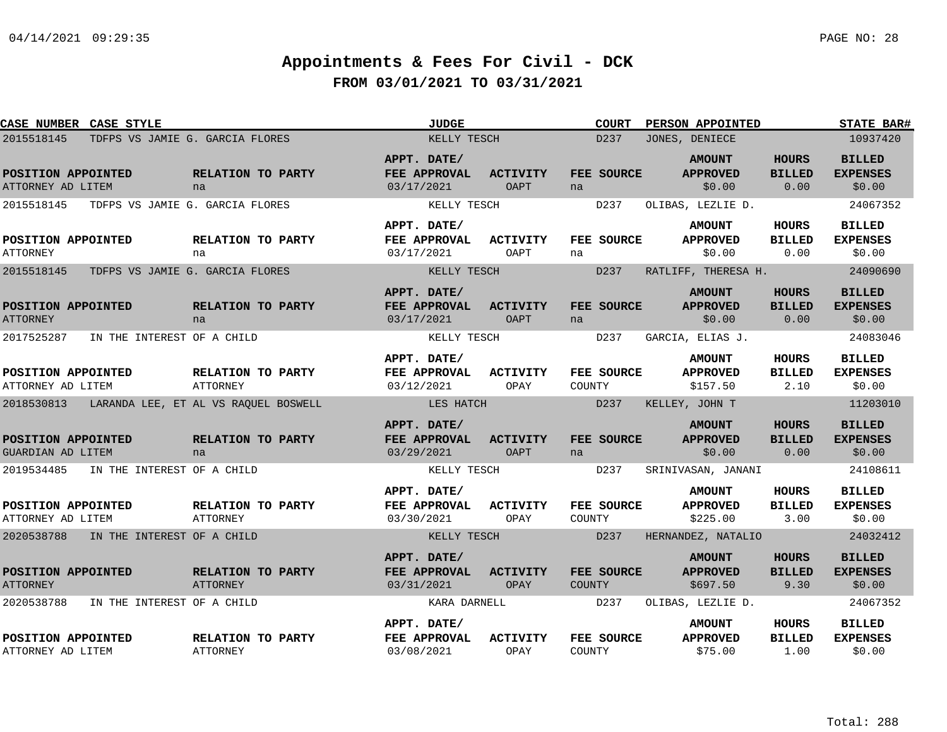| CASE NUMBER CASE STYLE                        |                                      | <b>JUDGE</b>                                     |                                | <b>COURT</b>         | PERSON APPOINTED                             |                                       | <b>STATE BAR#</b>                          |
|-----------------------------------------------|--------------------------------------|--------------------------------------------------|--------------------------------|----------------------|----------------------------------------------|---------------------------------------|--------------------------------------------|
| 2015518145                                    | TDFPS VS JAMIE G. GARCIA FLORES      | KELLY TESCH                                      |                                | D237                 | JONES, DENIECE                               |                                       | 10937420                                   |
| POSITION APPOINTED<br>ATTORNEY AD LITEM       | RELATION TO PARTY<br>na              | APPT. DATE/<br>FEE APPROVAL<br>03/17/2021        | <b>ACTIVITY</b><br>OAPT        | FEE SOURCE<br>na     | <b>AMOUNT</b><br><b>APPROVED</b><br>\$0.00   | <b>HOURS</b><br><b>BILLED</b><br>0.00 | <b>BILLED</b><br><b>EXPENSES</b><br>\$0.00 |
| 2015518145                                    | TDFPS VS JAMIE G. GARCIA FLORES      | KELLY TESCH                                      |                                | D237                 | OLIBAS, LEZLIE D.                            |                                       | 24067352                                   |
| POSITION APPOINTED<br><b>ATTORNEY</b>         | RELATION TO PARTY<br>na              | APPT. DATE/<br>FEE APPROVAL<br>03/17/2021        | <b>ACTIVITY</b><br>OAPT        | FEE SOURCE<br>na     | <b>AMOUNT</b><br><b>APPROVED</b><br>\$0.00   | HOURS<br><b>BILLED</b><br>0.00        | <b>BILLED</b><br><b>EXPENSES</b><br>\$0.00 |
| 2015518145<br>TDFPS VS JAMIE G. GARCIA FLORES |                                      | KELLY TESCH                                      |                                | D <sub>237</sub>     | RATLIFF, THERESA H.                          |                                       | 24090690                                   |
| POSITION APPOINTED<br><b>ATTORNEY</b>         | RELATION TO PARTY<br>na              | APPT. DATE/<br>FEE APPROVAL<br>03/17/2021        | <b>ACTIVITY</b><br><b>OAPT</b> | FEE SOURCE<br>na     | <b>AMOUNT</b><br><b>APPROVED</b><br>\$0.00   | <b>HOURS</b><br><b>BILLED</b><br>0.00 | <b>BILLED</b><br><b>EXPENSES</b><br>\$0.00 |
| 2017525287<br>IN THE INTEREST OF A CHILD      |                                      | KELLY TESCH                                      |                                | D237                 | GARCIA, ELIAS J.                             |                                       | 24083046                                   |
| POSITION APPOINTED<br>ATTORNEY AD LITEM       | RELATION TO PARTY<br><b>ATTORNEY</b> | APPT. DATE/<br>FEE APPROVAL<br>03/12/2021        | ACTIVITY<br>OPAY               | FEE SOURCE<br>COUNTY | <b>AMOUNT</b><br><b>APPROVED</b><br>\$157.50 | <b>HOURS</b><br><b>BILLED</b><br>2.10 | <b>BILLED</b><br><b>EXPENSES</b><br>\$0.00 |
| 2018530813                                    | LARANDA LEE, ET AL VS RAOUEL BOSWELL | LES HATCH                                        |                                | D237                 | KELLEY, JOHN T                               |                                       | 11203010                                   |
| POSITION APPOINTED<br>GUARDIAN AD LITEM       | RELATION TO PARTY<br>na              | APPT. DATE/<br>FEE APPROVAL<br>03/29/2021        | <b>ACTIVITY</b><br>OAPT        | FEE SOURCE<br>na     | <b>AMOUNT</b><br><b>APPROVED</b><br>\$0.00   | <b>HOURS</b><br><b>BILLED</b><br>0.00 | <b>BILLED</b><br><b>EXPENSES</b><br>\$0.00 |
| 2019534485<br>IN THE INTEREST OF A CHILD      |                                      | KELLY TESCH                                      |                                | D <sub>237</sub>     | SRINIVASAN, JANANI                           |                                       | 24108611                                   |
| POSITION APPOINTED<br>ATTORNEY AD LITEM       | RELATION TO PARTY<br><b>ATTORNEY</b> | APPT. DATE/<br><b>FEE APPROVAL</b><br>03/30/2021 | <b>ACTIVITY</b><br>OPAY        | FEE SOURCE<br>COUNTY | <b>AMOUNT</b><br><b>APPROVED</b><br>\$225.00 | HOURS<br><b>BILLED</b><br>3.00        | <b>BILLED</b><br><b>EXPENSES</b><br>\$0.00 |
| 2020538788<br>IN THE INTEREST OF A CHILD      |                                      | KELLY TESCH                                      |                                | D237                 | HERNANDEZ, NATALIO                           |                                       | 24032412                                   |
| POSITION APPOINTED<br><b>ATTORNEY</b>         | RELATION TO PARTY<br><b>ATTORNEY</b> | APPT. DATE/<br>FEE APPROVAL<br>03/31/2021        | <b>ACTIVITY</b><br>OPAY        | FEE SOURCE<br>COUNTY | <b>AMOUNT</b><br><b>APPROVED</b><br>\$697.50 | <b>HOURS</b><br><b>BILLED</b><br>9.30 | <b>BILLED</b><br><b>EXPENSES</b><br>\$0.00 |
| 2020538788<br>IN THE INTEREST OF A CHILD      |                                      | KARA DARNELL                                     |                                | D237                 | OLIBAS, LEZLIE D.                            |                                       | 24067352                                   |
| POSITION APPOINTED<br>ATTORNEY AD LITEM       | RELATION TO PARTY<br><b>ATTORNEY</b> | APPT. DATE/<br>FEE APPROVAL<br>03/08/2021        | <b>ACTIVITY</b><br>OPAY        | FEE SOURCE<br>COUNTY | <b>AMOUNT</b><br><b>APPROVED</b><br>\$75.00  | HOURS<br><b>BILLED</b><br>1.00        | <b>BILLED</b><br><b>EXPENSES</b><br>\$0.00 |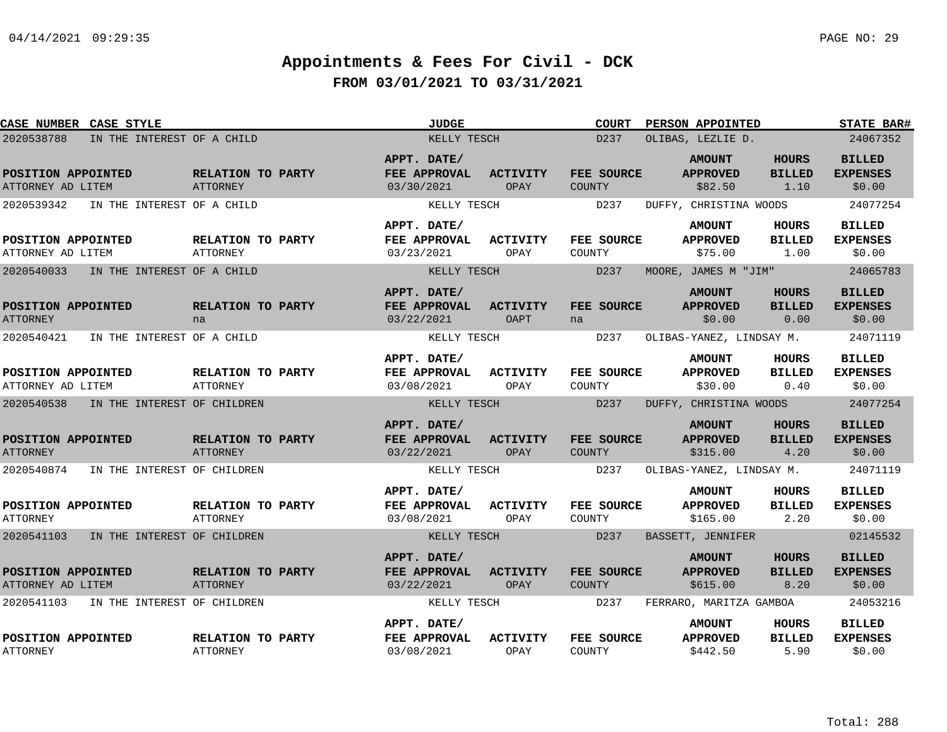| CASE NUMBER CASE STYLE                  |                             |                                      | <b>JUDGE</b>                              |                         | <b>COURT</b>                | PERSON APPOINTED                             |                                       | <b>STATE BAR#</b>                          |
|-----------------------------------------|-----------------------------|--------------------------------------|-------------------------------------------|-------------------------|-----------------------------|----------------------------------------------|---------------------------------------|--------------------------------------------|
| 2020538788                              | IN THE INTEREST OF A CHILD  |                                      | KELLY TESCH                               |                         | D237                        | OLIBAS, LEZLIE D.                            |                                       | 24067352                                   |
| POSITION APPOINTED<br>ATTORNEY AD LITEM |                             | RELATION TO PARTY<br>ATTORNEY        | APPT. DATE/<br>FEE APPROVAL<br>03/30/2021 | <b>ACTIVITY</b><br>OPAY | FEE SOURCE<br>COUNTY        | <b>AMOUNT</b><br><b>APPROVED</b><br>\$82.50  | <b>HOURS</b><br><b>BILLED</b><br>1.10 | <b>BILLED</b><br><b>EXPENSES</b><br>\$0.00 |
| 2020539342                              | IN THE INTEREST OF A CHILD  |                                      | KELLY TESCH                               |                         | D237                        | DUFFY, CHRISTINA WOODS                       |                                       | 24077254                                   |
| POSITION APPOINTED<br>ATTORNEY AD LITEM |                             | RELATION TO PARTY<br><b>ATTORNEY</b> | APPT. DATE/<br>FEE APPROVAL<br>03/23/2021 | <b>ACTIVITY</b><br>OPAY | FEE SOURCE<br>COUNTY        | <b>AMOUNT</b><br><b>APPROVED</b><br>\$75.00  | <b>HOURS</b><br><b>BILLED</b><br>1.00 | <b>BILLED</b><br><b>EXPENSES</b><br>\$0.00 |
| 2020540033                              | IN THE INTEREST OF A CHILD  |                                      | KELLY TESCH                               |                         | D237                        | MOORE, JAMES M "JIM"                         |                                       | 24065783                                   |
| POSITION APPOINTED<br><b>ATTORNEY</b>   |                             | RELATION TO PARTY<br>na              | APPT. DATE/<br>FEE APPROVAL<br>03/22/2021 | <b>ACTIVITY</b><br>OAPT | FEE SOURCE<br>na            | <b>AMOUNT</b><br><b>APPROVED</b><br>\$0.00   | <b>HOURS</b><br><b>BILLED</b><br>0.00 | <b>BILLED</b><br><b>EXPENSES</b><br>\$0.00 |
| 2020540421                              | IN THE INTEREST OF A CHILD  |                                      | KELLY TESCH                               |                         | D237                        | OLIBAS-YANEZ, LINDSAY M.                     |                                       | 24071119                                   |
| POSITION APPOINTED<br>ATTORNEY AD LITEM |                             | RELATION TO PARTY<br><b>ATTORNEY</b> | APPT. DATE/<br>FEE APPROVAL<br>03/08/2021 | <b>ACTIVITY</b><br>OPAY | FEE SOURCE<br>COUNTY        | <b>AMOUNT</b><br><b>APPROVED</b><br>\$30.00  | <b>HOURS</b><br><b>BILLED</b><br>0.40 | <b>BILLED</b><br><b>EXPENSES</b><br>\$0.00 |
| 2020540538                              | IN THE INTEREST OF CHILDREN |                                      | KELLY TESCH                               |                         | D237                        | DUFFY, CHRISTINA WOODS                       |                                       | 24077254                                   |
| POSITION APPOINTED<br><b>ATTORNEY</b>   |                             | RELATION TO PARTY<br><b>ATTORNEY</b> | APPT. DATE/<br>FEE APPROVAL<br>03/22/2021 | <b>ACTIVITY</b><br>OPAY | FEE SOURCE<br><b>COUNTY</b> | <b>AMOUNT</b><br><b>APPROVED</b><br>\$315.00 | <b>HOURS</b><br><b>BILLED</b><br>4.20 | <b>BILLED</b><br><b>EXPENSES</b><br>\$0.00 |
| 2020540874                              | IN THE INTEREST OF CHILDREN |                                      | KELLY TESCH                               |                         | D237                        | OLIBAS-YANEZ, LINDSAY M.                     |                                       | 24071119                                   |
| POSITION APPOINTED<br><b>ATTORNEY</b>   |                             | RELATION TO PARTY<br><b>ATTORNEY</b> | APPT. DATE/<br>FEE APPROVAL<br>03/08/2021 | <b>ACTIVITY</b><br>OPAY | FEE SOURCE<br>COUNTY        | <b>AMOUNT</b><br><b>APPROVED</b><br>\$165.00 | <b>HOURS</b><br><b>BILLED</b><br>2.20 | <b>BILLED</b><br><b>EXPENSES</b><br>\$0.00 |
| 2020541103                              | IN THE INTEREST OF CHILDREN |                                      | KELLY TESCH                               |                         | D237                        | BASSETT, JENNIFER                            |                                       | 02145532                                   |
| POSITION APPOINTED<br>ATTORNEY AD LITEM |                             | RELATION TO PARTY<br><b>ATTORNEY</b> | APPT. DATE/<br>FEE APPROVAL<br>03/22/2021 | <b>ACTIVITY</b><br>OPAY | FEE SOURCE<br>COUNTY        | <b>AMOUNT</b><br><b>APPROVED</b><br>\$615.00 | <b>HOURS</b><br><b>BILLED</b><br>8.20 | <b>BILLED</b><br><b>EXPENSES</b><br>\$0.00 |
| 2020541103                              | IN THE INTEREST OF CHILDREN |                                      | KELLY TESCH                               |                         | D237                        | FERRARO, MARITZA GAMBOA                      |                                       | 24053216                                   |
| POSITION APPOINTED<br><b>ATTORNEY</b>   |                             | RELATION TO PARTY<br><b>ATTORNEY</b> | APPT. DATE/<br>FEE APPROVAL<br>03/08/2021 | <b>ACTIVITY</b><br>OPAY | FEE SOURCE<br>COUNTY        | <b>AMOUNT</b><br><b>APPROVED</b><br>\$442.50 | <b>HOURS</b><br><b>BILLED</b><br>5.90 | <b>BILLED</b><br><b>EXPENSES</b><br>\$0.00 |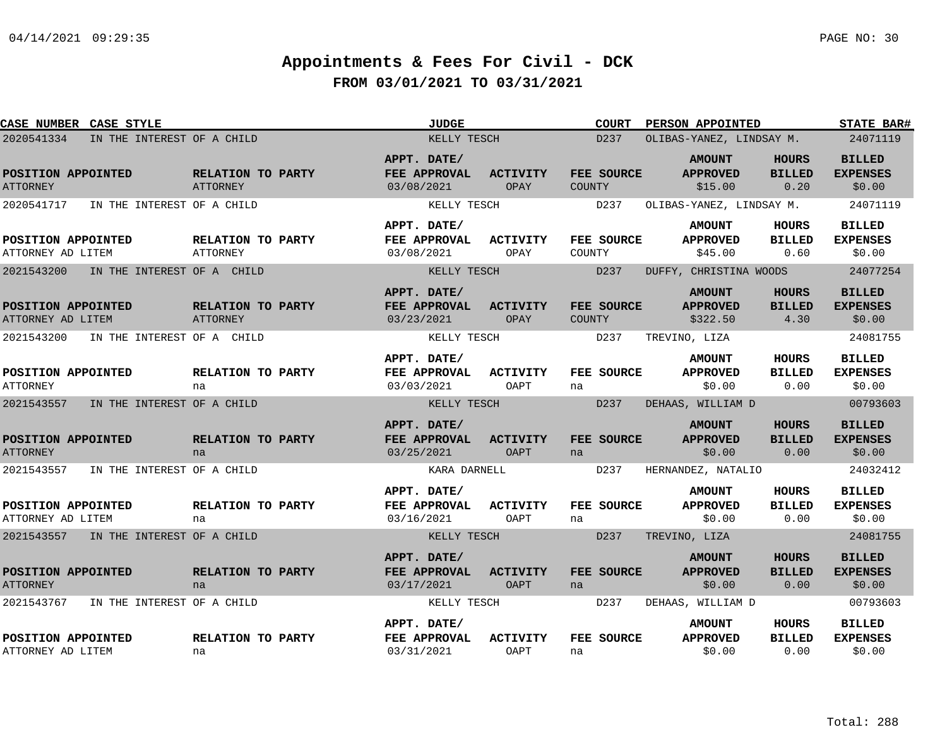| CASE NUMBER CASE STYLE                   |                                      | <b>JUDGE</b>                              |                                | <b>COURT</b>                | PERSON APPOINTED                             |                                       | <b>STATE BAR#</b>                          |
|------------------------------------------|--------------------------------------|-------------------------------------------|--------------------------------|-----------------------------|----------------------------------------------|---------------------------------------|--------------------------------------------|
| 2020541334<br>IN THE INTEREST OF A CHILD |                                      | KELLY TESCH                               |                                | D237                        | OLIBAS-YANEZ, LINDSAY M.                     |                                       | 24071119                                   |
| POSITION APPOINTED<br><b>ATTORNEY</b>    | RELATION TO PARTY<br><b>ATTORNEY</b> | APPT. DATE/<br>FEE APPROVAL<br>03/08/2021 | <b>ACTIVITY</b><br>OPAY        | FEE SOURCE<br><b>COUNTY</b> | <b>AMOUNT</b><br><b>APPROVED</b><br>\$15.00  | HOURS<br><b>BILLED</b><br>0.20        | <b>BILLED</b><br><b>EXPENSES</b><br>\$0.00 |
| 2020541717<br>IN THE INTEREST OF A CHILD |                                      | KELLY TESCH                               |                                | D237                        | OLIBAS-YANEZ, LINDSAY M.                     |                                       | 24071119                                   |
| POSITION APPOINTED<br>ATTORNEY AD LITEM  | RELATION TO PARTY<br><b>ATTORNEY</b> | APPT. DATE/<br>FEE APPROVAL<br>03/08/2021 | <b>ACTIVITY</b><br>OPAY        | FEE SOURCE<br>COUNTY        | <b>AMOUNT</b><br><b>APPROVED</b><br>\$45.00  | HOURS<br><b>BILLED</b><br>0.60        | <b>BILLED</b><br><b>EXPENSES</b><br>\$0.00 |
| 2021543200<br>IN THE INTEREST OF A CHILD |                                      | KELLY TESCH                               |                                | D237                        | DUFFY, CHRISTINA WOODS                       |                                       | 24077254                                   |
| POSITION APPOINTED<br>ATTORNEY AD LITEM  | RELATION TO PARTY<br>ATTORNEY        | APPT. DATE/<br>FEE APPROVAL<br>03/23/2021 | <b>ACTIVITY</b><br>OPAY        | FEE SOURCE<br><b>COUNTY</b> | <b>AMOUNT</b><br><b>APPROVED</b><br>\$322.50 | <b>HOURS</b><br><b>BILLED</b><br>4.30 | <b>BILLED</b><br><b>EXPENSES</b><br>\$0.00 |
| 2021543200<br>IN THE INTEREST OF A CHILD |                                      | KELLY TESCH                               |                                | D237                        | TREVINO, LIZA                                |                                       | 24081755                                   |
| POSITION APPOINTED<br><b>ATTORNEY</b>    | RELATION TO PARTY<br>na              | APPT. DATE/<br>FEE APPROVAL<br>03/03/2021 | <b>ACTIVITY</b><br>OAPT        | FEE SOURCE<br>na            | <b>AMOUNT</b><br><b>APPROVED</b><br>\$0.00   | <b>HOURS</b><br><b>BILLED</b><br>0.00 | <b>BILLED</b><br><b>EXPENSES</b><br>\$0.00 |
| 2021543557<br>IN THE INTEREST OF A CHILD |                                      | KELLY TESCH                               |                                | D <sub>237</sub>            | DEHAAS, WILLIAM D                            |                                       | 00793603                                   |
| POSITION APPOINTED<br><b>ATTORNEY</b>    | RELATION TO PARTY<br>na              | APPT. DATE/<br>FEE APPROVAL<br>03/25/2021 | <b>ACTIVITY</b><br><b>OAPT</b> | FEE SOURCE<br>na            | <b>AMOUNT</b><br><b>APPROVED</b><br>\$0.00   | <b>HOURS</b><br><b>BILLED</b><br>0.00 | <b>BILLED</b><br><b>EXPENSES</b><br>\$0.00 |
| 2021543557<br>IN THE INTEREST OF A CHILD |                                      | KARA DARNELL                              |                                | D237                        | HERNANDEZ, NATALIO                           |                                       | 24032412                                   |
| POSITION APPOINTED<br>ATTORNEY AD LITEM  | RELATION TO PARTY<br>na              | APPT. DATE/<br>FEE APPROVAL<br>03/16/2021 | <b>ACTIVITY</b><br>OAPT        | FEE SOURCE<br>na            | <b>AMOUNT</b><br><b>APPROVED</b><br>\$0.00   | <b>HOURS</b><br><b>BILLED</b><br>0.00 | <b>BILLED</b><br><b>EXPENSES</b><br>\$0.00 |
| 2021543557 IN THE INTEREST OF A CHILD    |                                      | KELLY TESCH                               |                                | D237                        | TREVINO, LIZA                                |                                       | 24081755                                   |
| POSITION APPOINTED<br><b>ATTORNEY</b>    | RELATION TO PARTY<br>na              | APPT. DATE/<br>FEE APPROVAL<br>03/17/2021 | <b>ACTIVITY</b><br><b>OAPT</b> | FEE SOURCE<br>na            | <b>AMOUNT</b><br><b>APPROVED</b><br>\$0.00   | <b>HOURS</b><br><b>BILLED</b><br>0.00 | <b>BILLED</b><br><b>EXPENSES</b><br>\$0.00 |
| 2021543767<br>IN THE INTEREST OF A CHILD |                                      | KELLY TESCH                               |                                | D237                        | DEHAAS, WILLIAM D                            |                                       | 00793603                                   |
| POSITION APPOINTED<br>ATTORNEY AD LITEM  | RELATION TO PARTY<br>na              | APPT. DATE/<br>FEE APPROVAL<br>03/31/2021 | <b>ACTIVITY</b><br>OAPT        | FEE SOURCE<br>na            | <b>AMOUNT</b><br><b>APPROVED</b><br>\$0.00   | HOURS<br><b>BILLED</b><br>0.00        | <b>BILLED</b><br><b>EXPENSES</b><br>\$0.00 |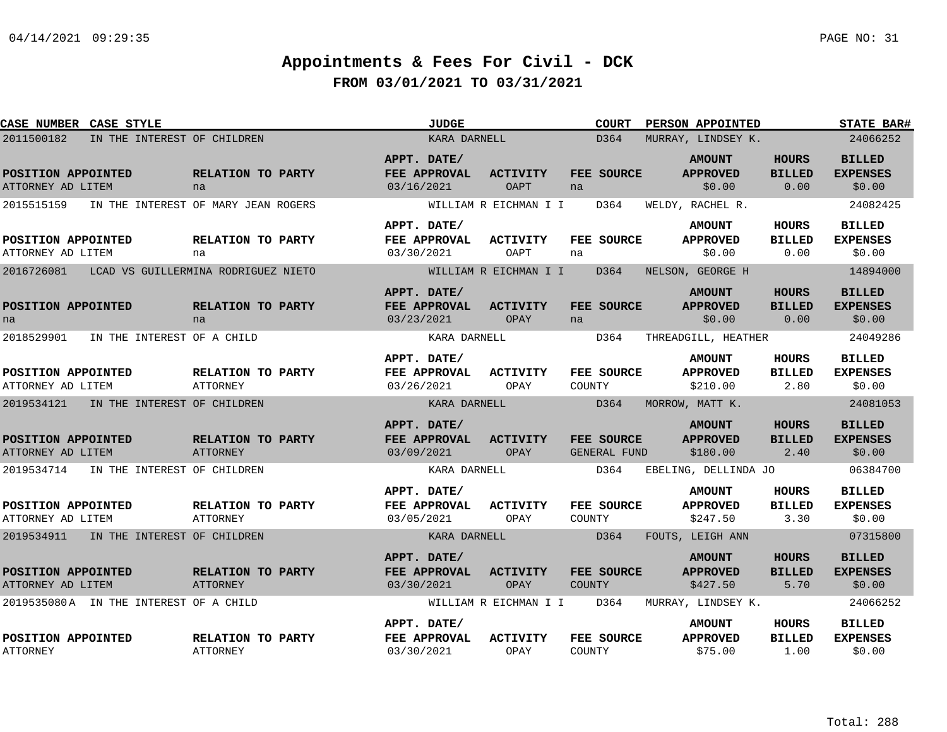| CASE NUMBER CASE STYLE                    |                                      | <b>JUDGE</b>                              |                         | <b>COURT</b>                      | PERSON APPOINTED                             |                                       | <b>STATE BAR#</b>                          |
|-------------------------------------------|--------------------------------------|-------------------------------------------|-------------------------|-----------------------------------|----------------------------------------------|---------------------------------------|--------------------------------------------|
| 2011500182<br>IN THE INTEREST OF CHILDREN |                                      | KARA DARNELL                              |                         | D364                              | MURRAY, LINDSEY K.                           |                                       | 24066252                                   |
| POSITION APPOINTED<br>ATTORNEY AD LITEM   | RELATION TO PARTY<br>na              | APPT. DATE/<br>FEE APPROVAL<br>03/16/2021 | <b>ACTIVITY</b><br>OAPT | FEE SOURCE<br>na                  | <b>AMOUNT</b><br><b>APPROVED</b><br>\$0.00   | <b>HOURS</b><br><b>BILLED</b><br>0.00 | <b>BILLED</b><br><b>EXPENSES</b><br>\$0.00 |
| 2015515159                                | IN THE INTEREST OF MARY JEAN ROGERS  |                                           | WILLIAM R EICHMAN I I   | D364                              | WELDY, RACHEL R.                             |                                       | 24082425                                   |
|                                           |                                      | APPT. DATE/                               |                         |                                   | <b>AMOUNT</b>                                | HOURS                                 | <b>BILLED</b>                              |
| POSITION APPOINTED<br>ATTORNEY AD LITEM   | RELATION TO PARTY<br>na              | FEE APPROVAL<br>03/30/2021                | <b>ACTIVITY</b><br>OAPT | FEE SOURCE<br>na                  | <b>APPROVED</b><br>\$0.00                    | <b>BILLED</b><br>0.00                 | <b>EXPENSES</b><br>\$0.00                  |
| 2016726081                                | LCAD VS GUILLERMINA RODRIGUEZ NIETO  |                                           | WILLIAM R EICHMAN I I   | D364                              | NELSON, GEORGE H                             |                                       | 14894000                                   |
| POSITION APPOINTED<br>na                  | RELATION TO PARTY<br>na              | APPT. DATE/<br>FEE APPROVAL<br>03/23/2021 | <b>ACTIVITY</b><br>OPAY | FEE SOURCE<br>na                  | <b>AMOUNT</b><br><b>APPROVED</b><br>\$0.00   | <b>HOURS</b><br><b>BILLED</b><br>0.00 | <b>BILLED</b><br><b>EXPENSES</b><br>\$0.00 |
| 2018529901<br>IN THE INTEREST OF A CHILD  |                                      | KARA DARNELL                              |                         | D364                              | THREADGILL, HEATHER                          |                                       | 24049286                                   |
| POSITION APPOINTED<br>ATTORNEY AD LITEM   | RELATION TO PARTY<br><b>ATTORNEY</b> | APPT. DATE/<br>FEE APPROVAL<br>03/26/2021 | <b>ACTIVITY</b><br>OPAY | FEE SOURCE<br>COUNTY              | <b>AMOUNT</b><br><b>APPROVED</b><br>\$210.00 | HOURS<br><b>BILLED</b><br>2.80        | <b>BILLED</b><br><b>EXPENSES</b><br>\$0.00 |
| 2019534121<br>IN THE INTEREST OF CHILDREN |                                      | KARA DARNELL                              |                         | D364                              | MORROW, MATT K.                              |                                       | 24081053                                   |
| POSITION APPOINTED<br>ATTORNEY AD LITEM   | RELATION TO PARTY<br><b>ATTORNEY</b> | APPT. DATE/<br>FEE APPROVAL<br>03/09/2021 | <b>ACTIVITY</b><br>OPAY | FEE SOURCE<br><b>GENERAL FUND</b> | <b>AMOUNT</b><br><b>APPROVED</b><br>\$180.00 | <b>HOURS</b><br><b>BILLED</b><br>2.40 | <b>BILLED</b><br><b>EXPENSES</b><br>\$0.00 |
| 2019534714<br>IN THE INTEREST OF CHILDREN |                                      | KARA DARNELL                              |                         | D364                              | EBELING, DELLINDA JO                         |                                       | 06384700                                   |
| POSITION APPOINTED<br>ATTORNEY AD LITEM   | RELATION TO PARTY<br>ATTORNEY        | APPT. DATE/<br>FEE APPROVAL<br>03/05/2021 | <b>ACTIVITY</b><br>OPAY | FEE SOURCE<br>COUNTY              | <b>AMOUNT</b><br><b>APPROVED</b><br>\$247.50 | HOURS<br><b>BILLED</b><br>3.30        | <b>BILLED</b><br><b>EXPENSES</b><br>\$0.00 |
| 2019534911 IN THE INTEREST OF CHILDREN    |                                      | KARA DARNELL                              |                         | D364                              | FOUTS, LEIGH ANN                             |                                       | 07315800                                   |
| POSITION APPOINTED<br>ATTORNEY AD LITEM   | RELATION TO PARTY<br>ATTORNEY        | APPT. DATE/<br>FEE APPROVAL<br>03/30/2021 | <b>ACTIVITY</b><br>OPAY | FEE SOURCE<br><b>COUNTY</b>       | <b>AMOUNT</b><br><b>APPROVED</b><br>\$427.50 | <b>HOURS</b><br><b>BILLED</b><br>5.70 | <b>BILLED</b><br><b>EXPENSES</b><br>\$0.00 |
| 2019535080A IN THE INTEREST OF A CHILD    |                                      |                                           | WILLIAM R EICHMAN I I   | D364                              | MURRAY, LINDSEY K.                           |                                       | 24066252                                   |
| POSITION APPOINTED<br><b>ATTORNEY</b>     | RELATION TO PARTY<br><b>ATTORNEY</b> | APPT. DATE/<br>FEE APPROVAL<br>03/30/2021 | <b>ACTIVITY</b><br>OPAY | FEE SOURCE<br>COUNTY              | <b>AMOUNT</b><br><b>APPROVED</b><br>\$75.00  | HOURS<br><b>BILLED</b><br>1.00        | <b>BILLED</b><br><b>EXPENSES</b><br>\$0.00 |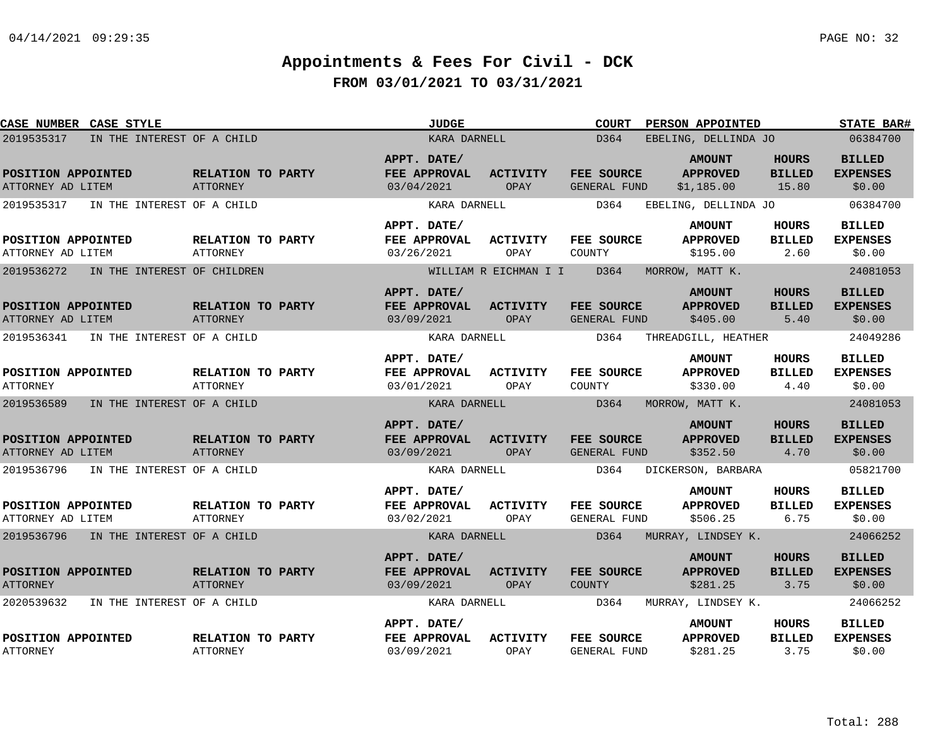| CASE NUMBER CASE STYLE                    |                                      | <b>JUDGE</b>                              |                                | <b>COURT</b>                      | PERSON APPOINTED                               |                                        | <b>STATE BAR#</b>                          |
|-------------------------------------------|--------------------------------------|-------------------------------------------|--------------------------------|-----------------------------------|------------------------------------------------|----------------------------------------|--------------------------------------------|
| 2019535317<br>IN THE INTEREST OF A CHILD  |                                      | KARA DARNELL                              |                                | D364                              | EBELING, DELLINDA JO                           |                                        | 06384700                                   |
| POSITION APPOINTED<br>ATTORNEY AD LITEM   | RELATION TO PARTY<br>ATTORNEY        | APPT. DATE/<br>FEE APPROVAL<br>03/04/2021 | <b>ACTIVITY</b><br>OPAY        | FEE SOURCE<br>GENERAL FUND        | <b>AMOUNT</b><br><b>APPROVED</b><br>\$1,185.00 | <b>HOURS</b><br><b>BILLED</b><br>15.80 | <b>BILLED</b><br><b>EXPENSES</b><br>\$0.00 |
| 2019535317<br>IN THE INTEREST OF A CHILD  |                                      | KARA DARNELL                              |                                | D364                              | EBELING, DELLINDA JO                           |                                        | 06384700                                   |
| POSITION APPOINTED<br>ATTORNEY AD LITEM   | RELATION TO PARTY<br><b>ATTORNEY</b> | APPT. DATE/<br>FEE APPROVAL<br>03/26/2021 | <b>ACTIVITY</b><br>OPAY        | FEE SOURCE<br>COUNTY              | <b>AMOUNT</b><br><b>APPROVED</b><br>\$195.00   | HOURS<br><b>BILLED</b><br>2.60         | <b>BILLED</b><br><b>EXPENSES</b><br>\$0.00 |
| 2019536272<br>IN THE INTEREST OF CHILDREN |                                      |                                           | WILLIAM R EICHMAN I I          | D364                              | MORROW, MATT K.                                |                                        | 24081053                                   |
| POSITION APPOINTED<br>ATTORNEY AD LITEM   | RELATION TO PARTY<br>ATTORNEY        | APPT. DATE/<br>FEE APPROVAL<br>03/09/2021 | <b>ACTIVITY</b><br><b>OPAY</b> | FEE SOURCE<br>GENERAL FUND        | <b>AMOUNT</b><br><b>APPROVED</b><br>\$405.00   | <b>HOURS</b><br><b>BILLED</b><br>5.40  | <b>BILLED</b><br><b>EXPENSES</b><br>\$0.00 |
| 2019536341<br>IN THE INTEREST OF A CHILD  |                                      | KARA DARNELL                              |                                | D364                              | THREADGILL, HEATHER                            |                                        | 24049286                                   |
| POSITION APPOINTED<br><b>ATTORNEY</b>     | RELATION TO PARTY<br><b>ATTORNEY</b> | APPT. DATE/<br>FEE APPROVAL<br>03/01/2021 | <b>ACTIVITY</b><br>OPAY        | FEE SOURCE<br>COUNTY              | <b>AMOUNT</b><br><b>APPROVED</b><br>\$330.00   | <b>HOURS</b><br><b>BILLED</b><br>4.40  | <b>BILLED</b><br><b>EXPENSES</b><br>\$0.00 |
| 2019536589<br>IN THE INTEREST OF A CHILD  |                                      | KARA DARNELL                              |                                | D364                              | MORROW, MATT K.                                |                                        | 24081053                                   |
| POSITION APPOINTED<br>ATTORNEY AD LITEM   | RELATION TO PARTY<br><b>ATTORNEY</b> | APPT. DATE/<br>FEE APPROVAL<br>03/09/2021 | <b>ACTIVITY</b><br><b>OPAY</b> | FEE SOURCE<br>GENERAL FUND        | <b>AMOUNT</b><br><b>APPROVED</b><br>\$352.50   | <b>HOURS</b><br><b>BILLED</b><br>4.70  | <b>BILLED</b><br><b>EXPENSES</b><br>\$0.00 |
| 2019536796<br>IN THE INTEREST OF A CHILD  |                                      | KARA DARNELL                              |                                | D364                              | DICKERSON, BARBARA                             |                                        | 05821700                                   |
| POSITION APPOINTED<br>ATTORNEY AD LITEM   | RELATION TO PARTY<br><b>ATTORNEY</b> | APPT. DATE/<br>FEE APPROVAL<br>03/02/2021 | <b>ACTIVITY</b><br>OPAY        | FEE SOURCE<br>GENERAL FUND        | <b>AMOUNT</b><br><b>APPROVED</b><br>\$506.25   | HOURS<br><b>BILLED</b><br>6.75         | <b>BILLED</b><br><b>EXPENSES</b><br>\$0.00 |
| 2019536796<br>IN THE INTEREST OF A CHILD  |                                      | KARA DARNELL                              |                                | D364                              | MURRAY, LINDSEY K.                             |                                        | 24066252                                   |
| POSITION APPOINTED<br><b>ATTORNEY</b>     | RELATION TO PARTY<br><b>ATTORNEY</b> | APPT. DATE/<br>FEE APPROVAL<br>03/09/2021 | <b>ACTIVITY</b><br>OPAY        | FEE SOURCE<br>COUNTY              | <b>AMOUNT</b><br><b>APPROVED</b><br>\$281.25   | HOURS<br><b>BILLED</b><br>3.75         | <b>BILLED</b><br><b>EXPENSES</b><br>\$0.00 |
| 2020539632<br>IN THE INTEREST OF A CHILD  |                                      | KARA DARNELL                              |                                | D364                              | MURRAY, LINDSEY K.                             |                                        | 24066252                                   |
| POSITION APPOINTED<br><b>ATTORNEY</b>     | RELATION TO PARTY<br><b>ATTORNEY</b> | APPT. DATE/<br>FEE APPROVAL<br>03/09/2021 | <b>ACTIVITY</b><br>OPAY        | FEE SOURCE<br><b>GENERAL FUND</b> | <b>AMOUNT</b><br><b>APPROVED</b><br>\$281.25   | HOURS<br><b>BILLED</b><br>3.75         | <b>BILLED</b><br><b>EXPENSES</b><br>\$0.00 |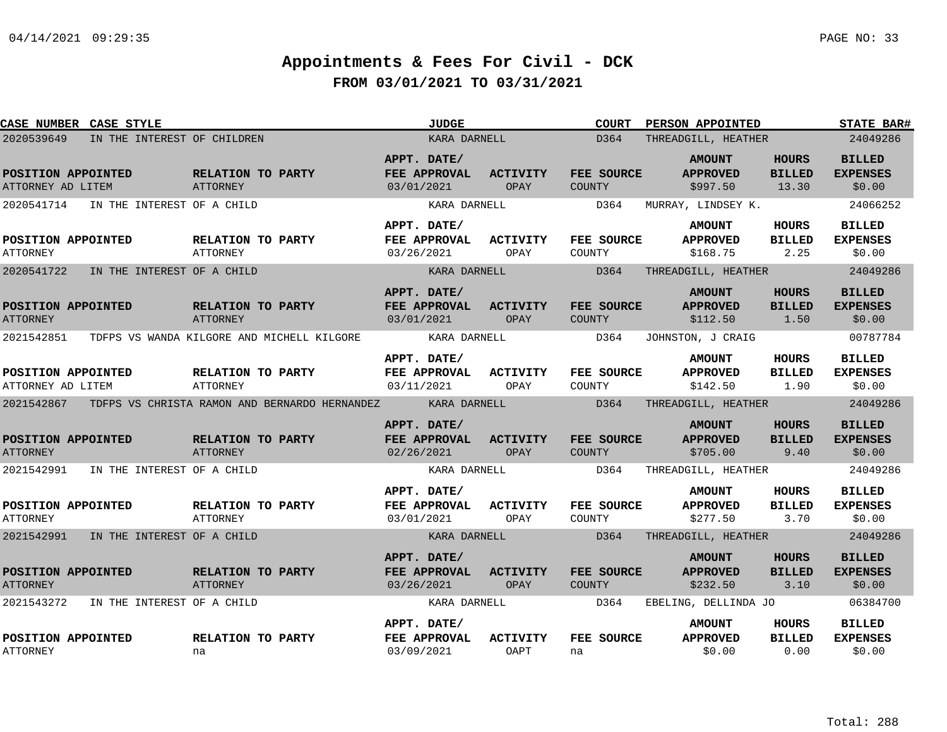| CASE NUMBER CASE STYLE                  |                                       |                                                                                                | <b>JUDGE</b>                                       |                         | <b>COURT</b>         | <b>PERSON APPOINTED</b>                      |                                        | <b>STATE BAR#</b>                          |
|-----------------------------------------|---------------------------------------|------------------------------------------------------------------------------------------------|----------------------------------------------------|-------------------------|----------------------|----------------------------------------------|----------------------------------------|--------------------------------------------|
| 2020539649                              | IN THE INTEREST OF CHILDREN           |                                                                                                | KARA DARNELL                                       |                         | D364                 | THREADGILL, HEATHER                          |                                        | 24049286                                   |
| POSITION APPOINTED<br>ATTORNEY AD LITEM |                                       | RELATION TO PARTY<br>ATTORNEY                                                                  | APPT. DATE/<br><b>FEE APPROVAL</b><br>03/01/2021   | <b>ACTIVITY</b><br>OPAY | FEE SOURCE<br>COUNTY | <b>AMOUNT</b><br><b>APPROVED</b><br>\$997.50 | <b>HOURS</b><br><b>BILLED</b><br>13.30 | <b>BILLED</b><br><b>EXPENSES</b><br>\$0.00 |
|                                         | 2020541714 IN THE INTEREST OF A CHILD |                                                                                                | KARA DARNELL                                       |                         | D364                 | MURRAY, LINDSEY K.                           |                                        | 24066252                                   |
| POSITION APPOINTED<br>ATTORNEY          |                                       | <b>RELATION TO PARTY</b><br>ATTORNEY                                                           | APPT. DATE/<br><b>FEE APPROVAL</b><br>03/26/2021   | <b>ACTIVITY</b><br>OPAY | FEE SOURCE<br>COUNTY | <b>AMOUNT</b><br><b>APPROVED</b><br>\$168.75 | <b>HOURS</b><br><b>BILLED</b><br>2.25  | <b>BILLED</b><br><b>EXPENSES</b><br>\$0.00 |
|                                         | 2020541722 IN THE INTEREST OF A CHILD |                                                                                                | KARA DARNELL                                       |                         | D364                 | THREADGILL, HEATHER                          |                                        | 24049286                                   |
| POSITION APPOINTED<br><b>ATTORNEY</b>   |                                       | <b>RELATION TO PARTY</b><br><b>ATTORNEY</b>                                                    | APPT. DATE/<br>FEE APPROVAL ACTIVITY<br>03/01/2021 | OPAY                    | FEE SOURCE<br>COUNTY | <b>AMOUNT</b><br><b>APPROVED</b><br>\$112.50 | HOURS<br><b>BILLED</b><br>1.50         | <b>BILLED</b><br><b>EXPENSES</b><br>\$0.00 |
|                                         |                                       | 2021542851 TDFPS VS WANDA KILGORE AND MICHELL KILGORE                                          | KARA DARNELL                                       |                         | D364                 | JOHNSTON, J CRAIG                            |                                        | 00787784                                   |
| POSITION APPOINTED<br>ATTORNEY AD LITEM |                                       | RELATION TO PARTY<br>ATTORNEY                                                                  | APPT. DATE/<br>FEE APPROVAL ACTIVITY<br>03/11/2021 | OPAY                    | FEE SOURCE<br>COUNTY | <b>AMOUNT</b><br><b>APPROVED</b><br>\$142.50 | <b>HOURS</b><br><b>BILLED</b><br>1.90  | <b>BILLED</b><br><b>EXPENSES</b><br>\$0.00 |
|                                         |                                       | 2021542867 TDFPS VS CHRISTA RAMON AND BERNARDO HERNANDEZ KARA DARNELL D364 THREADGILL, HEATHER |                                                    |                         |                      |                                              |                                        | 24049286                                   |
| POSITION APPOINTED<br><b>ATTORNEY</b>   |                                       | RELATION TO PARTY<br><b>ATTORNEY</b>                                                           | APPT. DATE/<br>FEE APPROVAL ACTIVITY<br>02/26/2021 | OPAY                    | FEE SOURCE<br>COUNTY | <b>AMOUNT</b><br><b>APPROVED</b><br>\$705.00 | <b>HOURS</b><br><b>BILLED</b><br>9.40  | <b>BILLED</b><br><b>EXPENSES</b><br>\$0.00 |
|                                         | 2021542991 IN THE INTEREST OF A CHILD |                                                                                                | KARA DARNELL                                       |                         |                      | D364 THREADGILL, HEATHER                     |                                        | 24049286                                   |
| POSITION APPOINTED<br><b>ATTORNEY</b>   |                                       | <b>RELATION TO PARTY</b><br>ATTORNEY                                                           | APPT. DATE/<br><b>FEE APPROVAL</b><br>03/01/2021   | <b>ACTIVITY</b><br>OPAY | FEE SOURCE<br>COUNTY | <b>AMOUNT</b><br><b>APPROVED</b><br>\$277.50 | HOURS<br>BILLED<br>3.70                | <b>BILLED</b><br><b>EXPENSES</b><br>\$0.00 |
|                                         | 2021542991 IN THE INTEREST OF A CHILD |                                                                                                | KARA DARNELL                                       |                         | D364                 | THREADGILL, HEATHER                          |                                        | 24049286                                   |
| POSITION APPOINTED<br><b>ATTORNEY</b>   |                                       | <b>RELATION TO PARTY</b><br>ATTORNEY                                                           | APPT. DATE/<br>FEE APPROVAL<br>03/26/2021          | <b>ACTIVITY</b><br>OPAY | FEE SOURCE<br>COUNTY | <b>AMOUNT</b><br><b>APPROVED</b><br>\$232.50 | <b>HOURS</b><br><b>BILLED</b><br>3.10  | <b>BILLED</b><br><b>EXPENSES</b><br>\$0.00 |
| 2021543272                              | IN THE INTEREST OF A CHILD            |                                                                                                | KARA DARNELL                                       |                         | D364                 | EBELING, DELLINDA JO                         |                                        | 06384700                                   |
| POSITION APPOINTED<br><b>ATTORNEY</b>   |                                       | <b>RELATION TO PARTY</b><br>na                                                                 | APPT. DATE/<br>FEE APPROVAL<br>03/09/2021          | ACTIVITY<br>OAPT        | FEE SOURCE<br>na     | <b>AMOUNT</b><br><b>APPROVED</b><br>\$0.00   | HOURS<br><b>BILLED</b><br>0.00         | <b>BILLED</b><br><b>EXPENSES</b><br>\$0.00 |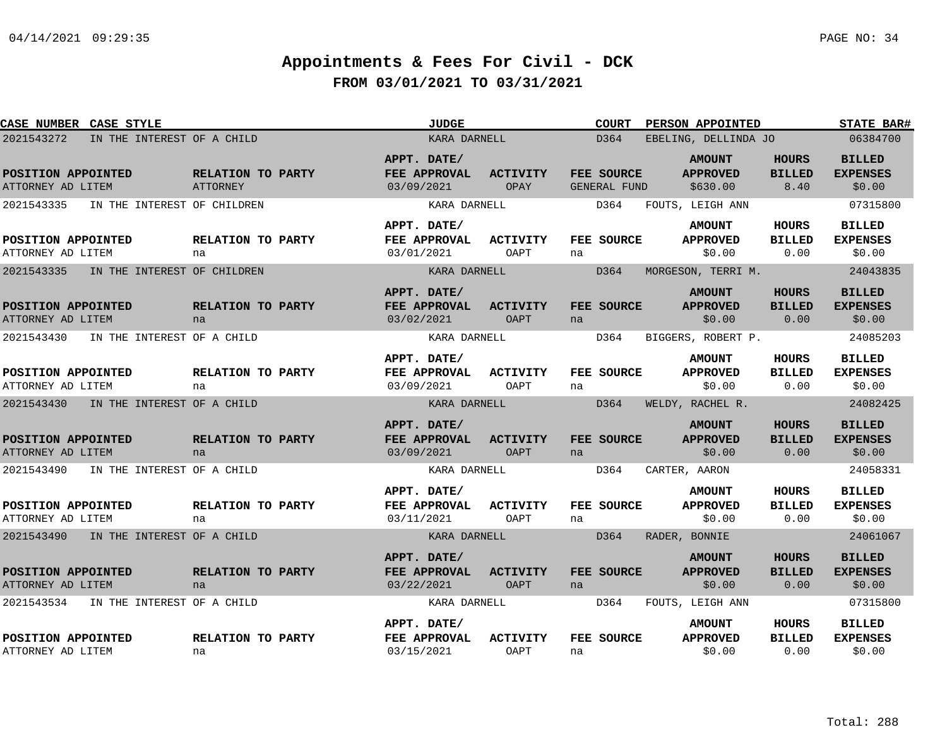| CASE NUMBER CASE STYLE                                                              |                               | <b>JUDGE</b>                                              |                         | <b>COURT</b>                      | PERSON APPOINTED                                            |                                       | <b>STATE BAR#</b>                                      |
|-------------------------------------------------------------------------------------|-------------------------------|-----------------------------------------------------------|-------------------------|-----------------------------------|-------------------------------------------------------------|---------------------------------------|--------------------------------------------------------|
| 2021543272<br>IN THE INTEREST OF A CHILD                                            |                               | KARA DARNELL                                              |                         | D364                              | EBELING, DELLINDA JO                                        |                                       | 06384700                                               |
| POSITION APPOINTED<br>ATTORNEY AD LITEM                                             | RELATION TO PARTY<br>ATTORNEY | APPT. DATE/<br>FEE APPROVAL<br>03/09/2021                 | <b>ACTIVITY</b><br>OPAY | FEE SOURCE<br><b>GENERAL FUND</b> | <b>AMOUNT</b><br><b>APPROVED</b><br>\$630.00                | <b>HOURS</b><br><b>BILLED</b><br>8.40 | <b>BILLED</b><br><b>EXPENSES</b><br>\$0.00             |
| 2021543335<br>IN THE INTEREST OF CHILDREN                                           |                               | KARA DARNELL                                              |                         | D364                              | FOUTS, LEIGH ANN                                            |                                       | 07315800                                               |
| POSITION APPOINTED<br>ATTORNEY AD LITEM                                             | RELATION TO PARTY<br>na       | APPT. DATE/<br>FEE APPROVAL<br>03/01/2021                 | ACTIVITY<br>OAPT        | FEE SOURCE<br>na                  | <b>AMOUNT</b><br><b>APPROVED</b><br>\$0.00                  | HOURS<br><b>BILLED</b><br>0.00        | <b>BILLED</b><br><b>EXPENSES</b><br>\$0.00             |
| 2021543335<br>IN THE INTEREST OF CHILDREN                                           |                               | KARA DARNELL                                              |                         | D364                              | MORGESON, TERRI M.                                          |                                       | 24043835                                               |
| POSITION APPOINTED<br>ATTORNEY AD LITEM                                             | RELATION TO PARTY<br>na       | APPT. DATE/<br>FEE APPROVAL<br>03/02/2021                 | <b>ACTIVITY</b><br>OAPT | FEE SOURCE<br>na                  | <b>AMOUNT</b><br><b>APPROVED</b><br>\$0.00                  | <b>HOURS</b><br><b>BILLED</b><br>0.00 | <b>BILLED</b><br><b>EXPENSES</b><br>\$0.00             |
| 2021543430<br>IN THE INTEREST OF A CHILD                                            |                               | KARA DARNELL                                              |                         | D364                              | BIGGERS, ROBERT P.                                          |                                       | 24085203                                               |
| POSITION APPOINTED<br>ATTORNEY AD LITEM                                             | RELATION TO PARTY<br>na       | APPT. DATE/<br>FEE APPROVAL<br>03/09/2021                 | ACTIVITY<br>OAPT        | FEE SOURCE<br>na                  | <b>AMOUNT</b><br><b>APPROVED</b><br>\$0.00                  | <b>HOURS</b><br><b>BILLED</b><br>0.00 | <b>BILLED</b><br><b>EXPENSES</b><br>\$0.00             |
| 2021543430<br>IN THE INTEREST OF A CHILD                                            |                               | KARA DARNELL                                              |                         | D364                              | WELDY, RACHEL R.                                            |                                       | 24082425                                               |
| POSITION APPOINTED<br>ATTORNEY AD LITEM<br>2021543490<br>IN THE INTEREST OF A CHILD | RELATION TO PARTY<br>na       | APPT. DATE/<br>FEE APPROVAL<br>03/09/2021<br>KARA DARNELL | <b>ACTIVITY</b><br>OAPT | FEE SOURCE<br>na<br>D364          | <b>AMOUNT</b><br><b>APPROVED</b><br>\$0.00<br>CARTER, AARON | <b>HOURS</b><br><b>BILLED</b><br>0.00 | <b>BILLED</b><br><b>EXPENSES</b><br>\$0.00<br>24058331 |
|                                                                                     |                               | APPT. DATE/                                               |                         |                                   | <b>AMOUNT</b>                                               | <b>HOURS</b>                          | <b>BILLED</b>                                          |
| POSITION APPOINTED<br>ATTORNEY AD LITEM                                             | RELATION TO PARTY<br>na       | FEE APPROVAL<br>03/11/2021                                | ACTIVITY<br>OAPT        | FEE SOURCE<br>na                  | <b>APPROVED</b><br>\$0.00                                   | <b>BILLED</b><br>0.00                 | <b>EXPENSES</b><br>\$0.00                              |
| 2021543490 IN THE INTEREST OF A CHILD                                               |                               | KARA DARNELL                                              |                         | D364                              | RADER, BONNIE                                               |                                       | 24061067                                               |
| POSITION APPOINTED<br>ATTORNEY AD LITEM                                             | RELATION TO PARTY<br>na       | APPT. DATE/<br>FEE APPROVAL<br>03/22/2021                 | ACTIVITY<br><b>OAPT</b> | FEE SOURCE<br>na                  | <b>AMOUNT</b><br><b>APPROVED</b><br>\$0.00                  | <b>HOURS</b><br><b>BILLED</b><br>0.00 | <b>BILLED</b><br><b>EXPENSES</b><br>\$0.00             |
| 2021543534<br>IN THE INTEREST OF A CHILD                                            |                               | KARA DARNELL                                              |                         | D364                              | FOUTS, LEIGH ANN                                            |                                       | 07315800                                               |
| POSITION APPOINTED<br>ATTORNEY AD LITEM                                             | RELATION TO PARTY<br>na       | APPT. DATE/<br>FEE APPROVAL<br>03/15/2021                 | <b>ACTIVITY</b><br>OAPT | FEE SOURCE<br>na                  | <b>AMOUNT</b><br><b>APPROVED</b><br>\$0.00                  | HOURS<br><b>BILLED</b><br>0.00        | <b>BILLED</b><br><b>EXPENSES</b><br>\$0.00             |